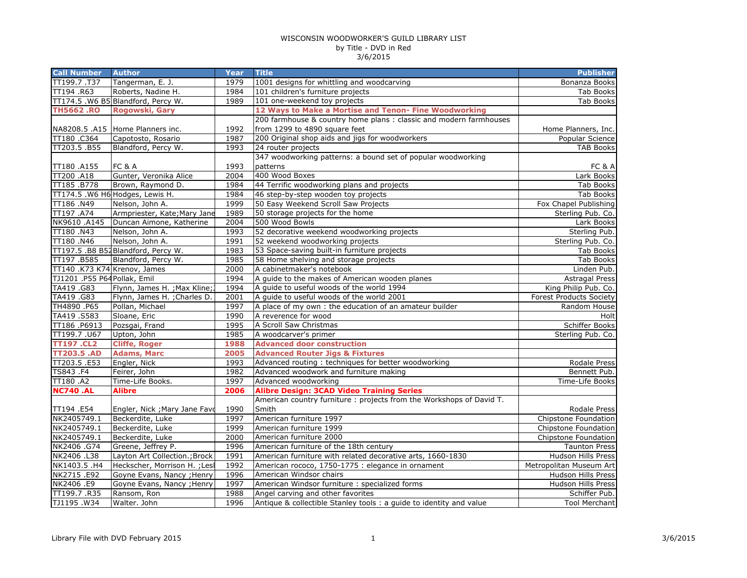| <b>Call Number</b>           | <b>Author</b>                             | Year         | <b>Title</b>                                                              | <b>Publisher</b>                         |
|------------------------------|-------------------------------------------|--------------|---------------------------------------------------------------------------|------------------------------------------|
| TT199.7.T37                  | Tangerman, E. J.                          | 1979         | 1001 designs for whittling and woodcarving                                | Bonanza Books                            |
| TT194 .R63                   | Roberts, Nadine H.                        | 1984         | 101 children's furniture projects                                         | Tab Books                                |
|                              | TT174.5 .W6 B5 Blandford, Percy W.        | 1989         | 101 one-weekend toy projects                                              | Tab Books                                |
| <b>TH5662.RO</b>             | Rogowski, Gary                            |              | 12 Ways to Make a Mortise and Tenon- Fine Woodworking                     |                                          |
|                              |                                           |              | 200 farmhouse & country home plans : classic and modern farmhouses        |                                          |
|                              | NA8208.5 .A15 Home Planners inc.          | 1992         | from 1299 to 4890 square feet                                             | Home Planners, Inc.                      |
| TT180.C364                   | Capotosto, Rosario                        | 1987         | 200 Original shop aids and jigs for woodworkers                           | Popular Science                          |
| TT203.5.B55                  | Blandford, Percy W.                       | 1993         | 24 router projects                                                        | <b>TAB Books</b>                         |
|                              |                                           |              | 347 woodworking patterns: a bound set of popular woodworking              |                                          |
| TT180.A155                   | <b>FC &amp; A</b>                         | 1993         | patterns                                                                  | FC & A                                   |
| TT200 .A18                   | Gunter, Veronika Alice                    | 2004         | 400 Wood Boxes                                                            | Lark Books                               |
| TT185.B778                   | Brown, Raymond D.                         | 1984         | 44 Terrific woodworking plans and projects                                | Tab Books                                |
|                              | TT174.5 .W6 H6 Hodges, Lewis H.           | 1984         | 46 step-by-step wooden toy projects                                       | <b>Tab Books</b>                         |
| TT186.N49                    | Nelson, John A.                           | 1999         | 50 Easy Weekend Scroll Saw Projects                                       | Fox Chapel Publishing                    |
| TT197 .A74                   | Armpriester, Kate; Mary Jane              | 1989         | 50 storage projects for the home                                          | Sterling Pub. Co.                        |
| NK9610 .A145                 | Duncan Aimone, Katherine                  | 2004         | 500 Wood Bowls                                                            | Lark Books                               |
| TT180.N43                    | Nelson, John A.                           | 1993         | 52 decorative weekend woodworking projects                                | Sterling Pub.                            |
| TT180.N46                    | Nelson, John A.                           | 1991         | 52 weekend woodworking projects                                           | Sterling Pub. Co.                        |
|                              | TT197.5 .B8 B52Blandford, Percy W.        | 1983         | 53 Space-saving built-in furniture projects                               | <b>Tab Books</b>                         |
| TT197.B585                   | Blandford, Percy W.                       | 1985         | 58 Home shelving and storage projects                                     | <b>Tab Books</b>                         |
| TT140 .K73 K74 Krenov, James |                                           | 2000         | A cabinetmaker's notebook                                                 | Linden Pub.                              |
| TJ1201 .P55 P64 Pollak, Emil |                                           | 1994         | A guide to the makes of American wooden planes                            | <b>Astragal Press</b>                    |
| TA419.G83                    | Flynn, James H. ; Max Kline;              | 1994         | A guide to useful woods of the world 1994                                 | King Philip Pub. Co.                     |
| TA419 .G83                   | Flynn, James H. ; Charles D.              | 2001         | A guide to useful woods of the world 2001                                 | <b>Forest Products Society</b>           |
| TH4890.P65                   | Pollan, Michael                           | 1997         | A place of my own: the education of an amateur builder                    | Random House                             |
| TA419.S583                   | Sloane, Eric                              | 1990         | A reverence for wood                                                      | Holt                                     |
| TT186 .P6913                 | Pozsgai, Frand                            | 1995         | A Scroll Saw Christmas                                                    | Schiffer Books                           |
| TT199.7.U67                  | Upton, John                               | 1985         | A woodcarver's primer                                                     | Sterling Pub. Co.                        |
| <b>TT197.CL2</b>             | <b>Cliffe, Roger</b>                      | 1988         | <b>Advanced door construction</b>                                         |                                          |
| <b>TT203.5 .AD</b>           | <b>Adams, Marc</b>                        | 2005         | <b>Advanced Router Jigs &amp; Fixtures</b>                                |                                          |
| TT203.5 .E53                 | Engler, Nick                              | 1993         | Advanced routing: techniques for better woodworking                       | Rodale Press                             |
| TS843.F4                     | Feirer, John                              | 1982         | Advanced woodwork and furniture making                                    | Bennett Pub.                             |
| TT180.A2                     | Time-Life Books.                          | 1997         | Advanced woodworking                                                      | Time-Life Books                          |
| <b>NC740 .AL</b>             | <b>Alibre</b>                             | 2006         | <b>Alibre Design: 3CAD Video Training Series</b>                          |                                          |
|                              |                                           |              | American country furniture : projects from the Workshops of David T.      |                                          |
| TT194.E54                    | Engler, Nick ; Mary Jane Favd             | 1990         | Smith                                                                     | Rodale Press                             |
| NK2405749.1                  | Beckerdite, Luke                          | 1997         | American furniture 1997                                                   | Chipstone Foundation                     |
| NK2405749.1                  | Beckerdite, Luke                          | 1999         | American furniture 1999                                                   | Chipstone Foundation                     |
| NK2405749.1                  | Beckerdite, Luke                          | 2000         | American furniture 2000                                                   | Chipstone Foundation                     |
| NK2406 .G74                  | Greene, Jeffrey P.                        | 1996         | American furniture of the 18th century                                    | <b>Taunton Press</b>                     |
| NK2406 .L38                  | Layton Art Collection.; Brock             | 1991         | American furniture with related decorative arts, 1660-1830                | Hudson Hills Press                       |
| NK1403.5 .H4                 | Heckscher, Morrison H. ; Lesl             | 1992         | American rococo, 1750-1775 : elegance in ornament                         | Metropolitan Museum Art                  |
| NK2715.E92<br>NK2406 .E9     | Goyne Evans, Nancy ; Henry                | 1996<br>1997 | American Windsor chairs<br>American Windsor furniture : specialized forms | Hudson Hills Press<br>Hudson Hills Press |
| TT199.7.R35                  | Goyne Evans, Nancy ; Henry<br>Ransom, Ron | 1988         |                                                                           |                                          |
| TJ1195.W34                   |                                           | 1996         | Angel carving and other favorites                                         | Schiffer Pub.<br><b>Tool Merchant</b>    |
|                              | Walter. John                              |              | Antique & collectible Stanley tools : a guide to identity and value       |                                          |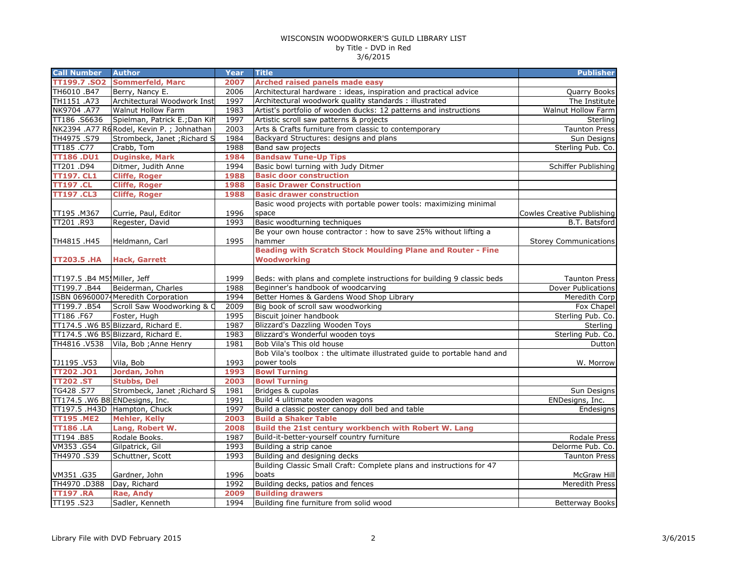| TT199.7 .SO2<br><b>Sommerfeld, Marc</b><br>2007<br><b>Arched raised panels made easy</b><br>Architectural hardware: ideas, inspiration and practical advice<br>TH6010 .B47<br>Berry, Nancy E.<br>2006<br>Quarry Books<br>Architectural Woodwork Inst<br>TH1151 .A73<br>1997<br>Architectural woodwork quality standards : illustrated<br>The Institute<br>NK9704 .A77<br><b>Walnut Hollow Farm</b><br>1983<br>Artist's portfolio of wooden ducks: 12 patterns and instructions<br>Walnut Hollow Farm<br>TT186.S6636<br>Spielman, Patrick E.; Dan Kih<br>1997<br>Artistic scroll saw patterns & projects<br>Sterling<br>NK2394 .A77 R6 Rodel, Kevin P.; Johnathan<br>2003<br><b>Taunton Press</b><br>Arts & Crafts furniture from classic to contemporary<br>Strombeck, Janet ; Richard S<br>1984<br>TH4975.S79<br>Backyard Structures: designs and plans<br>1988<br>TT185.C77<br>Crabb, Tom<br>Band saw projects<br>Sterling Pub. Co.<br><b>Duginske, Mark</b><br><b>Bandsaw Tune-Up Tips</b><br><b>TT186.DU1</b><br>1984<br>Basic bowl turning with Judy Ditmer<br>1994<br>TT201.D94<br>Ditmer, Judith Anne<br><b>TT197. CL1</b><br><b>Cliffe, Roger</b><br><b>Basic door construction</b><br>1988<br><b>Basic Drawer Construction</b><br><b>Cliffe, Roger</b><br>1988<br><b>TT197.CL</b><br><b>TT197.CL3</b><br><b>Cliffe, Roger</b><br>1988<br><b>Basic drawer construction</b><br>Basic wood projects with portable power tools: maximizing minimal<br>1996<br>space<br>TT195.M367<br>Currie, Paul, Editor<br>Regester, David<br>Basic woodturning techniques<br>TT201.R93<br>1993<br>Be your own house contractor : how to save 25% without lifting a<br>1995<br>TH4815.H45<br>Heldmann, Carl<br>hammer<br><b>Beading with Scratch Stock Moulding Plane and Router - Fine</b><br><b>Woodworking</b><br><b>TT203.5 .HA</b><br><b>Hack, Garrett</b><br>1999<br>Beds: with plans and complete instructions for building 9 classic beds<br>TT197.5 .B4 M5! Miller, Jeff<br>Beiderman, Charles<br>1988<br>Beginner's handbook of woodcarving<br>TT199.7.B44<br>ISBN 069600074 Meredith Corporation<br>1994<br>Better Homes & Gardens Wood Shop Library<br>TT199.7.B54<br>Scroll Saw Woodworking & C<br>2009<br>Big book of scroll saw woodworking<br>1995<br>Foster, Hugh<br>Biscuit joiner handbook<br>TT186.F67<br>TT174.5 .W6 B5 Blizzard, Richard E.<br>1987<br><b>Blizzard's Dazzling Wooden Toys</b><br>TT174.5 .W6 B5 Blizzard, Richard E.<br>1983<br>Blizzard's Wonderful wooden toys<br>Sterling Pub. Co.<br>TH4816 .V538<br>Vila, Bob ; Anne Henry<br>1981<br>Bob Vila's This old house<br>Bob Vila's toolbox : the ultimate illustrated guide to portable hand and<br>TJ1195.V53<br>Vila, Bob<br>1993<br>power tools<br><b>Bowl Turning</b><br>Jordan, John<br>1993<br>TT202.JO1<br>2003<br><b>Bowl Turning</b><br><b>TT202.ST</b><br><b>Stubbs, Del</b><br>TG428.S77<br>Strombeck, Janet ; Richard S<br>1981<br>Bridges & cupolas<br>Build 4 ulitimate wooden wagons<br>TT174.5 .W6 B8 ENDesigns, Inc.<br>1991<br>ENDesigns, Inc.<br>Build a classic poster canopy doll bed and table<br>TT197.5 .H43D Hampton, Chuck<br>1997<br><b>Build a Shaker Table</b><br><b>TT195.ME2</b><br><b>Mehler, Kelly</b><br>2003<br>Lang, Robert W.<br>2008<br>Build the 21st century workbench with Robert W. Lang<br><b>TT186.LA</b><br>TT194.B85<br>Rodale Books.<br>1987<br>Build-it-better-yourself country furniture<br>Building a strip canoe<br>VM353.G54<br>1993<br>Gilpatrick, Gil<br>TH4970.S39<br>Schuttner, Scott<br>1993<br>Building and designing decks<br>Building Classic Small Craft: Complete plans and instructions for 47<br>1996<br>VM351.G35<br>Gardner, John<br>boats<br>TH4970.D388<br>Day, Richard<br>1992<br>Building decks, patios and fences<br><b>Building drawers</b><br>2009<br><b>TT197.RA</b><br>Rae, Andy<br>TT195.S23<br>Sadler, Kenneth<br>1994<br>Building fine furniture from solid wood | <b>Call Number</b> | <b>Author</b> | <b>Year</b> | <b>Title</b> | <b>Publisher</b> |
|-----------------------------------------------------------------------------------------------------------------------------------------------------------------------------------------------------------------------------------------------------------------------------------------------------------------------------------------------------------------------------------------------------------------------------------------------------------------------------------------------------------------------------------------------------------------------------------------------------------------------------------------------------------------------------------------------------------------------------------------------------------------------------------------------------------------------------------------------------------------------------------------------------------------------------------------------------------------------------------------------------------------------------------------------------------------------------------------------------------------------------------------------------------------------------------------------------------------------------------------------------------------------------------------------------------------------------------------------------------------------------------------------------------------------------------------------------------------------------------------------------------------------------------------------------------------------------------------------------------------------------------------------------------------------------------------------------------------------------------------------------------------------------------------------------------------------------------------------------------------------------------------------------------------------------------------------------------------------------------------------------------------------------------------------------------------------------------------------------------------------------------------------------------------------------------------------------------------------------------------------------------------------------------------------------------------------------------------------------------------------------------------------------------------------------------------------------------------------------------------------------------------------------------------------------------------------------------------------------------------------------------------------------------------------------------------------------------------------------------------------------------------------------------------------------------------------------------------------------------------------------------------------------------------------------------------------------------------------------------------------------------------------------------------------------------------------------------------------------------------------------------------------------------------------------------------------------------------------------------------------------------------------------------------------------------------------------------------------------------------------------------------------------------------------------------------------------------------------------------------------------------------------------------------------------------------------------------------------------------------------------------------------------------------------------------------------------------------------------------------------------------------------------------------------------------------------------------------------------------------------------------------------------------------------------|--------------------|---------------|-------------|--------------|------------------|
|                                                                                                                                                                                                                                                                                                                                                                                                                                                                                                                                                                                                                                                                                                                                                                                                                                                                                                                                                                                                                                                                                                                                                                                                                                                                                                                                                                                                                                                                                                                                                                                                                                                                                                                                                                                                                                                                                                                                                                                                                                                                                                                                                                                                                                                                                                                                                                                                                                                                                                                                                                                                                                                                                                                                                                                                                                                                                                                                                                                                                                                                                                                                                                                                                                                                                                                                                                                                                                                                                                                                                                                                                                                                                                                                                                                                                                                                                                                             |                    |               |             |              |                  |
|                                                                                                                                                                                                                                                                                                                                                                                                                                                                                                                                                                                                                                                                                                                                                                                                                                                                                                                                                                                                                                                                                                                                                                                                                                                                                                                                                                                                                                                                                                                                                                                                                                                                                                                                                                                                                                                                                                                                                                                                                                                                                                                                                                                                                                                                                                                                                                                                                                                                                                                                                                                                                                                                                                                                                                                                                                                                                                                                                                                                                                                                                                                                                                                                                                                                                                                                                                                                                                                                                                                                                                                                                                                                                                                                                                                                                                                                                                                             |                    |               |             |              |                  |
|                                                                                                                                                                                                                                                                                                                                                                                                                                                                                                                                                                                                                                                                                                                                                                                                                                                                                                                                                                                                                                                                                                                                                                                                                                                                                                                                                                                                                                                                                                                                                                                                                                                                                                                                                                                                                                                                                                                                                                                                                                                                                                                                                                                                                                                                                                                                                                                                                                                                                                                                                                                                                                                                                                                                                                                                                                                                                                                                                                                                                                                                                                                                                                                                                                                                                                                                                                                                                                                                                                                                                                                                                                                                                                                                                                                                                                                                                                                             |                    |               |             |              |                  |
|                                                                                                                                                                                                                                                                                                                                                                                                                                                                                                                                                                                                                                                                                                                                                                                                                                                                                                                                                                                                                                                                                                                                                                                                                                                                                                                                                                                                                                                                                                                                                                                                                                                                                                                                                                                                                                                                                                                                                                                                                                                                                                                                                                                                                                                                                                                                                                                                                                                                                                                                                                                                                                                                                                                                                                                                                                                                                                                                                                                                                                                                                                                                                                                                                                                                                                                                                                                                                                                                                                                                                                                                                                                                                                                                                                                                                                                                                                                             |                    |               |             |              |                  |
|                                                                                                                                                                                                                                                                                                                                                                                                                                                                                                                                                                                                                                                                                                                                                                                                                                                                                                                                                                                                                                                                                                                                                                                                                                                                                                                                                                                                                                                                                                                                                                                                                                                                                                                                                                                                                                                                                                                                                                                                                                                                                                                                                                                                                                                                                                                                                                                                                                                                                                                                                                                                                                                                                                                                                                                                                                                                                                                                                                                                                                                                                                                                                                                                                                                                                                                                                                                                                                                                                                                                                                                                                                                                                                                                                                                                                                                                                                                             |                    |               |             |              |                  |
|                                                                                                                                                                                                                                                                                                                                                                                                                                                                                                                                                                                                                                                                                                                                                                                                                                                                                                                                                                                                                                                                                                                                                                                                                                                                                                                                                                                                                                                                                                                                                                                                                                                                                                                                                                                                                                                                                                                                                                                                                                                                                                                                                                                                                                                                                                                                                                                                                                                                                                                                                                                                                                                                                                                                                                                                                                                                                                                                                                                                                                                                                                                                                                                                                                                                                                                                                                                                                                                                                                                                                                                                                                                                                                                                                                                                                                                                                                                             |                    |               |             |              |                  |
| Schiffer Publishing<br><b>Cowles Creative Publishing</b><br>B.T. Batsford<br><b>Storey Communications</b><br><b>Taunton Press</b><br><b>Dover Publications</b><br>Meredith Corp<br>Fox Chapel<br>Sterling Pub. Co.<br>Sterling<br>Dutton<br>W. Morrow<br>Sun Designs<br>Endesigns<br>Rodale Press<br>Delorme Pub. Co.<br><b>Taunton Press</b><br>McGraw Hill<br><b>Meredith Press</b><br><b>Betterway Books</b>                                                                                                                                                                                                                                                                                                                                                                                                                                                                                                                                                                                                                                                                                                                                                                                                                                                                                                                                                                                                                                                                                                                                                                                                                                                                                                                                                                                                                                                                                                                                                                                                                                                                                                                                                                                                                                                                                                                                                                                                                                                                                                                                                                                                                                                                                                                                                                                                                                                                                                                                                                                                                                                                                                                                                                                                                                                                                                                                                                                                                                                                                                                                                                                                                                                                                                                                                                                                                                                                                                             |                    |               |             |              | Sun Designs      |
|                                                                                                                                                                                                                                                                                                                                                                                                                                                                                                                                                                                                                                                                                                                                                                                                                                                                                                                                                                                                                                                                                                                                                                                                                                                                                                                                                                                                                                                                                                                                                                                                                                                                                                                                                                                                                                                                                                                                                                                                                                                                                                                                                                                                                                                                                                                                                                                                                                                                                                                                                                                                                                                                                                                                                                                                                                                                                                                                                                                                                                                                                                                                                                                                                                                                                                                                                                                                                                                                                                                                                                                                                                                                                                                                                                                                                                                                                                                             |                    |               |             |              |                  |
|                                                                                                                                                                                                                                                                                                                                                                                                                                                                                                                                                                                                                                                                                                                                                                                                                                                                                                                                                                                                                                                                                                                                                                                                                                                                                                                                                                                                                                                                                                                                                                                                                                                                                                                                                                                                                                                                                                                                                                                                                                                                                                                                                                                                                                                                                                                                                                                                                                                                                                                                                                                                                                                                                                                                                                                                                                                                                                                                                                                                                                                                                                                                                                                                                                                                                                                                                                                                                                                                                                                                                                                                                                                                                                                                                                                                                                                                                                                             |                    |               |             |              |                  |
|                                                                                                                                                                                                                                                                                                                                                                                                                                                                                                                                                                                                                                                                                                                                                                                                                                                                                                                                                                                                                                                                                                                                                                                                                                                                                                                                                                                                                                                                                                                                                                                                                                                                                                                                                                                                                                                                                                                                                                                                                                                                                                                                                                                                                                                                                                                                                                                                                                                                                                                                                                                                                                                                                                                                                                                                                                                                                                                                                                                                                                                                                                                                                                                                                                                                                                                                                                                                                                                                                                                                                                                                                                                                                                                                                                                                                                                                                                                             |                    |               |             |              |                  |
|                                                                                                                                                                                                                                                                                                                                                                                                                                                                                                                                                                                                                                                                                                                                                                                                                                                                                                                                                                                                                                                                                                                                                                                                                                                                                                                                                                                                                                                                                                                                                                                                                                                                                                                                                                                                                                                                                                                                                                                                                                                                                                                                                                                                                                                                                                                                                                                                                                                                                                                                                                                                                                                                                                                                                                                                                                                                                                                                                                                                                                                                                                                                                                                                                                                                                                                                                                                                                                                                                                                                                                                                                                                                                                                                                                                                                                                                                                                             |                    |               |             |              |                  |
|                                                                                                                                                                                                                                                                                                                                                                                                                                                                                                                                                                                                                                                                                                                                                                                                                                                                                                                                                                                                                                                                                                                                                                                                                                                                                                                                                                                                                                                                                                                                                                                                                                                                                                                                                                                                                                                                                                                                                                                                                                                                                                                                                                                                                                                                                                                                                                                                                                                                                                                                                                                                                                                                                                                                                                                                                                                                                                                                                                                                                                                                                                                                                                                                                                                                                                                                                                                                                                                                                                                                                                                                                                                                                                                                                                                                                                                                                                                             |                    |               |             |              |                  |
|                                                                                                                                                                                                                                                                                                                                                                                                                                                                                                                                                                                                                                                                                                                                                                                                                                                                                                                                                                                                                                                                                                                                                                                                                                                                                                                                                                                                                                                                                                                                                                                                                                                                                                                                                                                                                                                                                                                                                                                                                                                                                                                                                                                                                                                                                                                                                                                                                                                                                                                                                                                                                                                                                                                                                                                                                                                                                                                                                                                                                                                                                                                                                                                                                                                                                                                                                                                                                                                                                                                                                                                                                                                                                                                                                                                                                                                                                                                             |                    |               |             |              |                  |
|                                                                                                                                                                                                                                                                                                                                                                                                                                                                                                                                                                                                                                                                                                                                                                                                                                                                                                                                                                                                                                                                                                                                                                                                                                                                                                                                                                                                                                                                                                                                                                                                                                                                                                                                                                                                                                                                                                                                                                                                                                                                                                                                                                                                                                                                                                                                                                                                                                                                                                                                                                                                                                                                                                                                                                                                                                                                                                                                                                                                                                                                                                                                                                                                                                                                                                                                                                                                                                                                                                                                                                                                                                                                                                                                                                                                                                                                                                                             |                    |               |             |              |                  |
|                                                                                                                                                                                                                                                                                                                                                                                                                                                                                                                                                                                                                                                                                                                                                                                                                                                                                                                                                                                                                                                                                                                                                                                                                                                                                                                                                                                                                                                                                                                                                                                                                                                                                                                                                                                                                                                                                                                                                                                                                                                                                                                                                                                                                                                                                                                                                                                                                                                                                                                                                                                                                                                                                                                                                                                                                                                                                                                                                                                                                                                                                                                                                                                                                                                                                                                                                                                                                                                                                                                                                                                                                                                                                                                                                                                                                                                                                                                             |                    |               |             |              |                  |
|                                                                                                                                                                                                                                                                                                                                                                                                                                                                                                                                                                                                                                                                                                                                                                                                                                                                                                                                                                                                                                                                                                                                                                                                                                                                                                                                                                                                                                                                                                                                                                                                                                                                                                                                                                                                                                                                                                                                                                                                                                                                                                                                                                                                                                                                                                                                                                                                                                                                                                                                                                                                                                                                                                                                                                                                                                                                                                                                                                                                                                                                                                                                                                                                                                                                                                                                                                                                                                                                                                                                                                                                                                                                                                                                                                                                                                                                                                                             |                    |               |             |              |                  |
|                                                                                                                                                                                                                                                                                                                                                                                                                                                                                                                                                                                                                                                                                                                                                                                                                                                                                                                                                                                                                                                                                                                                                                                                                                                                                                                                                                                                                                                                                                                                                                                                                                                                                                                                                                                                                                                                                                                                                                                                                                                                                                                                                                                                                                                                                                                                                                                                                                                                                                                                                                                                                                                                                                                                                                                                                                                                                                                                                                                                                                                                                                                                                                                                                                                                                                                                                                                                                                                                                                                                                                                                                                                                                                                                                                                                                                                                                                                             |                    |               |             |              |                  |
|                                                                                                                                                                                                                                                                                                                                                                                                                                                                                                                                                                                                                                                                                                                                                                                                                                                                                                                                                                                                                                                                                                                                                                                                                                                                                                                                                                                                                                                                                                                                                                                                                                                                                                                                                                                                                                                                                                                                                                                                                                                                                                                                                                                                                                                                                                                                                                                                                                                                                                                                                                                                                                                                                                                                                                                                                                                                                                                                                                                                                                                                                                                                                                                                                                                                                                                                                                                                                                                                                                                                                                                                                                                                                                                                                                                                                                                                                                                             |                    |               |             |              |                  |
|                                                                                                                                                                                                                                                                                                                                                                                                                                                                                                                                                                                                                                                                                                                                                                                                                                                                                                                                                                                                                                                                                                                                                                                                                                                                                                                                                                                                                                                                                                                                                                                                                                                                                                                                                                                                                                                                                                                                                                                                                                                                                                                                                                                                                                                                                                                                                                                                                                                                                                                                                                                                                                                                                                                                                                                                                                                                                                                                                                                                                                                                                                                                                                                                                                                                                                                                                                                                                                                                                                                                                                                                                                                                                                                                                                                                                                                                                                                             |                    |               |             |              |                  |
|                                                                                                                                                                                                                                                                                                                                                                                                                                                                                                                                                                                                                                                                                                                                                                                                                                                                                                                                                                                                                                                                                                                                                                                                                                                                                                                                                                                                                                                                                                                                                                                                                                                                                                                                                                                                                                                                                                                                                                                                                                                                                                                                                                                                                                                                                                                                                                                                                                                                                                                                                                                                                                                                                                                                                                                                                                                                                                                                                                                                                                                                                                                                                                                                                                                                                                                                                                                                                                                                                                                                                                                                                                                                                                                                                                                                                                                                                                                             |                    |               |             |              |                  |
|                                                                                                                                                                                                                                                                                                                                                                                                                                                                                                                                                                                                                                                                                                                                                                                                                                                                                                                                                                                                                                                                                                                                                                                                                                                                                                                                                                                                                                                                                                                                                                                                                                                                                                                                                                                                                                                                                                                                                                                                                                                                                                                                                                                                                                                                                                                                                                                                                                                                                                                                                                                                                                                                                                                                                                                                                                                                                                                                                                                                                                                                                                                                                                                                                                                                                                                                                                                                                                                                                                                                                                                                                                                                                                                                                                                                                                                                                                                             |                    |               |             |              |                  |
|                                                                                                                                                                                                                                                                                                                                                                                                                                                                                                                                                                                                                                                                                                                                                                                                                                                                                                                                                                                                                                                                                                                                                                                                                                                                                                                                                                                                                                                                                                                                                                                                                                                                                                                                                                                                                                                                                                                                                                                                                                                                                                                                                                                                                                                                                                                                                                                                                                                                                                                                                                                                                                                                                                                                                                                                                                                                                                                                                                                                                                                                                                                                                                                                                                                                                                                                                                                                                                                                                                                                                                                                                                                                                                                                                                                                                                                                                                                             |                    |               |             |              |                  |
|                                                                                                                                                                                                                                                                                                                                                                                                                                                                                                                                                                                                                                                                                                                                                                                                                                                                                                                                                                                                                                                                                                                                                                                                                                                                                                                                                                                                                                                                                                                                                                                                                                                                                                                                                                                                                                                                                                                                                                                                                                                                                                                                                                                                                                                                                                                                                                                                                                                                                                                                                                                                                                                                                                                                                                                                                                                                                                                                                                                                                                                                                                                                                                                                                                                                                                                                                                                                                                                                                                                                                                                                                                                                                                                                                                                                                                                                                                                             |                    |               |             |              |                  |
|                                                                                                                                                                                                                                                                                                                                                                                                                                                                                                                                                                                                                                                                                                                                                                                                                                                                                                                                                                                                                                                                                                                                                                                                                                                                                                                                                                                                                                                                                                                                                                                                                                                                                                                                                                                                                                                                                                                                                                                                                                                                                                                                                                                                                                                                                                                                                                                                                                                                                                                                                                                                                                                                                                                                                                                                                                                                                                                                                                                                                                                                                                                                                                                                                                                                                                                                                                                                                                                                                                                                                                                                                                                                                                                                                                                                                                                                                                                             |                    |               |             |              |                  |
|                                                                                                                                                                                                                                                                                                                                                                                                                                                                                                                                                                                                                                                                                                                                                                                                                                                                                                                                                                                                                                                                                                                                                                                                                                                                                                                                                                                                                                                                                                                                                                                                                                                                                                                                                                                                                                                                                                                                                                                                                                                                                                                                                                                                                                                                                                                                                                                                                                                                                                                                                                                                                                                                                                                                                                                                                                                                                                                                                                                                                                                                                                                                                                                                                                                                                                                                                                                                                                                                                                                                                                                                                                                                                                                                                                                                                                                                                                                             |                    |               |             |              |                  |
|                                                                                                                                                                                                                                                                                                                                                                                                                                                                                                                                                                                                                                                                                                                                                                                                                                                                                                                                                                                                                                                                                                                                                                                                                                                                                                                                                                                                                                                                                                                                                                                                                                                                                                                                                                                                                                                                                                                                                                                                                                                                                                                                                                                                                                                                                                                                                                                                                                                                                                                                                                                                                                                                                                                                                                                                                                                                                                                                                                                                                                                                                                                                                                                                                                                                                                                                                                                                                                                                                                                                                                                                                                                                                                                                                                                                                                                                                                                             |                    |               |             |              |                  |
|                                                                                                                                                                                                                                                                                                                                                                                                                                                                                                                                                                                                                                                                                                                                                                                                                                                                                                                                                                                                                                                                                                                                                                                                                                                                                                                                                                                                                                                                                                                                                                                                                                                                                                                                                                                                                                                                                                                                                                                                                                                                                                                                                                                                                                                                                                                                                                                                                                                                                                                                                                                                                                                                                                                                                                                                                                                                                                                                                                                                                                                                                                                                                                                                                                                                                                                                                                                                                                                                                                                                                                                                                                                                                                                                                                                                                                                                                                                             |                    |               |             |              |                  |
|                                                                                                                                                                                                                                                                                                                                                                                                                                                                                                                                                                                                                                                                                                                                                                                                                                                                                                                                                                                                                                                                                                                                                                                                                                                                                                                                                                                                                                                                                                                                                                                                                                                                                                                                                                                                                                                                                                                                                                                                                                                                                                                                                                                                                                                                                                                                                                                                                                                                                                                                                                                                                                                                                                                                                                                                                                                                                                                                                                                                                                                                                                                                                                                                                                                                                                                                                                                                                                                                                                                                                                                                                                                                                                                                                                                                                                                                                                                             |                    |               |             |              |                  |
|                                                                                                                                                                                                                                                                                                                                                                                                                                                                                                                                                                                                                                                                                                                                                                                                                                                                                                                                                                                                                                                                                                                                                                                                                                                                                                                                                                                                                                                                                                                                                                                                                                                                                                                                                                                                                                                                                                                                                                                                                                                                                                                                                                                                                                                                                                                                                                                                                                                                                                                                                                                                                                                                                                                                                                                                                                                                                                                                                                                                                                                                                                                                                                                                                                                                                                                                                                                                                                                                                                                                                                                                                                                                                                                                                                                                                                                                                                                             |                    |               |             |              |                  |
|                                                                                                                                                                                                                                                                                                                                                                                                                                                                                                                                                                                                                                                                                                                                                                                                                                                                                                                                                                                                                                                                                                                                                                                                                                                                                                                                                                                                                                                                                                                                                                                                                                                                                                                                                                                                                                                                                                                                                                                                                                                                                                                                                                                                                                                                                                                                                                                                                                                                                                                                                                                                                                                                                                                                                                                                                                                                                                                                                                                                                                                                                                                                                                                                                                                                                                                                                                                                                                                                                                                                                                                                                                                                                                                                                                                                                                                                                                                             |                    |               |             |              |                  |
|                                                                                                                                                                                                                                                                                                                                                                                                                                                                                                                                                                                                                                                                                                                                                                                                                                                                                                                                                                                                                                                                                                                                                                                                                                                                                                                                                                                                                                                                                                                                                                                                                                                                                                                                                                                                                                                                                                                                                                                                                                                                                                                                                                                                                                                                                                                                                                                                                                                                                                                                                                                                                                                                                                                                                                                                                                                                                                                                                                                                                                                                                                                                                                                                                                                                                                                                                                                                                                                                                                                                                                                                                                                                                                                                                                                                                                                                                                                             |                    |               |             |              |                  |
|                                                                                                                                                                                                                                                                                                                                                                                                                                                                                                                                                                                                                                                                                                                                                                                                                                                                                                                                                                                                                                                                                                                                                                                                                                                                                                                                                                                                                                                                                                                                                                                                                                                                                                                                                                                                                                                                                                                                                                                                                                                                                                                                                                                                                                                                                                                                                                                                                                                                                                                                                                                                                                                                                                                                                                                                                                                                                                                                                                                                                                                                                                                                                                                                                                                                                                                                                                                                                                                                                                                                                                                                                                                                                                                                                                                                                                                                                                                             |                    |               |             |              |                  |
|                                                                                                                                                                                                                                                                                                                                                                                                                                                                                                                                                                                                                                                                                                                                                                                                                                                                                                                                                                                                                                                                                                                                                                                                                                                                                                                                                                                                                                                                                                                                                                                                                                                                                                                                                                                                                                                                                                                                                                                                                                                                                                                                                                                                                                                                                                                                                                                                                                                                                                                                                                                                                                                                                                                                                                                                                                                                                                                                                                                                                                                                                                                                                                                                                                                                                                                                                                                                                                                                                                                                                                                                                                                                                                                                                                                                                                                                                                                             |                    |               |             |              |                  |
|                                                                                                                                                                                                                                                                                                                                                                                                                                                                                                                                                                                                                                                                                                                                                                                                                                                                                                                                                                                                                                                                                                                                                                                                                                                                                                                                                                                                                                                                                                                                                                                                                                                                                                                                                                                                                                                                                                                                                                                                                                                                                                                                                                                                                                                                                                                                                                                                                                                                                                                                                                                                                                                                                                                                                                                                                                                                                                                                                                                                                                                                                                                                                                                                                                                                                                                                                                                                                                                                                                                                                                                                                                                                                                                                                                                                                                                                                                                             |                    |               |             |              |                  |
|                                                                                                                                                                                                                                                                                                                                                                                                                                                                                                                                                                                                                                                                                                                                                                                                                                                                                                                                                                                                                                                                                                                                                                                                                                                                                                                                                                                                                                                                                                                                                                                                                                                                                                                                                                                                                                                                                                                                                                                                                                                                                                                                                                                                                                                                                                                                                                                                                                                                                                                                                                                                                                                                                                                                                                                                                                                                                                                                                                                                                                                                                                                                                                                                                                                                                                                                                                                                                                                                                                                                                                                                                                                                                                                                                                                                                                                                                                                             |                    |               |             |              |                  |
|                                                                                                                                                                                                                                                                                                                                                                                                                                                                                                                                                                                                                                                                                                                                                                                                                                                                                                                                                                                                                                                                                                                                                                                                                                                                                                                                                                                                                                                                                                                                                                                                                                                                                                                                                                                                                                                                                                                                                                                                                                                                                                                                                                                                                                                                                                                                                                                                                                                                                                                                                                                                                                                                                                                                                                                                                                                                                                                                                                                                                                                                                                                                                                                                                                                                                                                                                                                                                                                                                                                                                                                                                                                                                                                                                                                                                                                                                                                             |                    |               |             |              |                  |
|                                                                                                                                                                                                                                                                                                                                                                                                                                                                                                                                                                                                                                                                                                                                                                                                                                                                                                                                                                                                                                                                                                                                                                                                                                                                                                                                                                                                                                                                                                                                                                                                                                                                                                                                                                                                                                                                                                                                                                                                                                                                                                                                                                                                                                                                                                                                                                                                                                                                                                                                                                                                                                                                                                                                                                                                                                                                                                                                                                                                                                                                                                                                                                                                                                                                                                                                                                                                                                                                                                                                                                                                                                                                                                                                                                                                                                                                                                                             |                    |               |             |              |                  |
|                                                                                                                                                                                                                                                                                                                                                                                                                                                                                                                                                                                                                                                                                                                                                                                                                                                                                                                                                                                                                                                                                                                                                                                                                                                                                                                                                                                                                                                                                                                                                                                                                                                                                                                                                                                                                                                                                                                                                                                                                                                                                                                                                                                                                                                                                                                                                                                                                                                                                                                                                                                                                                                                                                                                                                                                                                                                                                                                                                                                                                                                                                                                                                                                                                                                                                                                                                                                                                                                                                                                                                                                                                                                                                                                                                                                                                                                                                                             |                    |               |             |              |                  |
|                                                                                                                                                                                                                                                                                                                                                                                                                                                                                                                                                                                                                                                                                                                                                                                                                                                                                                                                                                                                                                                                                                                                                                                                                                                                                                                                                                                                                                                                                                                                                                                                                                                                                                                                                                                                                                                                                                                                                                                                                                                                                                                                                                                                                                                                                                                                                                                                                                                                                                                                                                                                                                                                                                                                                                                                                                                                                                                                                                                                                                                                                                                                                                                                                                                                                                                                                                                                                                                                                                                                                                                                                                                                                                                                                                                                                                                                                                                             |                    |               |             |              |                  |
|                                                                                                                                                                                                                                                                                                                                                                                                                                                                                                                                                                                                                                                                                                                                                                                                                                                                                                                                                                                                                                                                                                                                                                                                                                                                                                                                                                                                                                                                                                                                                                                                                                                                                                                                                                                                                                                                                                                                                                                                                                                                                                                                                                                                                                                                                                                                                                                                                                                                                                                                                                                                                                                                                                                                                                                                                                                                                                                                                                                                                                                                                                                                                                                                                                                                                                                                                                                                                                                                                                                                                                                                                                                                                                                                                                                                                                                                                                                             |                    |               |             |              |                  |
|                                                                                                                                                                                                                                                                                                                                                                                                                                                                                                                                                                                                                                                                                                                                                                                                                                                                                                                                                                                                                                                                                                                                                                                                                                                                                                                                                                                                                                                                                                                                                                                                                                                                                                                                                                                                                                                                                                                                                                                                                                                                                                                                                                                                                                                                                                                                                                                                                                                                                                                                                                                                                                                                                                                                                                                                                                                                                                                                                                                                                                                                                                                                                                                                                                                                                                                                                                                                                                                                                                                                                                                                                                                                                                                                                                                                                                                                                                                             |                    |               |             |              |                  |
|                                                                                                                                                                                                                                                                                                                                                                                                                                                                                                                                                                                                                                                                                                                                                                                                                                                                                                                                                                                                                                                                                                                                                                                                                                                                                                                                                                                                                                                                                                                                                                                                                                                                                                                                                                                                                                                                                                                                                                                                                                                                                                                                                                                                                                                                                                                                                                                                                                                                                                                                                                                                                                                                                                                                                                                                                                                                                                                                                                                                                                                                                                                                                                                                                                                                                                                                                                                                                                                                                                                                                                                                                                                                                                                                                                                                                                                                                                                             |                    |               |             |              |                  |
|                                                                                                                                                                                                                                                                                                                                                                                                                                                                                                                                                                                                                                                                                                                                                                                                                                                                                                                                                                                                                                                                                                                                                                                                                                                                                                                                                                                                                                                                                                                                                                                                                                                                                                                                                                                                                                                                                                                                                                                                                                                                                                                                                                                                                                                                                                                                                                                                                                                                                                                                                                                                                                                                                                                                                                                                                                                                                                                                                                                                                                                                                                                                                                                                                                                                                                                                                                                                                                                                                                                                                                                                                                                                                                                                                                                                                                                                                                                             |                    |               |             |              |                  |
|                                                                                                                                                                                                                                                                                                                                                                                                                                                                                                                                                                                                                                                                                                                                                                                                                                                                                                                                                                                                                                                                                                                                                                                                                                                                                                                                                                                                                                                                                                                                                                                                                                                                                                                                                                                                                                                                                                                                                                                                                                                                                                                                                                                                                                                                                                                                                                                                                                                                                                                                                                                                                                                                                                                                                                                                                                                                                                                                                                                                                                                                                                                                                                                                                                                                                                                                                                                                                                                                                                                                                                                                                                                                                                                                                                                                                                                                                                                             |                    |               |             |              |                  |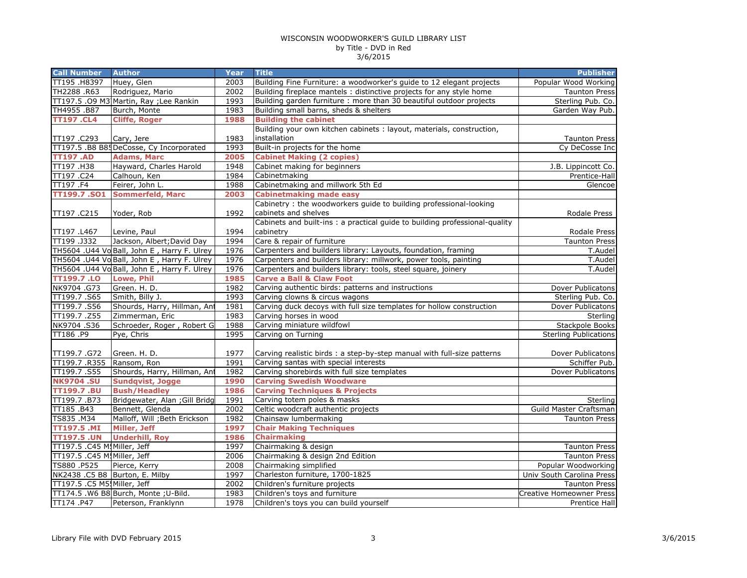| <b>Call Number</b>           | <b>Author</b>                               | <b>Year</b> | <b>Title</b>                                                                | <b>Publisher</b>          |
|------------------------------|---------------------------------------------|-------------|-----------------------------------------------------------------------------|---------------------------|
| TT195 .H8397                 | Huey, Glen                                  | 2003        | Building Fine Furniture: a woodworker's guide to 12 elegant projects        | Popular Wood Working      |
| TH2288 .R63                  | Rodriguez, Mario                            | 2002        | Building fireplace mantels : distinctive projects for any style home        | Taunton Press             |
|                              | TT197.5 .09 M3 Martin, Ray ; Lee Rankin     | 1993        | Building garden furniture : more than 30 beautiful outdoor projects         | Sterling Pub. Co.         |
| TH4955.B87                   | Burch, Monte                                | 1983        | Building small barns, sheds & shelters                                      | Garden Way Pub.           |
| <b>TT197.CL4</b>             | <b>Cliffe, Roger</b>                        | 1988        | <b>Building the cabinet</b>                                                 |                           |
|                              |                                             |             | Building your own kitchen cabinets : layout, materials, construction,       |                           |
| TT197.C293                   | Cary, Jere                                  | 1983        | installation                                                                | <b>Taunton Press</b>      |
|                              | TT197.5 .B8 B85DeCosse, Cy Incorporated     | 1993        | Built-in projects for the home                                              | Cy DeCosse Inc            |
| <b>TT197.AD</b>              | <b>Adams, Marc</b>                          | 2005        | <b>Cabinet Making (2 copies)</b>                                            |                           |
| TT197 .H38                   | Hayward, Charles Harold                     | 1948        | Cabinet making for beginners                                                | J.B. Lippincott Co.       |
| TT197.C24                    | Calhoun, Ken                                | 1984        | Cabinetmaking                                                               | Prentice-Hall             |
| TT197.F4                     | Feirer, John L.                             | 1988        | Cabinetmaking and millwork 5th Ed                                           | Glencoe                   |
| <b>TT199.7.SO1</b>           | <b>Sommerfeld, Marc</b>                     | 2003        | <b>Cabinetmaking made easy</b>                                              |                           |
|                              |                                             |             | Cabinetry: the woodworkers guide to building professional-looking           |                           |
| TT197.C215                   | Yoder, Rob                                  | 1992        | cabinets and shelves                                                        | Rodale Press              |
|                              |                                             |             | Cabinets and built-ins : a practical guide to building professional-quality |                           |
| TT197 .L467                  | Levine, Paul                                | 1994        | cabinetry                                                                   | Rodale Press              |
| TT199.J332                   | Jackson, Albert; David Day                  | 1994        | Care & repair of furniture                                                  | Taunton Press             |
|                              | TH5604 .U44 Vo Ball, John E, Harry F. Ulrey | 1976        | Carpenters and builders library: Layouts, foundation, framing               | T.Audel                   |
|                              | TH5604 .U44 Vo Ball, John E, Harry F. Ulrey | 1976        | Carpenters and builders library: millwork, power tools, painting            | T.Audel                   |
|                              | TH5604 .U44 Vo Ball, John E, Harry F. Ulrey | 1976        | Carpenters and builders library: tools, steel square, joinery               | T.Audel                   |
| <b>TT199.7 .LO</b>           | Lowe, Phil                                  | 1985        | <b>Carve a Ball &amp; Claw Foot</b>                                         |                           |
| NK9704.G73                   | Green. H. D.                                | 1982        | Carving authentic birds: patterns and instructions                          | Dover Publicatons         |
| TT199.7.S65                  | Smith, Billy J.                             | 1993        | Carving clowns & circus wagons                                              | Sterling Pub. Co.         |
| TT199.7.S56                  | Shourds, Harry, Hillman, Ant                | 1981        | Carving duck decoys with full size templates for hollow construction        | Dover Publicatons         |
| TT199.7.Z55                  | Zimmerman, Eric                             | 1983        | Carving horses in wood                                                      | Sterling                  |
| NK9704.S36                   | Schroeder, Roger, Robert G                  | 1988        | Carving miniature wildfowl                                                  | Stackpole Books           |
| TT186.P9                     | Pye, Chris                                  | 1995        | Carving on Turning                                                          | Sterling Publications     |
|                              |                                             |             |                                                                             |                           |
| TT199.7.G72                  | Green. H. D.                                | 1977        | Carving realistic birds : a step-by-step manual with full-size patterns     | Dover Publicatons         |
| TT199.7 .R355                | Ransom, Ron                                 | 1991        | Carving santas with special interests                                       | Schiffer Pub.             |
| TT199.7.S55                  | Shourds, Harry, Hillman, Ant                | 1982        | Carving shorebirds with full size templates                                 | Dover Publicatons         |
| <b>NK9704.SU</b>             | <b>Sundqvist, Jogge</b>                     | 1990        | <b>Carving Swedish Woodware</b>                                             |                           |
| <b>TT199.7 .BU</b>           | <b>Bush/Headley</b>                         | 1986        | <b>Carving Techniques &amp; Projects</b>                                    |                           |
| TT199.7.B73                  | Bridgewater, Alan ; Gill Bridg              | 1991        | Carving totem poles & masks                                                 | Sterling                  |
| TT185.B43                    | Bennett, Glenda                             | 2002        | Celtic woodcraft authentic projects                                         | Guild Master Craftsman    |
| TS835 .M34                   | Malloff, Will ; Beth Erickson               | 1982        | Chainsaw lumbermaking                                                       | <b>Taunton Press</b>      |
| TT197.5 .MI                  | Miller, Jeff                                | 1997        | <b>Chair Making Techniques</b>                                              |                           |
| <b>TT197.5 .UN</b>           | <b>Underhill, Roy</b>                       | 1986        | <b>Chairmaking</b>                                                          |                           |
| TT197.5 .C45 M. Miller, Jeff |                                             | 1997        | Chairmaking & design                                                        | <b>Taunton Press</b>      |
| TT197.5 .C45 M. Miller, Jeff |                                             | 2006        | Chairmaking & design 2nd Edition                                            | <b>Taunton Press</b>      |
| TS880 .P525                  | Pierce, Kerry                               | 2008        | Chairmaking simplified                                                      | Popular Woodworking       |
|                              | NK2438 .C5 B8 Burton, E. Milby              | 1997        | Charleston furniture, 1700-1825                                             | Univ South Carolina Press |
| TT197.5 .C5 M5! Miller, Jeff |                                             | 2002        | Children's furniture projects                                               | <b>Taunton Press</b>      |
|                              | TT174.5 .W6 B8 Burch, Monte ; U-Bild.       | 1983        | Children's toys and furniture                                               | Creative Homeowner Press  |
| TT174.P47                    | Peterson, Franklynn                         | 1978        | Children's toys you can build yourself                                      | Prentice Hall             |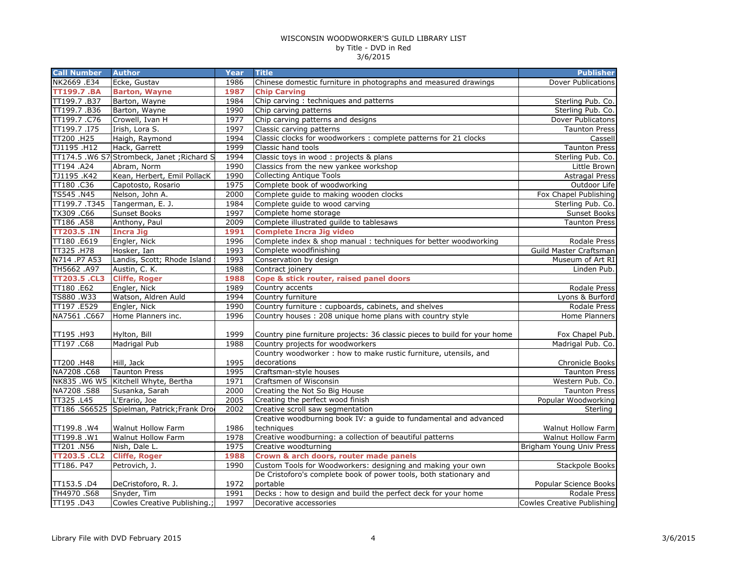| <b>Dover Publications</b><br>NK2669 .E34<br>Ecke, Gustav<br>1986<br>Chinese domestic furniture in photographs and measured drawings<br><b>TT199.7 .BA</b><br><b>Barton, Wayne</b><br>1987<br><b>Chip Carving</b><br>TT199.7.B37<br>Chip carving: techniques and patterns<br>Barton, Wayne<br>1984<br>Sterling Pub. Co.<br>TT199.7.B36<br>Barton, Wayne<br>1990<br>Chip carving patterns<br>Sterling Pub. Co. |          |
|--------------------------------------------------------------------------------------------------------------------------------------------------------------------------------------------------------------------------------------------------------------------------------------------------------------------------------------------------------------------------------------------------------------|----------|
|                                                                                                                                                                                                                                                                                                                                                                                                              |          |
|                                                                                                                                                                                                                                                                                                                                                                                                              |          |
|                                                                                                                                                                                                                                                                                                                                                                                                              |          |
|                                                                                                                                                                                                                                                                                                                                                                                                              |          |
| TT199.7.C76<br>1977<br>Chip carving patterns and designs<br>Crowell, Ivan H<br>Dover Publicatons                                                                                                                                                                                                                                                                                                             |          |
| TT199.7.I75<br>Irish, Lora S.<br>1997<br>Classic carving patterns<br>Taunton Press                                                                                                                                                                                                                                                                                                                           |          |
| Classic clocks for woodworkers : complete patterns for 21 clocks<br>TT200 .H25<br>1994<br>Haigh, Raymond                                                                                                                                                                                                                                                                                                     | Cassell  |
| TJ1195 .H12<br>1999<br>Hack, Garrett<br>Classic hand tools<br><b>Taunton Press</b>                                                                                                                                                                                                                                                                                                                           |          |
| TT174.5 .W6 S7 Strombeck, Janet ; Richard S<br>1994<br>Classic toys in wood : projects & plans<br>Sterling Pub. Co.                                                                                                                                                                                                                                                                                          |          |
| Classics from the new yankee workshop<br>TT194 .A24<br>Abram, Norm<br>1990<br>Little Brown                                                                                                                                                                                                                                                                                                                   |          |
| TJ1195.K42<br>Kean, Herbert, Emil PollacK<br>1990<br><b>Collecting Antique Tools</b><br><b>Astragal Press</b>                                                                                                                                                                                                                                                                                                |          |
| 1975<br>TT180.C36<br>Capotosto, Rosario<br>Complete book of woodworking<br>Outdoor Life                                                                                                                                                                                                                                                                                                                      |          |
| TS545 .N45<br>2000<br>Complete guide to making wooden clocks<br>Nelson, John A.<br>Fox Chapel Publishing                                                                                                                                                                                                                                                                                                     |          |
| TT199.7.T345<br>1984<br>Tangerman, E. J.<br>Complete guide to wood carving<br>Sterling Pub. Co.                                                                                                                                                                                                                                                                                                              |          |
| 1997<br>Complete home storage<br>TX309 .C66<br><b>Sunset Books</b><br>Sunset Books                                                                                                                                                                                                                                                                                                                           |          |
| TT186 .A58<br>Anthony, Paul<br>Complete illustrated guilde to tablesaws<br>2009<br><b>Taunton Press</b>                                                                                                                                                                                                                                                                                                      |          |
| <b>TT203.5 .IN</b><br>1991<br><b>Complete Incra Jig video</b><br><b>Incra Jig</b>                                                                                                                                                                                                                                                                                                                            |          |
| TT180.E619<br>Engler, Nick<br>1996<br>Complete index & shop manual : techniques for better woodworking<br>Rodale Press                                                                                                                                                                                                                                                                                       |          |
| TT325 .H78<br>1993<br>Guild Master Craftsman<br>Hosker, Ian<br>Complete woodfinishing                                                                                                                                                                                                                                                                                                                        |          |
| N714 .P7 A53<br>Landis, Scott; Rhode Island<br>1993<br>Conservation by design<br>Museum of Art RI                                                                                                                                                                                                                                                                                                            |          |
| 1988<br>TH5662 .A97<br>Austin, C. K.<br>Contract joinery<br>Linden Pub.                                                                                                                                                                                                                                                                                                                                      |          |
| Cope & stick router, raised panel doors<br><b>TT203.5 .CL3</b><br><b>Cliffe, Roger</b><br>1988                                                                                                                                                                                                                                                                                                               |          |
| TT180.E62<br>Engler, Nick<br>1989<br>Country accents<br>Rodale Press                                                                                                                                                                                                                                                                                                                                         |          |
| TS880 .W33<br>Watson, Aldren Auld<br>1994<br>Country furniture<br>Lyons & Burford                                                                                                                                                                                                                                                                                                                            |          |
| TT197.E529<br>Country furniture: cupboards, cabinets, and shelves<br>Engler, Nick<br>1990<br>Rodale Press                                                                                                                                                                                                                                                                                                    |          |
| NA7561 .C667<br>Home Planners inc.<br>1996<br>Country houses: 208 unique home plans with country style<br>Home Planners                                                                                                                                                                                                                                                                                      |          |
|                                                                                                                                                                                                                                                                                                                                                                                                              |          |
| TT195.H93<br>Hylton, Bill<br>1999<br>Country pine furniture projects: 36 classic pieces to build for your home<br>Fox Chapel Pub.                                                                                                                                                                                                                                                                            |          |
| TT197 .C68<br><b>Madrigal Pub</b><br>Madrigal Pub. Co.<br>1988<br>Country projects for woodworkers                                                                                                                                                                                                                                                                                                           |          |
| Country woodworker: how to make rustic furniture, utensils, and                                                                                                                                                                                                                                                                                                                                              |          |
| 1995<br>TT200 .H48<br>Hill, Jack<br>decorations<br>Chronicle Books                                                                                                                                                                                                                                                                                                                                           |          |
| NA7208 .C68<br><b>Taunton Press</b><br>1995<br>Craftsman-style houses<br><b>Taunton Press</b>                                                                                                                                                                                                                                                                                                                |          |
| NK835 .W6 W5 Kitchell Whyte, Bertha<br>Craftsmen of Wisconsin<br>1971<br>Western Pub. Co.                                                                                                                                                                                                                                                                                                                    |          |
| NA7208.S88<br>Susanka, Sarah<br>2000<br>Creating the Not So Big House<br><b>Taunton Press</b>                                                                                                                                                                                                                                                                                                                |          |
| TT325 .L45<br>2005<br>Creating the perfect wood finish<br>L'Erario, Joe<br>Popular Woodworking                                                                                                                                                                                                                                                                                                               |          |
| TT186 .S66525 Spielman, Patrick; Frank Dro<br>2002<br>Creative scroll saw segmentation                                                                                                                                                                                                                                                                                                                       | Sterling |
| Creative woodburning book IV: a guide to fundamental and advanced                                                                                                                                                                                                                                                                                                                                            |          |
| techniques<br>TT199.8.W4<br>Walnut Hollow Farm<br>1986<br>Walnut Hollow Farm                                                                                                                                                                                                                                                                                                                                 |          |
| Creative woodburning: a collection of beautiful patterns<br>TT199.8 .W1<br>Walnut Hollow Farm<br>1978<br>Walnut Hollow Farm                                                                                                                                                                                                                                                                                  |          |
| 1975<br>Creative woodturning<br>TT201.N56<br>Nish, Dale L.<br>Brigham Young Univ Press                                                                                                                                                                                                                                                                                                                       |          |
| Crown & arch doors, router made panels<br><b>TT203.5 .CL2</b><br><b>Cliffe, Roger</b><br>1988                                                                                                                                                                                                                                                                                                                |          |
| Custom Tools for Woodworkers: designing and making your own<br>TT186. P47<br>Petrovich, J.<br>1990<br>Stackpole Books                                                                                                                                                                                                                                                                                        |          |
| De Cristoforo's complete book of power tools, both stationary and                                                                                                                                                                                                                                                                                                                                            |          |
| portable<br>1972<br>TT153.5 .D4<br>DeCristoforo, R. J.<br>Popular Science Books                                                                                                                                                                                                                                                                                                                              |          |
| Decks : how to design and build the perfect deck for your home<br>TH4970.S68<br>Snyder, Tim<br>1991<br>Rodale Press                                                                                                                                                                                                                                                                                          |          |
| TT195 .D43<br>1997<br>Cowles Creative Publishing.;<br>Decorative accessories<br>Cowles Creative Publishing                                                                                                                                                                                                                                                                                                   |          |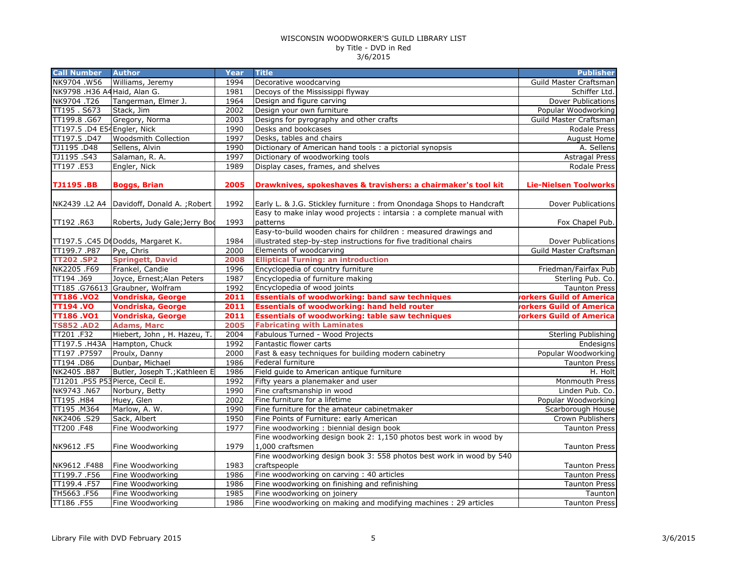| <b>Call Number</b>                             | <b>Author</b>                               | Year         | <b>Title</b>                                                                                                                          | <b>Publisher</b>                            |
|------------------------------------------------|---------------------------------------------|--------------|---------------------------------------------------------------------------------------------------------------------------------------|---------------------------------------------|
| NK9704 .W56                                    | Williams, Jeremy                            | 1994         | Decorative woodcarving                                                                                                                | Guild Master Craftsman                      |
| NK9798 .H36 A4 Haid, Alan G.                   |                                             | 1981         | Decoys of the Mississippi flyway                                                                                                      | Schiffer Ltd.                               |
| NK9704.T26                                     | Tangerman, Elmer J.                         | 1964         | Design and figure carving                                                                                                             | <b>Dover Publications</b>                   |
| TT195.S673                                     | Stack, Jim                                  | 2002         | Design your own furniture                                                                                                             | Popular Woodworking                         |
| TT199.8.G67                                    | Gregory, Norma                              | 2003         | Designs for pyrography and other crafts                                                                                               | Guild Master Craftsman                      |
| TT197.5 .D4 E54 Engler, Nick                   |                                             | 1990         | Desks and bookcases                                                                                                                   | Rodale Press                                |
| TT197.5.D47                                    | <b>Woodsmith Collection</b>                 | 1997         | Desks, tables and chairs                                                                                                              | August Home                                 |
| TJ1195.D48                                     | Sellens, Alvin                              | 1990         | Dictionary of American hand tools : a pictorial synopsis                                                                              | A. Sellens                                  |
| TJ1195.S43                                     | Salaman, R. A.                              | 1997         | Dictionary of woodworking tools                                                                                                       | <b>Astragal Press</b>                       |
| TT197.E53                                      | Engler, Nick                                | 1989         | Display cases, frames, and shelves                                                                                                    | Rodale Press                                |
| <b>TJ1195.BB</b>                               | <b>Boggs, Brian</b>                         | 2005         | Drawknives, spokeshaves & travishers: a chairmaker's tool kit                                                                         | <b>Lie-Nielsen Toolworks</b>                |
|                                                | NK2439 .L2 A4   Davidoff, Donald A.; Robert | 1992         | Early L. & J.G. Stickley furniture : from Onondaga Shops to Handcraft                                                                 | Dover Publications                          |
| TT192 .R63                                     | Roberts, Judy Gale; Jerry Bod               | 1993         | Easy to make inlay wood projects : intarsia : a complete manual with<br>patterns                                                      | Fox Chapel Pub.                             |
|                                                | TT197.5 .C45 DeDodds, Margaret K.           | 1984         | Easy-to-build wooden chairs for children : measured drawings and<br>illustrated step-by-step instructions for five traditional chairs | Dover Publications                          |
| TT199.7.P87                                    | Pye, Chris                                  | 2000         | Elements of woodcarving                                                                                                               | Guild Master Craftsman                      |
| <b>TT202.SP2</b>                               | <b>Springett, David</b>                     | 2008         | <b>Elliptical Turning: an introduction</b>                                                                                            |                                             |
| NK2205.F69                                     | Frankel, Candie                             | 1996         | Encyclopedia of country furniture                                                                                                     | Friedman/Fairfax Pub                        |
| TT194.J69                                      | Joyce, Ernest; Alan Peters                  | 1987         | Encyclopedia of furniture making                                                                                                      | Sterling Pub. Co.                           |
|                                                | TT185 .G76613 Graubner, Wolfram             | 1992         | Encyclopedia of wood joints                                                                                                           | <b>Taunton Press</b>                        |
| <b>TT186.VO2</b>                               | <b>Vondriska, George</b>                    | 2011         | <b>Essentials of woodworking: band saw techniques</b>                                                                                 | <b>vorkers Guild of America</b>             |
| <b>TT194.VO</b>                                | <b>Vondriska, George</b>                    | 2011         | <b>Essentials of woodworking: hand held router</b>                                                                                    | <b>rorkers Guild of America</b>             |
| <b>TT186.VO1</b>                               | <b>Vondriska, George</b>                    | 2011         | <b>Essentials of woodworking: table saw techniques</b>                                                                                | <b>orkers Guild of America</b>              |
|                                                |                                             |              |                                                                                                                                       |                                             |
|                                                |                                             | 2005         |                                                                                                                                       |                                             |
| <b>TS852.AD2</b>                               | <b>Adams, Marc</b>                          |              | <b>Fabricating with Laminates</b>                                                                                                     |                                             |
| TT201 .F32                                     | Hiebert, John, H. Hazeu, T.                 | 2004         | Fabulous Turned - Wood Projects<br>Fantastic flower carts                                                                             | Sterling Publishing                         |
| TT197.5 .H43A                                  | Hampton, Chuck                              | 1992<br>2000 |                                                                                                                                       | Endesigns                                   |
| TT197.P7597                                    | Proulx, Danny                               |              | Fast & easy techniques for building modern cabinetry                                                                                  |                                             |
| TT194 .D86                                     | Dunbar, Michael                             | 1986<br>1986 | Federal furniture                                                                                                                     | Popular Woodworking<br><b>Taunton Press</b> |
| NK2405.B87                                     | Butler, Joseph T.; Kathleen E               | 1992         | Field guide to American antique furniture                                                                                             | H. Holt                                     |
| TJ1201 .P55 P53 Pierce, Cecil E.<br>NK9743.N67 | Norbury, Betty                              | 1990         | Fifty years a planemaker and user<br>Fine craftsmanship in wood                                                                       | Monmouth Press<br>Linden Pub. Co.           |
| TT195.H84                                      | Huey, Glen                                  | 2002         | Fine furniture for a lifetime                                                                                                         | Popular Woodworking                         |
| TT195 .M364                                    |                                             | 1990         |                                                                                                                                       |                                             |
| NK2406.S29                                     | Marlow, A. W.<br>Sack, Albert               | 1950         | Fine furniture for the amateur cabinetmaker<br>Fine Points of Furniture: early American                                               | Scarborough House<br>Crown Publishers       |
| TT200.F48                                      | Fine Woodworking                            | 1977         | Fine woodworking: biennial design book                                                                                                | <b>Taunton Press</b>                        |
| NK9612.F5                                      | Fine Woodworking                            | 1979         | Fine woodworking design book 2: 1,150 photos best work in wood by<br>1,000 craftsmen                                                  | <b>Taunton Press</b>                        |
|                                                |                                             |              | Fine woodworking design book 3: 558 photos best work in wood by 540                                                                   |                                             |
| NK9612.F488                                    | Fine Woodworking                            | 1983         | craftspeople                                                                                                                          | <b>Taunton Press</b>                        |
| TT199.7.F56                                    | Fine Woodworking                            | 1986         | Fine woodworking on carving: 40 articles                                                                                              | <b>Taunton Press</b>                        |
| TT199.4 .F57                                   | Fine Woodworking                            | 1986         | Fine woodworking on finishing and refinishing                                                                                         | <b>Taunton Press</b>                        |
| TH5663 .F56<br>TT186 .F55                      | Fine Woodworking<br>Fine Woodworking        | 1985<br>1986 | Fine woodworking on joinery<br>Fine woodworking on making and modifying machines : 29 articles                                        | Taunton<br>Taunton Press                    |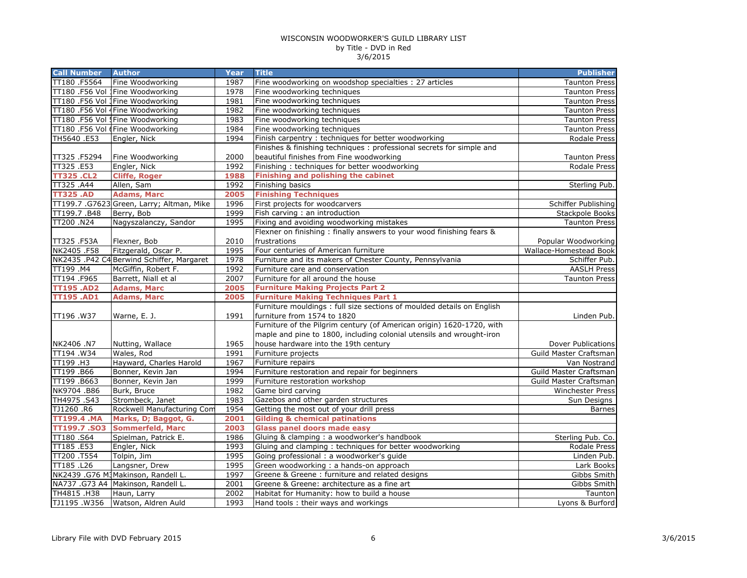| <b>Call Number</b>      | <b>Author</b>                             | <b>Year</b> | <b>Title</b>                                                           | <b>Publisher</b>        |
|-------------------------|-------------------------------------------|-------------|------------------------------------------------------------------------|-------------------------|
| TT180.F5564             | Fine Woodworking                          | 1987        | Fine woodworking on woodshop specialties : 27 articles                 | <b>Taunton Press</b>    |
|                         | TT180 .F56 Vol 1Fine Woodworking          | 1978        | Fine woodworking techniques                                            | <b>Taunton Press</b>    |
|                         | TT180 .F56 Vol 1Fine Woodworking          | 1981        | Fine woodworking techniques                                            | Taunton Press           |
|                         | TT180 .F56 Vol 4Fine Woodworking          | 1982        | Fine woodworking techniques                                            | <b>Taunton Press</b>    |
|                         | TT180 .F56 Vol !Fine Woodworking          | 1983        | Fine woodworking techniques                                            | <b>Taunton Press</b>    |
|                         | TT180 .F56 Vol (Fine Woodworking          | 1984        | Fine woodworking techniques                                            | <b>Taunton Press</b>    |
| TH5640.E53              | Engler, Nick                              | 1994        | Finish carpentry : techniques for better woodworking                   | Rodale Press            |
|                         |                                           |             | Finishes & finishing techniques: professional secrets for simple and   |                         |
| TT325.F5294             | Fine Woodworking                          | 2000        | beautiful finishes from Fine woodworking                               | <b>Taunton Press</b>    |
| TT325.E53               | Engler, Nick                              | 1992        | Finishing: techniques for better woodworking                           | Rodale Press            |
| <b>TT325.CL2</b>        | <b>Cliffe, Roger</b>                      | 1988        | Finishing and polishing the cabinet                                    |                         |
| TT325.A44               | Allen, Sam                                | 1992        | Finishing basics                                                       | Sterling Pub.           |
| <b>TT325.AD</b>         | <b>Adams, Marc</b>                        | 2005        | <b>Finishing Techniques</b>                                            |                         |
|                         | TT199.7 .G7623 Green, Larry; Altman, Mike | 1996        | First projects for woodcarvers                                         | Schiffer Publishing     |
| TT199.7.B48             | Berry, Bob                                | 1999        | Fish carving : an introduction                                         | Stackpole Books         |
| TT200 .N24              | Nagyszalanczy, Sandor                     | 1995        | Fixing and avoiding woodworking mistakes                               | <b>Taunton Press</b>    |
|                         |                                           |             | Flexner on finishing: finally answers to your wood finishing fears &   |                         |
| TT325.F53A              | Flexner, Bob                              | 2010        | frustrations                                                           | Popular Woodworking     |
| NK2405.F58              | Fitzgerald, Oscar P.                      | 1995        | Four centuries of American furniture                                   | Wallace-Homestead Book  |
|                         | NK2435 .P42 C4 Berwind Schiffer, Margaret | 1978        | Furniture and its makers of Chester County, Pennsylvania               | Schiffer Pub.           |
| TT199.M4                | McGiffin, Robert F.                       | 1992        | Furniture care and conservation                                        | <b>AASLH Press</b>      |
| TT194 .F965             | Barrett, Niall et al                      | 2007        | Furniture for all around the house                                     | <b>Taunton Press</b>    |
| <b>TT195.AD2</b>        | <b>Adams, Marc</b>                        | 2005        | <b>Furniture Making Projects Part 2</b>                                |                         |
| <b>TT195.AD1</b>        | <b>Adams, Marc</b>                        | 2005        | <b>Furniture Making Techniques Part 1</b>                              |                         |
|                         |                                           |             | Furniture mouldings : full size sections of moulded details on English |                         |
| TT196.W37               | Warne, E. J.                              | 1991        | furniture from 1574 to 1820                                            | Linden Pub.             |
|                         |                                           |             | Furniture of the Pilgrim century (of American origin) 1620-1720, with  |                         |
|                         |                                           |             | maple and pine to 1800, including colonial utensils and wrought-iron   |                         |
| NK2406 .N7              | Nutting, Wallace                          | 1965        | house hardware into the 19th century                                   | Dover Publications      |
| $\overline{TT}$ 194.W34 | Wales, Rod                                | 1991        | Furniture projects                                                     | Guild Master Craftsman  |
| TT199 .H3               | Hayward, Charles Harold                   | 1967        | Furniture repairs                                                      | Van Nostrand            |
| TT199.B66               | Bonner, Kevin Jan                         | 1994        | Furniture restoration and repair for beginners                         | Guild Master Craftsman  |
| TT199.B663              | Bonner, Kevin Jan                         | 1999        | Furniture restoration workshop                                         | Guild Master Craftsman  |
| NK9704.B86              | Burk, Bruce                               | 1982        | Game bird carving                                                      | <b>Winchester Press</b> |
| TH4975.S43              | Strombeck, Janet                          | 1983        | Gazebos and other garden structures                                    | Sun Designs             |
| TJ1260.R6               | Rockwell Manufacturing Com                | 1954        | Getting the most out of your drill press                               | <b>Barnes</b>           |
| <b>TT199.4.MA</b>       | Marks, D; Baggot, G.                      | 2001        | <b>Gilding &amp; chemical patinations</b>                              |                         |
| TT199.7.SO3             | <b>Sommerfeld, Marc</b>                   | 2003        | <b>Glass panel doors made easy</b>                                     |                         |
| TT180.S64               | Spielman, Patrick E.                      | 1986        | Gluing & clamping : a woodworker's handbook                            | Sterling Pub. Co.       |
| TT185.E53               | Engler, Nick                              | 1993        | Gluing and clamping: techniques for better woodworking                 | Rodale Press            |
| TT200 .T554             | Tolpin, Jim                               | 1995        | Going professional : a woodworker's guide                              | Linden Pub.             |
| TT185 .L26              | Langsner, Drew                            | 1995        | Green woodworking : a hands-on approach                                | Lark Books              |
|                         | NK2439 .G76 M3Makinson, Randell L.        | 1997        | Greene & Greene: furniture and related designs                         | Gibbs Smith             |
|                         | NA737 .G73 A4 Makinson, Randell L.        | 2001        | Greene & Greene: architecture as a fine art                            | Gibbs Smith             |
| TH4815.H38              | Haun, Larry                               | 2002        | Habitat for Humanity: how to build a house                             | Taunton                 |
| TJ1195.W356             | Watson, Aldren Auld                       | 1993        | Hand tools: their ways and workings                                    | Lyons & Burford         |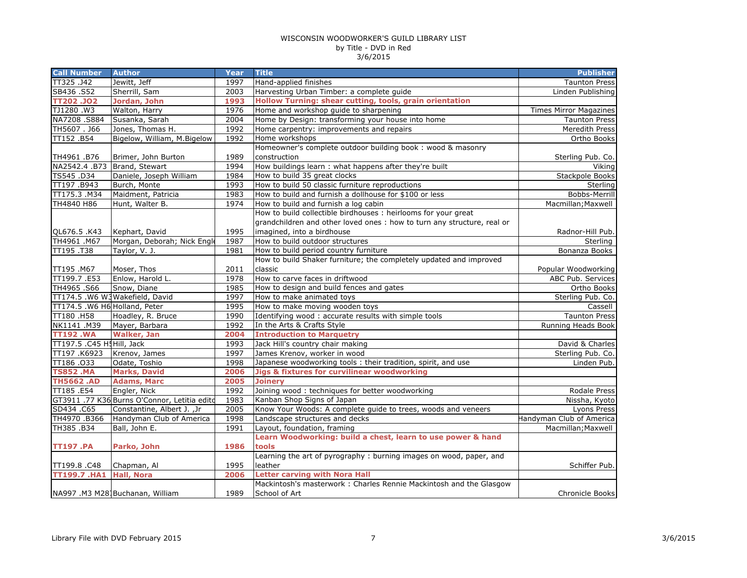| <b>Call Number</b>            | <b>Author</b>                                | Year | <b>Title</b>                                                            | <b>Publisher</b>              |
|-------------------------------|----------------------------------------------|------|-------------------------------------------------------------------------|-------------------------------|
| TT325.J42                     | Jewitt, Jeff                                 | 1997 | Hand-applied finishes                                                   | <b>Taunton Press</b>          |
| SB436 .S52                    | Sherrill, Sam                                | 2003 | Harvesting Urban Timber: a complete guide                               | Linden Publishing             |
| <b>TT202.JO2</b>              | Jordan, John                                 | 1993 | Hollow Turning: shear cutting, tools, grain orientation                 |                               |
| TJ1280.W3                     | Walton, Harry                                | 1976 | Home and workshop guide to sharpening                                   | <b>Times Mirror Magazines</b> |
| NA7208.S884                   | Susanka, Sarah                               | 2004 | Home by Design: transforming your house into home                       | <b>Taunton Press</b>          |
| TH5607. J66                   | Jones, Thomas H.                             | 1992 | Home carpentry: improvements and repairs                                | Meredith Press                |
| TT152.B54                     | Bigelow, William, M.Bigelow                  | 1992 | Home workshops                                                          | Ortho Books                   |
|                               |                                              |      | Homeowner's complete outdoor building book: wood & masonry              |                               |
| TH4961 .B76                   | Brimer, John Burton                          | 1989 | construction                                                            | Sterling Pub. Co.             |
| NA2542.4 .B73                 | Brand, Stewart                               | 1994 | How buildings learn : what happens after they're built                  | Viking                        |
| TS545 .D34                    | Daniele, Joseph William                      | 1984 | How to build 35 great clocks                                            | Stackpole Books               |
| TT197.B943                    | Burch, Monte                                 | 1993 | How to build 50 classic furniture reproductions                         | Sterling                      |
| TT175.3 .M34                  | Maidment, Patricia                           | 1983 | How to build and furnish a dollhouse for \$100 or less                  | Bobbs-Merrill                 |
| TH4840 H86                    | Hunt, Walter B.                              | 1974 | How to build and furnish a log cabin                                    | Macmillan; Maxwell            |
|                               |                                              |      | How to build collectible birdhouses : heirlooms for your great          |                               |
|                               |                                              |      | grandchildren and other loved ones : how to turn any structure, real or |                               |
| QL676.5 .K43                  | Kephart, David                               | 1995 | imagined, into a birdhouse                                              | Radnor-Hill Pub.              |
| TH4961 .M67                   | Morgan, Deborah; Nick Engle                  | 1987 | How to build outdoor structures                                         | Sterling                      |
| TT195.T38                     | Taylor, V. J.                                | 1981 | How to build period country furniture                                   | Bonanza Books                 |
|                               |                                              |      | How to build Shaker furniture; the completely updated and improved      |                               |
| TT195.M67                     | Moser, Thos                                  | 2011 | classic                                                                 | Popular Woodworking           |
| TT199.7.E53                   | Enlow, Harold L.                             | 1978 | How to carve faces in driftwood                                         | ABC Pub. Services             |
| TH4965.S66                    | Snow, Diane                                  | 1985 | How to design and build fences and gates                                | Ortho Books                   |
|                               | TT174.5 .W6 W3 Wakefield, David              | 1997 | How to make animated toys                                               | Sterling Pub. Co.             |
| TT174.5 .W6 H6 Holland, Peter |                                              | 1995 | How to make moving wooden toys                                          | Cassell                       |
| TT180 .H58                    | Hoadley, R. Bruce                            | 1990 | Identifying wood: accurate results with simple tools                    | <b>Taunton Press</b>          |
| NK1141.M39                    | Mayer, Barbara                               | 1992 | In the Arts & Crafts Style                                              | Running Heads Book            |
| <b>TT192.WA</b>               | <b>Walker, Jan</b>                           | 2004 | <b>Introduction to Marquetry</b>                                        |                               |
| TT197.5 .C45 H! Hill, Jack    |                                              | 1993 | Jack Hill's country chair making                                        | David & Charles               |
| TT197.K6923                   | Krenov, James                                | 1997 | James Krenov, worker in wood                                            | Sterling Pub. Co.             |
| TT186.033                     | Odate, Toshio                                | 1998 | Japanese woodworking tools : their tradition, spirit, and use           | Linden Pub.                   |
| <b>TS852.MA</b>               | <b>Marks, David</b>                          | 2006 | <b>Jigs &amp; fixtures for curvilinear woodworking</b>                  |                               |
| <b>TH5662.AD</b>              | <b>Adams, Marc</b>                           | 2005 | <b>Joinerv</b>                                                          |                               |
| TT185.E54                     | Engler, Nick                                 | 1992 | Joining wood: techniques for better woodworking                         | Rodale Press                  |
|                               | GT3911 .77 K36 Burns O'Connor, Letitia edito | 1983 | Kanban Shop Signs of Japan                                              | Nissha, Kyoto                 |
| SD434 .C65                    | Constantine, Albert J., Jr                   | 2005 | Know Your Woods: A complete guide to trees, woods and veneers           | Lyons Press                   |
| TH4970.B366                   | Handyman Club of America                     | 1998 | Landscape structures and decks                                          | Handyman Club of America      |
| TH385.B34                     | Ball, John E.                                | 1991 | Layout, foundation, framing                                             | Macmillan; Maxwell            |
|                               |                                              |      | Learn Woodworking: build a chest, learn to use power & hand             |                               |
| <b>TT197.PA</b>               | Parko, John                                  | 1986 | tools                                                                   |                               |
|                               |                                              |      | Learning the art of pyrography : burning images on wood, paper, and     |                               |
| TT199.8.C48                   | Chapman, Al                                  | 1995 | leather                                                                 | Schiffer Pub.                 |
| TT199.7 .HA1 Hall, Nora       |                                              | 2006 | <b>Letter carving with Nora Hall</b>                                    |                               |
|                               |                                              |      | Mackintosh's masterwork: Charles Rennie Mackintosh and the Glasgow      |                               |
|                               | NA997 .M3 M281Buchanan, William              | 1989 | School of Art                                                           | Chronicle Books               |
|                               |                                              |      |                                                                         |                               |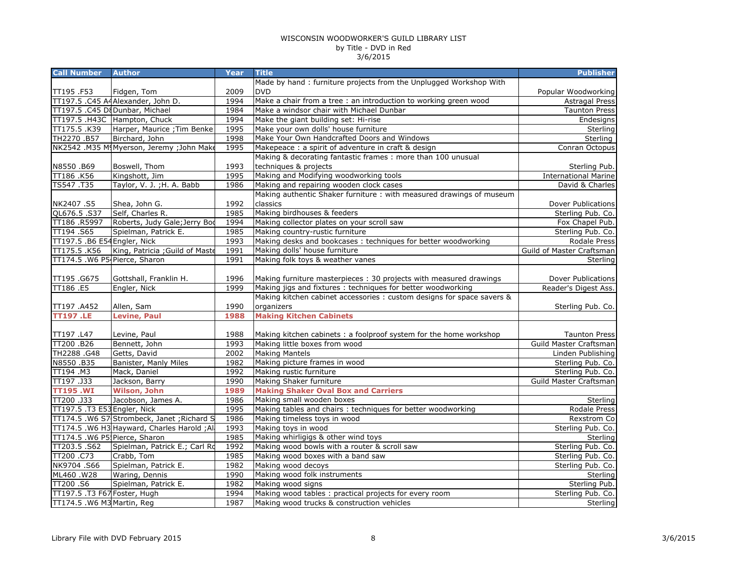| Made by hand: furniture projects from the Unplugged Workshop With<br><b>DVD</b><br>2009<br>TT195.F53<br>Fidgen, Tom<br>TT197.5 .C45 A4Alexander, John D.<br>1994<br>Make a chair from a tree : an introduction to working green wood<br>TT197.5 .C45 D&Dunbar, Michael<br>Make a windsor chair with Michael Dunbar<br>1984<br>1994<br>Make the giant building set: Hi-rise<br>TT197.5 .H43C Hampton, Chuck<br>TT175.5.K39<br>Harper, Maurice ; Tim Benke<br>1995<br>Make your own dolls' house furniture<br>Make Your Own Handcrafted Doors and Windows<br>TH2270.B57<br>Birchard, John<br>1998<br>Sterling<br>NK2542 .M35 M(Myerson, Jeremy ; John Make<br>1995<br>Conran Octopus<br>Makepeace : a spirit of adventure in craft & design<br>Making & decorating fantastic frames : more than 100 unusual<br>techniques & projects<br>1993<br>N8550.B69<br>Boswell, Thom<br>Sterling Pub.<br>Kingshott, Jim<br>Making and Modifying woodworking tools<br>TT186.K56<br>1995<br>TS547.T35<br>Taylor, V. J.; H. A. Babb<br>1986<br>Making and repairing wooden clock cases<br>David & Charles<br>Making authentic Shaker furniture : with measured drawings of museum<br>1992<br>classics<br>NK2407.S5<br>Shea, John G.<br>Dover Publications<br>Making birdhouses & feeders<br>QL676.5.S37<br>Self, Charles R.<br>1985<br>Sterling Pub. Co.<br>TT186 .R5997<br>Roberts, Judy Gale; Jerry Bod<br>1994<br>Making collector plates on your scroll saw<br>Fox Chapel Pub.<br>Making country-rustic furniture<br>TT194.S65<br>Spielman, Patrick E.<br>1985<br>Sterling Pub. Co.<br>TT197.5 .B6 E54 Engler, Nick<br>1993<br>Making desks and bookcases : techniques for better woodworking<br>King, Patricia ; Guild of Maste<br>TT175.5 .K56<br>1991<br>Making dolls' house furniture<br>TT174.5 .W6 P5-Pierce, Sharon<br>1991<br>Making folk toys & weather vanes<br>Sterling<br>Making furniture masterpieces: 30 projects with measured drawings<br>TT195.G675<br>Gottshall, Franklin H.<br>1996<br>TT186.E5<br>Engler, Nick<br>1999<br>Making jigs and fixtures : techniques for better woodworking<br>Reader's Digest Ass.<br>Making kitchen cabinet accessories : custom designs for space savers &<br>1990<br>organizers<br>TT197 .A452<br>Allen, Sam<br><b>Levine, Paul</b><br><b>Making Kitchen Cabinets</b><br><b>TT197.LE</b><br>1988<br>Levine, Paul<br>TT197 .L47<br>1988<br>Making kitchen cabinets: a foolproof system for the home workshop<br><b>Taunton Press</b><br>TT200 .B26<br>Bennett, John<br>1993<br>Making little boxes from wood<br>Guild Master Craftsman<br><b>Making Mantels</b><br>TH2288 .G48<br>Getts, David<br>2002<br>Linden Publishing<br>N8550 .B35<br>Banister, Manly Miles<br>1982<br>Making picture frames in wood<br>TT194 .M3<br>Mack, Daniel<br>Making rustic furniture<br>1992<br>Making Shaker furniture<br>TT197 .J33<br>Jackson, Barry<br>1990<br>Guild Master Craftsman<br><b>Wilson, John</b><br><b>TT195.WI</b><br>1989<br><b>Making Shaker Oval Box and Carriers</b><br>Making small wooden boxes<br>TT200 .J33<br>Jacobson, James A.<br>1986<br>1995<br>Making tables and chairs : techniques for better woodworking<br>TT197.5 .T3 E53 Engler, Nick<br>TT174.5 .W6 S7 Strombeck, Janet ; Richard S<br>Making timeless toys in wood<br>1986<br>1993<br>Making toys in wood<br>TT174.5 .W6 H3 Hayward, Charles Harold; Ala<br>Sterling Pub. Co.<br>TT174.5 .W6 P5 Pierce, Sharon<br>1985<br>Making whirligigs & other wind toys<br>Sterling<br>TT203.5.S62<br>1992<br>Making wood bowls with a router & scroll saw<br>Spielman, Patrick E.; Carl Ro<br>Sterling Pub. Co.<br>Crabb, Tom<br>TT200.C73<br>1985<br>Making wood boxes with a band saw<br>Sterling Pub. Co.<br>Spielman, Patrick E.<br>NK9704.S66<br>1982<br>Making wood decoys<br>ML460 .W28<br>Waring, Dennis<br>1990<br>Making wood folk instruments<br>Sterling<br>TT200.S6<br>Spielman, Patrick E.<br>1982<br>Making wood signs<br>Making wood tables : practical projects for every room<br>TT197.5 .T3 F67 Foster, Hugh<br>1994<br>Sterling Pub. Co.<br>TT174.5 .W6 M3 Martin, Reg<br>1987<br>Making wood trucks & construction vehicles | <b>Call Number</b> | <b>Author</b> | <b>Year</b> | <b>Title</b> | <b>Publisher</b> |
|-------------------------------------------------------------------------------------------------------------------------------------------------------------------------------------------------------------------------------------------------------------------------------------------------------------------------------------------------------------------------------------------------------------------------------------------------------------------------------------------------------------------------------------------------------------------------------------------------------------------------------------------------------------------------------------------------------------------------------------------------------------------------------------------------------------------------------------------------------------------------------------------------------------------------------------------------------------------------------------------------------------------------------------------------------------------------------------------------------------------------------------------------------------------------------------------------------------------------------------------------------------------------------------------------------------------------------------------------------------------------------------------------------------------------------------------------------------------------------------------------------------------------------------------------------------------------------------------------------------------------------------------------------------------------------------------------------------------------------------------------------------------------------------------------------------------------------------------------------------------------------------------------------------------------------------------------------------------------------------------------------------------------------------------------------------------------------------------------------------------------------------------------------------------------------------------------------------------------------------------------------------------------------------------------------------------------------------------------------------------------------------------------------------------------------------------------------------------------------------------------------------------------------------------------------------------------------------------------------------------------------------------------------------------------------------------------------------------------------------------------------------------------------------------------------------------------------------------------------------------------------------------------------------------------------------------------------------------------------------------------------------------------------------------------------------------------------------------------------------------------------------------------------------------------------------------------------------------------------------------------------------------------------------------------------------------------------------------------------------------------------------------------------------------------------------------------------------------------------------------------------------------------------------------------------------------------------------------------------------------------------------------------------------------------------------------------------------------------------------------------------------------------------------------------------------------------------------------------------------------------------------------------------------------------------------------------------------------------------------------------------------------------------------------------------------------------------------------------------------------------------------------------------|--------------------|---------------|-------------|--------------|------------------|
| Popular Woodworking<br><b>Astragal Press</b><br><b>Taunton Press</b><br>Endesigns<br>Sterling<br><b>International Marine</b><br>Rodale Press<br>Guild of Master Craftsman                                                                                                                                                                                                                                                                                                                                                                                                                                                                                                                                                                                                                                                                                                                                                                                                                                                                                                                                                                                                                                                                                                                                                                                                                                                                                                                                                                                                                                                                                                                                                                                                                                                                                                                                                                                                                                                                                                                                                                                                                                                                                                                                                                                                                                                                                                                                                                                                                                                                                                                                                                                                                                                                                                                                                                                                                                                                                                                                                                                                                                                                                                                                                                                                                                                                                                                                                                                                                                                                                                                                                                                                                                                                                                                                                                                                                                                                                                                                                                             |                    |               |             |              |                  |
|                                                                                                                                                                                                                                                                                                                                                                                                                                                                                                                                                                                                                                                                                                                                                                                                                                                                                                                                                                                                                                                                                                                                                                                                                                                                                                                                                                                                                                                                                                                                                                                                                                                                                                                                                                                                                                                                                                                                                                                                                                                                                                                                                                                                                                                                                                                                                                                                                                                                                                                                                                                                                                                                                                                                                                                                                                                                                                                                                                                                                                                                                                                                                                                                                                                                                                                                                                                                                                                                                                                                                                                                                                                                                                                                                                                                                                                                                                                                                                                                                                                                                                                                                       |                    |               |             |              |                  |
|                                                                                                                                                                                                                                                                                                                                                                                                                                                                                                                                                                                                                                                                                                                                                                                                                                                                                                                                                                                                                                                                                                                                                                                                                                                                                                                                                                                                                                                                                                                                                                                                                                                                                                                                                                                                                                                                                                                                                                                                                                                                                                                                                                                                                                                                                                                                                                                                                                                                                                                                                                                                                                                                                                                                                                                                                                                                                                                                                                                                                                                                                                                                                                                                                                                                                                                                                                                                                                                                                                                                                                                                                                                                                                                                                                                                                                                                                                                                                                                                                                                                                                                                                       |                    |               |             |              |                  |
|                                                                                                                                                                                                                                                                                                                                                                                                                                                                                                                                                                                                                                                                                                                                                                                                                                                                                                                                                                                                                                                                                                                                                                                                                                                                                                                                                                                                                                                                                                                                                                                                                                                                                                                                                                                                                                                                                                                                                                                                                                                                                                                                                                                                                                                                                                                                                                                                                                                                                                                                                                                                                                                                                                                                                                                                                                                                                                                                                                                                                                                                                                                                                                                                                                                                                                                                                                                                                                                                                                                                                                                                                                                                                                                                                                                                                                                                                                                                                                                                                                                                                                                                                       |                    |               |             |              |                  |
|                                                                                                                                                                                                                                                                                                                                                                                                                                                                                                                                                                                                                                                                                                                                                                                                                                                                                                                                                                                                                                                                                                                                                                                                                                                                                                                                                                                                                                                                                                                                                                                                                                                                                                                                                                                                                                                                                                                                                                                                                                                                                                                                                                                                                                                                                                                                                                                                                                                                                                                                                                                                                                                                                                                                                                                                                                                                                                                                                                                                                                                                                                                                                                                                                                                                                                                                                                                                                                                                                                                                                                                                                                                                                                                                                                                                                                                                                                                                                                                                                                                                                                                                                       |                    |               |             |              |                  |
|                                                                                                                                                                                                                                                                                                                                                                                                                                                                                                                                                                                                                                                                                                                                                                                                                                                                                                                                                                                                                                                                                                                                                                                                                                                                                                                                                                                                                                                                                                                                                                                                                                                                                                                                                                                                                                                                                                                                                                                                                                                                                                                                                                                                                                                                                                                                                                                                                                                                                                                                                                                                                                                                                                                                                                                                                                                                                                                                                                                                                                                                                                                                                                                                                                                                                                                                                                                                                                                                                                                                                                                                                                                                                                                                                                                                                                                                                                                                                                                                                                                                                                                                                       |                    |               |             |              |                  |
|                                                                                                                                                                                                                                                                                                                                                                                                                                                                                                                                                                                                                                                                                                                                                                                                                                                                                                                                                                                                                                                                                                                                                                                                                                                                                                                                                                                                                                                                                                                                                                                                                                                                                                                                                                                                                                                                                                                                                                                                                                                                                                                                                                                                                                                                                                                                                                                                                                                                                                                                                                                                                                                                                                                                                                                                                                                                                                                                                                                                                                                                                                                                                                                                                                                                                                                                                                                                                                                                                                                                                                                                                                                                                                                                                                                                                                                                                                                                                                                                                                                                                                                                                       |                    |               |             |              |                  |
|                                                                                                                                                                                                                                                                                                                                                                                                                                                                                                                                                                                                                                                                                                                                                                                                                                                                                                                                                                                                                                                                                                                                                                                                                                                                                                                                                                                                                                                                                                                                                                                                                                                                                                                                                                                                                                                                                                                                                                                                                                                                                                                                                                                                                                                                                                                                                                                                                                                                                                                                                                                                                                                                                                                                                                                                                                                                                                                                                                                                                                                                                                                                                                                                                                                                                                                                                                                                                                                                                                                                                                                                                                                                                                                                                                                                                                                                                                                                                                                                                                                                                                                                                       |                    |               |             |              |                  |
|                                                                                                                                                                                                                                                                                                                                                                                                                                                                                                                                                                                                                                                                                                                                                                                                                                                                                                                                                                                                                                                                                                                                                                                                                                                                                                                                                                                                                                                                                                                                                                                                                                                                                                                                                                                                                                                                                                                                                                                                                                                                                                                                                                                                                                                                                                                                                                                                                                                                                                                                                                                                                                                                                                                                                                                                                                                                                                                                                                                                                                                                                                                                                                                                                                                                                                                                                                                                                                                                                                                                                                                                                                                                                                                                                                                                                                                                                                                                                                                                                                                                                                                                                       |                    |               |             |              |                  |
|                                                                                                                                                                                                                                                                                                                                                                                                                                                                                                                                                                                                                                                                                                                                                                                                                                                                                                                                                                                                                                                                                                                                                                                                                                                                                                                                                                                                                                                                                                                                                                                                                                                                                                                                                                                                                                                                                                                                                                                                                                                                                                                                                                                                                                                                                                                                                                                                                                                                                                                                                                                                                                                                                                                                                                                                                                                                                                                                                                                                                                                                                                                                                                                                                                                                                                                                                                                                                                                                                                                                                                                                                                                                                                                                                                                                                                                                                                                                                                                                                                                                                                                                                       |                    |               |             |              |                  |
|                                                                                                                                                                                                                                                                                                                                                                                                                                                                                                                                                                                                                                                                                                                                                                                                                                                                                                                                                                                                                                                                                                                                                                                                                                                                                                                                                                                                                                                                                                                                                                                                                                                                                                                                                                                                                                                                                                                                                                                                                                                                                                                                                                                                                                                                                                                                                                                                                                                                                                                                                                                                                                                                                                                                                                                                                                                                                                                                                                                                                                                                                                                                                                                                                                                                                                                                                                                                                                                                                                                                                                                                                                                                                                                                                                                                                                                                                                                                                                                                                                                                                                                                                       |                    |               |             |              |                  |
|                                                                                                                                                                                                                                                                                                                                                                                                                                                                                                                                                                                                                                                                                                                                                                                                                                                                                                                                                                                                                                                                                                                                                                                                                                                                                                                                                                                                                                                                                                                                                                                                                                                                                                                                                                                                                                                                                                                                                                                                                                                                                                                                                                                                                                                                                                                                                                                                                                                                                                                                                                                                                                                                                                                                                                                                                                                                                                                                                                                                                                                                                                                                                                                                                                                                                                                                                                                                                                                                                                                                                                                                                                                                                                                                                                                                                                                                                                                                                                                                                                                                                                                                                       |                    |               |             |              |                  |
|                                                                                                                                                                                                                                                                                                                                                                                                                                                                                                                                                                                                                                                                                                                                                                                                                                                                                                                                                                                                                                                                                                                                                                                                                                                                                                                                                                                                                                                                                                                                                                                                                                                                                                                                                                                                                                                                                                                                                                                                                                                                                                                                                                                                                                                                                                                                                                                                                                                                                                                                                                                                                                                                                                                                                                                                                                                                                                                                                                                                                                                                                                                                                                                                                                                                                                                                                                                                                                                                                                                                                                                                                                                                                                                                                                                                                                                                                                                                                                                                                                                                                                                                                       |                    |               |             |              |                  |
|                                                                                                                                                                                                                                                                                                                                                                                                                                                                                                                                                                                                                                                                                                                                                                                                                                                                                                                                                                                                                                                                                                                                                                                                                                                                                                                                                                                                                                                                                                                                                                                                                                                                                                                                                                                                                                                                                                                                                                                                                                                                                                                                                                                                                                                                                                                                                                                                                                                                                                                                                                                                                                                                                                                                                                                                                                                                                                                                                                                                                                                                                                                                                                                                                                                                                                                                                                                                                                                                                                                                                                                                                                                                                                                                                                                                                                                                                                                                                                                                                                                                                                                                                       |                    |               |             |              |                  |
|                                                                                                                                                                                                                                                                                                                                                                                                                                                                                                                                                                                                                                                                                                                                                                                                                                                                                                                                                                                                                                                                                                                                                                                                                                                                                                                                                                                                                                                                                                                                                                                                                                                                                                                                                                                                                                                                                                                                                                                                                                                                                                                                                                                                                                                                                                                                                                                                                                                                                                                                                                                                                                                                                                                                                                                                                                                                                                                                                                                                                                                                                                                                                                                                                                                                                                                                                                                                                                                                                                                                                                                                                                                                                                                                                                                                                                                                                                                                                                                                                                                                                                                                                       |                    |               |             |              |                  |
|                                                                                                                                                                                                                                                                                                                                                                                                                                                                                                                                                                                                                                                                                                                                                                                                                                                                                                                                                                                                                                                                                                                                                                                                                                                                                                                                                                                                                                                                                                                                                                                                                                                                                                                                                                                                                                                                                                                                                                                                                                                                                                                                                                                                                                                                                                                                                                                                                                                                                                                                                                                                                                                                                                                                                                                                                                                                                                                                                                                                                                                                                                                                                                                                                                                                                                                                                                                                                                                                                                                                                                                                                                                                                                                                                                                                                                                                                                                                                                                                                                                                                                                                                       |                    |               |             |              |                  |
|                                                                                                                                                                                                                                                                                                                                                                                                                                                                                                                                                                                                                                                                                                                                                                                                                                                                                                                                                                                                                                                                                                                                                                                                                                                                                                                                                                                                                                                                                                                                                                                                                                                                                                                                                                                                                                                                                                                                                                                                                                                                                                                                                                                                                                                                                                                                                                                                                                                                                                                                                                                                                                                                                                                                                                                                                                                                                                                                                                                                                                                                                                                                                                                                                                                                                                                                                                                                                                                                                                                                                                                                                                                                                                                                                                                                                                                                                                                                                                                                                                                                                                                                                       |                    |               |             |              |                  |
|                                                                                                                                                                                                                                                                                                                                                                                                                                                                                                                                                                                                                                                                                                                                                                                                                                                                                                                                                                                                                                                                                                                                                                                                                                                                                                                                                                                                                                                                                                                                                                                                                                                                                                                                                                                                                                                                                                                                                                                                                                                                                                                                                                                                                                                                                                                                                                                                                                                                                                                                                                                                                                                                                                                                                                                                                                                                                                                                                                                                                                                                                                                                                                                                                                                                                                                                                                                                                                                                                                                                                                                                                                                                                                                                                                                                                                                                                                                                                                                                                                                                                                                                                       |                    |               |             |              |                  |
|                                                                                                                                                                                                                                                                                                                                                                                                                                                                                                                                                                                                                                                                                                                                                                                                                                                                                                                                                                                                                                                                                                                                                                                                                                                                                                                                                                                                                                                                                                                                                                                                                                                                                                                                                                                                                                                                                                                                                                                                                                                                                                                                                                                                                                                                                                                                                                                                                                                                                                                                                                                                                                                                                                                                                                                                                                                                                                                                                                                                                                                                                                                                                                                                                                                                                                                                                                                                                                                                                                                                                                                                                                                                                                                                                                                                                                                                                                                                                                                                                                                                                                                                                       |                    |               |             |              |                  |
|                                                                                                                                                                                                                                                                                                                                                                                                                                                                                                                                                                                                                                                                                                                                                                                                                                                                                                                                                                                                                                                                                                                                                                                                                                                                                                                                                                                                                                                                                                                                                                                                                                                                                                                                                                                                                                                                                                                                                                                                                                                                                                                                                                                                                                                                                                                                                                                                                                                                                                                                                                                                                                                                                                                                                                                                                                                                                                                                                                                                                                                                                                                                                                                                                                                                                                                                                                                                                                                                                                                                                                                                                                                                                                                                                                                                                                                                                                                                                                                                                                                                                                                                                       |                    |               |             |              |                  |
| Dover Publications<br>Sterling Pub. Co.<br>Sterling Pub. Co.<br>Sterling Pub. Co.<br>Sterling<br>Rodale Press<br>Rexstrom Co<br>Sterling Pub. Co.<br>Sterling Pub.<br>Sterling                                                                                                                                                                                                                                                                                                                                                                                                                                                                                                                                                                                                                                                                                                                                                                                                                                                                                                                                                                                                                                                                                                                                                                                                                                                                                                                                                                                                                                                                                                                                                                                                                                                                                                                                                                                                                                                                                                                                                                                                                                                                                                                                                                                                                                                                                                                                                                                                                                                                                                                                                                                                                                                                                                                                                                                                                                                                                                                                                                                                                                                                                                                                                                                                                                                                                                                                                                                                                                                                                                                                                                                                                                                                                                                                                                                                                                                                                                                                                                        |                    |               |             |              |                  |
|                                                                                                                                                                                                                                                                                                                                                                                                                                                                                                                                                                                                                                                                                                                                                                                                                                                                                                                                                                                                                                                                                                                                                                                                                                                                                                                                                                                                                                                                                                                                                                                                                                                                                                                                                                                                                                                                                                                                                                                                                                                                                                                                                                                                                                                                                                                                                                                                                                                                                                                                                                                                                                                                                                                                                                                                                                                                                                                                                                                                                                                                                                                                                                                                                                                                                                                                                                                                                                                                                                                                                                                                                                                                                                                                                                                                                                                                                                                                                                                                                                                                                                                                                       |                    |               |             |              |                  |
|                                                                                                                                                                                                                                                                                                                                                                                                                                                                                                                                                                                                                                                                                                                                                                                                                                                                                                                                                                                                                                                                                                                                                                                                                                                                                                                                                                                                                                                                                                                                                                                                                                                                                                                                                                                                                                                                                                                                                                                                                                                                                                                                                                                                                                                                                                                                                                                                                                                                                                                                                                                                                                                                                                                                                                                                                                                                                                                                                                                                                                                                                                                                                                                                                                                                                                                                                                                                                                                                                                                                                                                                                                                                                                                                                                                                                                                                                                                                                                                                                                                                                                                                                       |                    |               |             |              |                  |
|                                                                                                                                                                                                                                                                                                                                                                                                                                                                                                                                                                                                                                                                                                                                                                                                                                                                                                                                                                                                                                                                                                                                                                                                                                                                                                                                                                                                                                                                                                                                                                                                                                                                                                                                                                                                                                                                                                                                                                                                                                                                                                                                                                                                                                                                                                                                                                                                                                                                                                                                                                                                                                                                                                                                                                                                                                                                                                                                                                                                                                                                                                                                                                                                                                                                                                                                                                                                                                                                                                                                                                                                                                                                                                                                                                                                                                                                                                                                                                                                                                                                                                                                                       |                    |               |             |              |                  |
|                                                                                                                                                                                                                                                                                                                                                                                                                                                                                                                                                                                                                                                                                                                                                                                                                                                                                                                                                                                                                                                                                                                                                                                                                                                                                                                                                                                                                                                                                                                                                                                                                                                                                                                                                                                                                                                                                                                                                                                                                                                                                                                                                                                                                                                                                                                                                                                                                                                                                                                                                                                                                                                                                                                                                                                                                                                                                                                                                                                                                                                                                                                                                                                                                                                                                                                                                                                                                                                                                                                                                                                                                                                                                                                                                                                                                                                                                                                                                                                                                                                                                                                                                       |                    |               |             |              |                  |
|                                                                                                                                                                                                                                                                                                                                                                                                                                                                                                                                                                                                                                                                                                                                                                                                                                                                                                                                                                                                                                                                                                                                                                                                                                                                                                                                                                                                                                                                                                                                                                                                                                                                                                                                                                                                                                                                                                                                                                                                                                                                                                                                                                                                                                                                                                                                                                                                                                                                                                                                                                                                                                                                                                                                                                                                                                                                                                                                                                                                                                                                                                                                                                                                                                                                                                                                                                                                                                                                                                                                                                                                                                                                                                                                                                                                                                                                                                                                                                                                                                                                                                                                                       |                    |               |             |              |                  |
|                                                                                                                                                                                                                                                                                                                                                                                                                                                                                                                                                                                                                                                                                                                                                                                                                                                                                                                                                                                                                                                                                                                                                                                                                                                                                                                                                                                                                                                                                                                                                                                                                                                                                                                                                                                                                                                                                                                                                                                                                                                                                                                                                                                                                                                                                                                                                                                                                                                                                                                                                                                                                                                                                                                                                                                                                                                                                                                                                                                                                                                                                                                                                                                                                                                                                                                                                                                                                                                                                                                                                                                                                                                                                                                                                                                                                                                                                                                                                                                                                                                                                                                                                       |                    |               |             |              |                  |
|                                                                                                                                                                                                                                                                                                                                                                                                                                                                                                                                                                                                                                                                                                                                                                                                                                                                                                                                                                                                                                                                                                                                                                                                                                                                                                                                                                                                                                                                                                                                                                                                                                                                                                                                                                                                                                                                                                                                                                                                                                                                                                                                                                                                                                                                                                                                                                                                                                                                                                                                                                                                                                                                                                                                                                                                                                                                                                                                                                                                                                                                                                                                                                                                                                                                                                                                                                                                                                                                                                                                                                                                                                                                                                                                                                                                                                                                                                                                                                                                                                                                                                                                                       |                    |               |             |              |                  |
|                                                                                                                                                                                                                                                                                                                                                                                                                                                                                                                                                                                                                                                                                                                                                                                                                                                                                                                                                                                                                                                                                                                                                                                                                                                                                                                                                                                                                                                                                                                                                                                                                                                                                                                                                                                                                                                                                                                                                                                                                                                                                                                                                                                                                                                                                                                                                                                                                                                                                                                                                                                                                                                                                                                                                                                                                                                                                                                                                                                                                                                                                                                                                                                                                                                                                                                                                                                                                                                                                                                                                                                                                                                                                                                                                                                                                                                                                                                                                                                                                                                                                                                                                       |                    |               |             |              |                  |
|                                                                                                                                                                                                                                                                                                                                                                                                                                                                                                                                                                                                                                                                                                                                                                                                                                                                                                                                                                                                                                                                                                                                                                                                                                                                                                                                                                                                                                                                                                                                                                                                                                                                                                                                                                                                                                                                                                                                                                                                                                                                                                                                                                                                                                                                                                                                                                                                                                                                                                                                                                                                                                                                                                                                                                                                                                                                                                                                                                                                                                                                                                                                                                                                                                                                                                                                                                                                                                                                                                                                                                                                                                                                                                                                                                                                                                                                                                                                                                                                                                                                                                                                                       |                    |               |             |              |                  |
|                                                                                                                                                                                                                                                                                                                                                                                                                                                                                                                                                                                                                                                                                                                                                                                                                                                                                                                                                                                                                                                                                                                                                                                                                                                                                                                                                                                                                                                                                                                                                                                                                                                                                                                                                                                                                                                                                                                                                                                                                                                                                                                                                                                                                                                                                                                                                                                                                                                                                                                                                                                                                                                                                                                                                                                                                                                                                                                                                                                                                                                                                                                                                                                                                                                                                                                                                                                                                                                                                                                                                                                                                                                                                                                                                                                                                                                                                                                                                                                                                                                                                                                                                       |                    |               |             |              |                  |
|                                                                                                                                                                                                                                                                                                                                                                                                                                                                                                                                                                                                                                                                                                                                                                                                                                                                                                                                                                                                                                                                                                                                                                                                                                                                                                                                                                                                                                                                                                                                                                                                                                                                                                                                                                                                                                                                                                                                                                                                                                                                                                                                                                                                                                                                                                                                                                                                                                                                                                                                                                                                                                                                                                                                                                                                                                                                                                                                                                                                                                                                                                                                                                                                                                                                                                                                                                                                                                                                                                                                                                                                                                                                                                                                                                                                                                                                                                                                                                                                                                                                                                                                                       |                    |               |             |              |                  |
|                                                                                                                                                                                                                                                                                                                                                                                                                                                                                                                                                                                                                                                                                                                                                                                                                                                                                                                                                                                                                                                                                                                                                                                                                                                                                                                                                                                                                                                                                                                                                                                                                                                                                                                                                                                                                                                                                                                                                                                                                                                                                                                                                                                                                                                                                                                                                                                                                                                                                                                                                                                                                                                                                                                                                                                                                                                                                                                                                                                                                                                                                                                                                                                                                                                                                                                                                                                                                                                                                                                                                                                                                                                                                                                                                                                                                                                                                                                                                                                                                                                                                                                                                       |                    |               |             |              |                  |
|                                                                                                                                                                                                                                                                                                                                                                                                                                                                                                                                                                                                                                                                                                                                                                                                                                                                                                                                                                                                                                                                                                                                                                                                                                                                                                                                                                                                                                                                                                                                                                                                                                                                                                                                                                                                                                                                                                                                                                                                                                                                                                                                                                                                                                                                                                                                                                                                                                                                                                                                                                                                                                                                                                                                                                                                                                                                                                                                                                                                                                                                                                                                                                                                                                                                                                                                                                                                                                                                                                                                                                                                                                                                                                                                                                                                                                                                                                                                                                                                                                                                                                                                                       |                    |               |             |              |                  |
|                                                                                                                                                                                                                                                                                                                                                                                                                                                                                                                                                                                                                                                                                                                                                                                                                                                                                                                                                                                                                                                                                                                                                                                                                                                                                                                                                                                                                                                                                                                                                                                                                                                                                                                                                                                                                                                                                                                                                                                                                                                                                                                                                                                                                                                                                                                                                                                                                                                                                                                                                                                                                                                                                                                                                                                                                                                                                                                                                                                                                                                                                                                                                                                                                                                                                                                                                                                                                                                                                                                                                                                                                                                                                                                                                                                                                                                                                                                                                                                                                                                                                                                                                       |                    |               |             |              |                  |
|                                                                                                                                                                                                                                                                                                                                                                                                                                                                                                                                                                                                                                                                                                                                                                                                                                                                                                                                                                                                                                                                                                                                                                                                                                                                                                                                                                                                                                                                                                                                                                                                                                                                                                                                                                                                                                                                                                                                                                                                                                                                                                                                                                                                                                                                                                                                                                                                                                                                                                                                                                                                                                                                                                                                                                                                                                                                                                                                                                                                                                                                                                                                                                                                                                                                                                                                                                                                                                                                                                                                                                                                                                                                                                                                                                                                                                                                                                                                                                                                                                                                                                                                                       |                    |               |             |              |                  |
|                                                                                                                                                                                                                                                                                                                                                                                                                                                                                                                                                                                                                                                                                                                                                                                                                                                                                                                                                                                                                                                                                                                                                                                                                                                                                                                                                                                                                                                                                                                                                                                                                                                                                                                                                                                                                                                                                                                                                                                                                                                                                                                                                                                                                                                                                                                                                                                                                                                                                                                                                                                                                                                                                                                                                                                                                                                                                                                                                                                                                                                                                                                                                                                                                                                                                                                                                                                                                                                                                                                                                                                                                                                                                                                                                                                                                                                                                                                                                                                                                                                                                                                                                       |                    |               |             |              |                  |
|                                                                                                                                                                                                                                                                                                                                                                                                                                                                                                                                                                                                                                                                                                                                                                                                                                                                                                                                                                                                                                                                                                                                                                                                                                                                                                                                                                                                                                                                                                                                                                                                                                                                                                                                                                                                                                                                                                                                                                                                                                                                                                                                                                                                                                                                                                                                                                                                                                                                                                                                                                                                                                                                                                                                                                                                                                                                                                                                                                                                                                                                                                                                                                                                                                                                                                                                                                                                                                                                                                                                                                                                                                                                                                                                                                                                                                                                                                                                                                                                                                                                                                                                                       |                    |               |             |              |                  |
|                                                                                                                                                                                                                                                                                                                                                                                                                                                                                                                                                                                                                                                                                                                                                                                                                                                                                                                                                                                                                                                                                                                                                                                                                                                                                                                                                                                                                                                                                                                                                                                                                                                                                                                                                                                                                                                                                                                                                                                                                                                                                                                                                                                                                                                                                                                                                                                                                                                                                                                                                                                                                                                                                                                                                                                                                                                                                                                                                                                                                                                                                                                                                                                                                                                                                                                                                                                                                                                                                                                                                                                                                                                                                                                                                                                                                                                                                                                                                                                                                                                                                                                                                       |                    |               |             |              |                  |
|                                                                                                                                                                                                                                                                                                                                                                                                                                                                                                                                                                                                                                                                                                                                                                                                                                                                                                                                                                                                                                                                                                                                                                                                                                                                                                                                                                                                                                                                                                                                                                                                                                                                                                                                                                                                                                                                                                                                                                                                                                                                                                                                                                                                                                                                                                                                                                                                                                                                                                                                                                                                                                                                                                                                                                                                                                                                                                                                                                                                                                                                                                                                                                                                                                                                                                                                                                                                                                                                                                                                                                                                                                                                                                                                                                                                                                                                                                                                                                                                                                                                                                                                                       |                    |               |             |              |                  |
|                                                                                                                                                                                                                                                                                                                                                                                                                                                                                                                                                                                                                                                                                                                                                                                                                                                                                                                                                                                                                                                                                                                                                                                                                                                                                                                                                                                                                                                                                                                                                                                                                                                                                                                                                                                                                                                                                                                                                                                                                                                                                                                                                                                                                                                                                                                                                                                                                                                                                                                                                                                                                                                                                                                                                                                                                                                                                                                                                                                                                                                                                                                                                                                                                                                                                                                                                                                                                                                                                                                                                                                                                                                                                                                                                                                                                                                                                                                                                                                                                                                                                                                                                       |                    |               |             |              |                  |
|                                                                                                                                                                                                                                                                                                                                                                                                                                                                                                                                                                                                                                                                                                                                                                                                                                                                                                                                                                                                                                                                                                                                                                                                                                                                                                                                                                                                                                                                                                                                                                                                                                                                                                                                                                                                                                                                                                                                                                                                                                                                                                                                                                                                                                                                                                                                                                                                                                                                                                                                                                                                                                                                                                                                                                                                                                                                                                                                                                                                                                                                                                                                                                                                                                                                                                                                                                                                                                                                                                                                                                                                                                                                                                                                                                                                                                                                                                                                                                                                                                                                                                                                                       |                    |               |             |              |                  |
|                                                                                                                                                                                                                                                                                                                                                                                                                                                                                                                                                                                                                                                                                                                                                                                                                                                                                                                                                                                                                                                                                                                                                                                                                                                                                                                                                                                                                                                                                                                                                                                                                                                                                                                                                                                                                                                                                                                                                                                                                                                                                                                                                                                                                                                                                                                                                                                                                                                                                                                                                                                                                                                                                                                                                                                                                                                                                                                                                                                                                                                                                                                                                                                                                                                                                                                                                                                                                                                                                                                                                                                                                                                                                                                                                                                                                                                                                                                                                                                                                                                                                                                                                       |                    |               |             |              |                  |
|                                                                                                                                                                                                                                                                                                                                                                                                                                                                                                                                                                                                                                                                                                                                                                                                                                                                                                                                                                                                                                                                                                                                                                                                                                                                                                                                                                                                                                                                                                                                                                                                                                                                                                                                                                                                                                                                                                                                                                                                                                                                                                                                                                                                                                                                                                                                                                                                                                                                                                                                                                                                                                                                                                                                                                                                                                                                                                                                                                                                                                                                                                                                                                                                                                                                                                                                                                                                                                                                                                                                                                                                                                                                                                                                                                                                                                                                                                                                                                                                                                                                                                                                                       |                    |               |             |              |                  |
|                                                                                                                                                                                                                                                                                                                                                                                                                                                                                                                                                                                                                                                                                                                                                                                                                                                                                                                                                                                                                                                                                                                                                                                                                                                                                                                                                                                                                                                                                                                                                                                                                                                                                                                                                                                                                                                                                                                                                                                                                                                                                                                                                                                                                                                                                                                                                                                                                                                                                                                                                                                                                                                                                                                                                                                                                                                                                                                                                                                                                                                                                                                                                                                                                                                                                                                                                                                                                                                                                                                                                                                                                                                                                                                                                                                                                                                                                                                                                                                                                                                                                                                                                       |                    |               |             |              |                  |
|                                                                                                                                                                                                                                                                                                                                                                                                                                                                                                                                                                                                                                                                                                                                                                                                                                                                                                                                                                                                                                                                                                                                                                                                                                                                                                                                                                                                                                                                                                                                                                                                                                                                                                                                                                                                                                                                                                                                                                                                                                                                                                                                                                                                                                                                                                                                                                                                                                                                                                                                                                                                                                                                                                                                                                                                                                                                                                                                                                                                                                                                                                                                                                                                                                                                                                                                                                                                                                                                                                                                                                                                                                                                                                                                                                                                                                                                                                                                                                                                                                                                                                                                                       |                    |               |             |              |                  |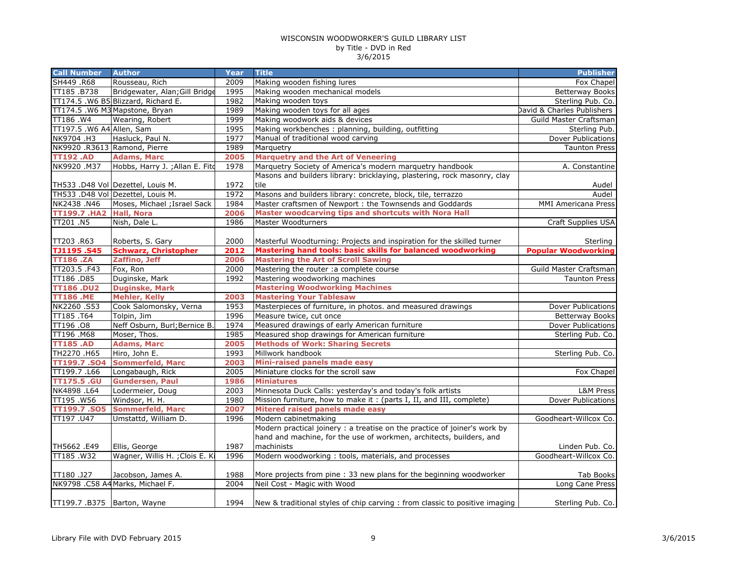| <b>Call Number</b>           | <b>Author</b>                       | <b>Year</b> | <b>Title</b>                                                                | <b>Publisher</b>           |
|------------------------------|-------------------------------------|-------------|-----------------------------------------------------------------------------|----------------------------|
| SH449 .R68                   | Rousseau, Rich                      | 2009        | Making wooden fishing lures                                                 | Fox Chapel                 |
| TT185.B738                   | Bridgewater, Alan; Gill Bridge      | 1995        | Making wooden mechanical models                                             | <b>Betterway Books</b>     |
|                              | TT174.5 .W6 B5 Blizzard, Richard E. | 1982        | Making wooden toys                                                          | Sterling Pub. Co.          |
|                              | TT174.5 .W6 M3 Mapstone, Bryan      | 1989        | Making wooden toys for all ages                                             | David & Charles Publishers |
| TT186 .W4                    | Wearing, Robert                     | 1999        | Making woodwork aids & devices                                              | Guild Master Craftsman     |
| TT197.5 .W6 A4 Allen, Sam    |                                     | 1995        | Making workbenches: planning, building, outfitting                          | Sterling Pub.              |
| NK9704.H3                    | Hasluck, Paul N.                    | 1977        | Manual of traditional wood carving                                          | Dover Publications         |
| NK9920 .R3613 Ramond, Pierre |                                     | 1989        | Marquetry                                                                   | <b>Taunton Press</b>       |
| <b>TT192.AD</b>              | <b>Adams, Marc</b>                  | 2005        | <b>Marquetry and the Art of Veneering</b>                                   |                            |
| NK9920.M37                   | Hobbs, Harry J. ; Allan E. Fito     | 1978        | Marquetry Society of America's modern marquetry handbook                    | A. Constantine             |
|                              |                                     |             | Masons and builders library: bricklaying, plastering, rock masonry, clay    |                            |
|                              | TH533 .D48 Vol Dezettel, Louis M.   | 1972        | tile                                                                        | Audel                      |
|                              | TH533 .D48 Vol Dezettel, Louis M.   | 1972        | Masons and builders library: concrete, block, tile, terrazzo                | Audel                      |
| NK2438.N46                   | Moses, Michael ; Israel Sack        | 1984        | Master craftsmen of Newport : the Townsends and Goddards                    | MMI Americana Press        |
| <b>TT199.7 .HA2</b>          | <b>Hall, Nora</b>                   | 2006        | Master woodcarving tips and shortcuts with Nora Hall                        |                            |
| TT201 .N5                    | Nish, Dale L.                       | 1986        | <b>Master Woodturners</b>                                                   | Craft Supplies USA         |
|                              |                                     |             |                                                                             |                            |
| TT203.R63                    | Roberts, S. Gary                    | 2000        | Masterful Woodturning: Projects and inspiration for the skilled turner      | Sterling                   |
| <b>TJ1195.S45</b>            | <b>Schwarz, Christopher</b>         | 2012        | Mastering hand tools: basic skills for balanced woodworking                 | <b>Popular Woodworking</b> |
| <b>TT186.ZA</b>              | Zaffino, Jeff                       | 2006        | <b>Mastering the Art of Scroll Sawing</b>                                   |                            |
| TT203.5 .F43                 | Fox, Ron                            | 2000        | Mastering the router : a complete course                                    | Guild Master Craftsman     |
| TT186.D85                    | Duginske, Mark                      | 1992        | Mastering woodworking machines                                              | <b>Taunton Press</b>       |
| <b>TT186.DU2</b>             | <b>Duginske, Mark</b>               |             | <b>Mastering Woodworking Machines</b>                                       |                            |
| <b>TT186.ME</b>              | <b>Mehler, Kelly</b>                | 2003        | <b>Mastering Your Tablesaw</b>                                              |                            |
| NK2260.S53                   | Cook Salomonsky, Verna              | 1953        | Masterpieces of furniture, in photos. and measured drawings                 | Dover Publications         |
| TT185.T64                    | Tolpin, Jim                         | 1996        | Measure twice, cut once                                                     | <b>Betterway Books</b>     |
| TT196.08                     | Neff Osburn, Burl; Bernice B.       | 1974        | Measured drawings of early American furniture                               | Dover Publications         |
| TT196 .M68                   | Moser, Thos.                        | 1985        | Measured shop drawings for American furniture                               | Sterling Pub. Co.          |
| <b>TT185.AD</b>              | <b>Adams, Marc</b>                  | 2005        | <b>Methods of Work: Sharing Secrets</b>                                     |                            |
| TH2270 .H65                  | Hiro, John E.                       | 1993        | Millwork handbook                                                           | Sterling Pub. Co.          |
| <b>TT199.7.SO4</b>           | <b>Sommerfeld, Marc</b>             | 2003        | Mini-raised panels made easy                                                |                            |
| TT199.7.L66                  | Longabaugh, Rick                    | 2005        | Miniature clocks for the scroll saw                                         | Fox Chapel                 |
| <b>TT175.5 .GU</b>           | <b>Gundersen, Paul</b>              | 1986        | <b>Miniatures</b>                                                           |                            |
| NK4898 .L64                  | Lodermeier, Doug                    | 2003        | Minnesota Duck Calls: yesterday's and today's folk artists                  | L&M Press                  |
| TT195.W56                    | Windsor, H. H.                      | 1980        | Mission furniture, how to make it: (parts I, II, and III, complete)         | Dover Publications         |
| TT199.7.SO5                  | <b>Sommerfeld, Marc</b>             | 2007        | Mitered raised panels made easy                                             |                            |
| TT197.U47                    | Umstattd, William D.                | 1996        | Modern cabinetmaking                                                        | Goodheart-Willcox Co.      |
|                              |                                     |             | Modern practical joinery : a treatise on the practice of joiner's work by   |                            |
|                              |                                     |             | hand and machine, for the use of workmen, architects, builders, and         |                            |
| TH5662.E49                   | Ellis, George                       | 1987        | machinists                                                                  | Linden Pub. Co.            |
| TT185.W32                    | Wagner, Willis H. ; Clois E. Ki     | 1996        | Modern woodworking: tools, materials, and processes                         | Goodheart-Willcox Co.      |
|                              |                                     |             |                                                                             |                            |
| TT180.J27                    | Jacobson, James A.                  | 1988        | More projects from pine : 33 new plans for the beginning woodworker         | Tab Books                  |
|                              | NK9798 .C58 A4 Marks, Michael F.    | 2004        | Neil Cost - Magic with Wood                                                 | Long Cane Press            |
| TT199.7 .B375 Barton, Wayne  |                                     | 1994        | New & traditional styles of chip carving : from classic to positive imaging | Sterling Pub. Co.          |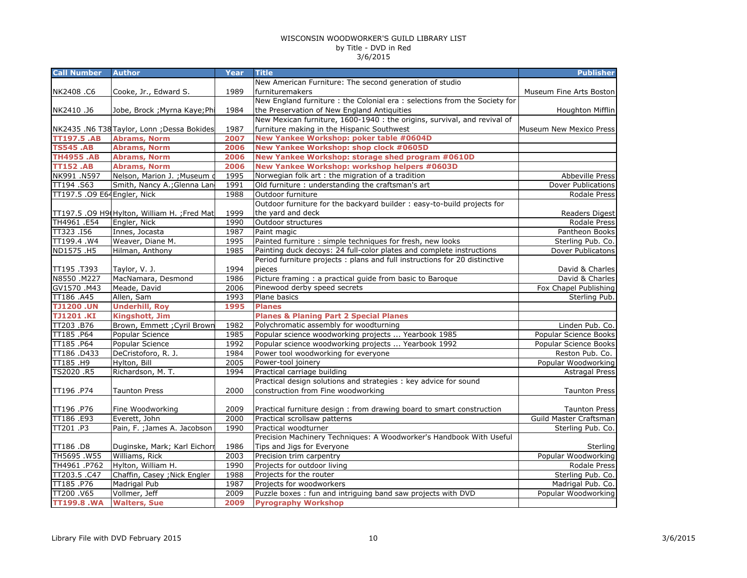| New American Furniture: The second generation of studio<br>1989<br>furnituremakers<br>NK2408.C6<br>Cooke, Jr., Edward S.<br>Museum Fine Arts Boston<br>New England furniture : the Colonial era : selections from the Society for<br>1984<br>the Preservation of New England Antiquities<br>NK2410.J6<br>Jobe, Brock ; Myrna Kaye; Phi<br>Houghton Mifflin<br>New Mexican furniture, 1600-1940 : the origins, survival, and revival of<br>1987<br>furniture making in the Hispanic Southwest<br>Museum New Mexico Press<br>NK2435 .N6 T38 Taylor, Lonn ; Dessa Bokides<br>New Yankee Workshop: poker table #0604D<br>2007<br><b>TT197.5 .AB</b><br><b>Abrams, Norm</b><br><b>TS545 .AB</b><br><b>Abrams, Norm</b><br>2006<br>New Yankee Workshop: shop clock #0605D<br><b>TH4955.AB</b><br><b>Abrams, Norm</b><br>2006<br>New Yankee Workshop: storage shed program #0610D<br><b>Abrams, Norm</b><br>New Yankee Workshop: workshop helpers #0603D<br><b>TT152.AB</b><br>2006<br>1995<br>NK991.N597<br>Nelson, Marion J.; Museum<br>Norwegian folk art : the migration of a tradition<br>Abbeville Press<br>Smith, Nancy A.; Glenna Lan<br>Old furniture : understanding the craftsman's art<br>TT194.S63<br>1991<br>Dover Publications<br>TT197.5 .09 E64 Engler, Nick<br>1988<br>Outdoor furniture<br>Rodale Press<br>Outdoor furniture for the backyard builder : easy-to-build projects for<br>the yard and deck<br>TT197.5 .09 H9(Hylton, William H. ; Fred Mat<br>1999<br>Readers Digest<br>TH4961 .E54<br>Engler, Nick<br>1990<br>Outdoor structures<br>Rodale Press<br>TT323.I56<br>Innes, Jocasta<br>1987<br>Paint magic<br>Pantheon Books<br>TT199.4 .W4<br>Weaver, Diane M.<br>1995<br>Painted furniture : simple techniques for fresh, new looks<br>Sterling Pub. Co.<br>ND1575.H5<br>Hilman, Anthony<br>1985<br>Painting duck decoys: 24 full-color plates and complete instructions<br>Dover Publicatons<br>Period furniture projects : plans and full instructions for 20 distinctive<br>TT195.T393<br>Taylor, V. J.<br>1994<br>pieces<br>David & Charles<br>N8550.M227<br>MacNamara, Desmond<br>Picture framing : a practical guide from basic to Baroque<br>1986<br>David & Charles<br>GV1570.M43<br>Meade, David<br>2006<br>Pinewood derby speed secrets<br>Fox Chapel Publishing<br>TT186 .A45<br>1993<br>Allen, Sam<br>Plane basics<br>Sterling Pub.<br><b>TJ1200.UN</b><br><b>Underhill, Roy</b><br>1995<br><b>Planes</b><br><b>TJ1201.KI</b><br><b>Kingshott, Jim</b><br><b>Planes &amp; Planing Part 2 Special Planes</b><br>Polychromatic assembly for woodturning<br>TT203.B76<br>Brown, Emmett ; Cyril Brown<br>1982<br>Linden Pub. Co.<br>Popular science woodworking projects  Yearbook 1985<br>TT185.P64<br>Popular Science<br>1985<br>Popular Science Books<br>TT185.P64<br>Popular Science<br>1992<br>Popular science woodworking projects  Yearbook 1992<br>Popular Science Books<br>TT186.D433<br>DeCristoforo, R. J.<br>1984<br>Power tool woodworking for everyone<br>Reston Pub. Co.<br>TT185.H9<br>Hylton, Bill<br>2005<br>Power-tool joinery<br>Popular Woodworking<br>TS2020 .R5<br>Richardson, M. T.<br>1994<br>Practical carriage building<br><b>Astragal Press</b><br>Practical design solutions and strategies : key advice for sound<br>2000<br>construction from Fine woodworking<br>TT196.P74<br><b>Taunton Press</b><br><b>Taunton Press</b><br>2009<br>TT196.P76<br>Fine Woodworking<br>Practical furniture design: from drawing board to smart construction<br><b>Taunton Press</b><br>2000<br>TT186 .E93<br>Everett, John<br>Practical scrollsaw patterns<br>Guild Master Craftsman<br>Pain, F. ; James A. Jacobson<br>TT201.P3<br>1990<br>Sterling Pub. Co.<br>Practical woodturner<br>Precision Machinery Techniques: A Woodworker's Handbook With Useful<br>Tips and Jigs for Everyone<br>TT186.D8<br>Duginske, Mark; Karl Eichorr<br>1986<br>TH5695.W55<br>Williams, Rick<br>2003<br>Precision trim carpentry<br>Hylton, William H.<br>1990<br>Projects for outdoor living<br>TH4961.P762<br>Chaffin, Casey ; Nick Engler<br>Projects for the router<br>TT203.5.C47<br>1988<br>TT185.P76<br>Madrigal Pub<br>1987<br>Projects for woodworkers<br>Madrigal Pub. Co.<br>TT200 .V65<br>2009<br>Puzzle boxes : fun and intriguing band saw projects with DVD<br>Vollmer, Jeff<br><b>TT199.8 .WA</b><br><b>Walters, Sue</b><br>2009<br><b>Pyrography Workshop</b> | <b>Call Number</b> | <b>Author</b> | Year | <b>Title</b> | <b>Publisher</b> |
|------------------------------------------------------------------------------------------------------------------------------------------------------------------------------------------------------------------------------------------------------------------------------------------------------------------------------------------------------------------------------------------------------------------------------------------------------------------------------------------------------------------------------------------------------------------------------------------------------------------------------------------------------------------------------------------------------------------------------------------------------------------------------------------------------------------------------------------------------------------------------------------------------------------------------------------------------------------------------------------------------------------------------------------------------------------------------------------------------------------------------------------------------------------------------------------------------------------------------------------------------------------------------------------------------------------------------------------------------------------------------------------------------------------------------------------------------------------------------------------------------------------------------------------------------------------------------------------------------------------------------------------------------------------------------------------------------------------------------------------------------------------------------------------------------------------------------------------------------------------------------------------------------------------------------------------------------------------------------------------------------------------------------------------------------------------------------------------------------------------------------------------------------------------------------------------------------------------------------------------------------------------------------------------------------------------------------------------------------------------------------------------------------------------------------------------------------------------------------------------------------------------------------------------------------------------------------------------------------------------------------------------------------------------------------------------------------------------------------------------------------------------------------------------------------------------------------------------------------------------------------------------------------------------------------------------------------------------------------------------------------------------------------------------------------------------------------------------------------------------------------------------------------------------------------------------------------------------------------------------------------------------------------------------------------------------------------------------------------------------------------------------------------------------------------------------------------------------------------------------------------------------------------------------------------------------------------------------------------------------------------------------------------------------------------------------------------------------------------------------------------------------------------------------------------------------------------------------------------------------------------------------------------------------------------------------------------------------------------------------------------------------------------------------------------------------------------------------------------------------------------------------------------------------------------------------------------------------------------------------------------------------------------------------------------------------------------------------------------------------------------------------------------------------|--------------------|---------------|------|--------------|------------------|
|                                                                                                                                                                                                                                                                                                                                                                                                                                                                                                                                                                                                                                                                                                                                                                                                                                                                                                                                                                                                                                                                                                                                                                                                                                                                                                                                                                                                                                                                                                                                                                                                                                                                                                                                                                                                                                                                                                                                                                                                                                                                                                                                                                                                                                                                                                                                                                                                                                                                                                                                                                                                                                                                                                                                                                                                                                                                                                                                                                                                                                                                                                                                                                                                                                                                                                                                                                                                                                                                                                                                                                                                                                                                                                                                                                                                                                                                                                                                                                                                                                                                                                                                                                                                                                                                                                                                                                                                                  |                    |               |      |              |                  |
|                                                                                                                                                                                                                                                                                                                                                                                                                                                                                                                                                                                                                                                                                                                                                                                                                                                                                                                                                                                                                                                                                                                                                                                                                                                                                                                                                                                                                                                                                                                                                                                                                                                                                                                                                                                                                                                                                                                                                                                                                                                                                                                                                                                                                                                                                                                                                                                                                                                                                                                                                                                                                                                                                                                                                                                                                                                                                                                                                                                                                                                                                                                                                                                                                                                                                                                                                                                                                                                                                                                                                                                                                                                                                                                                                                                                                                                                                                                                                                                                                                                                                                                                                                                                                                                                                                                                                                                                                  |                    |               |      |              |                  |
|                                                                                                                                                                                                                                                                                                                                                                                                                                                                                                                                                                                                                                                                                                                                                                                                                                                                                                                                                                                                                                                                                                                                                                                                                                                                                                                                                                                                                                                                                                                                                                                                                                                                                                                                                                                                                                                                                                                                                                                                                                                                                                                                                                                                                                                                                                                                                                                                                                                                                                                                                                                                                                                                                                                                                                                                                                                                                                                                                                                                                                                                                                                                                                                                                                                                                                                                                                                                                                                                                                                                                                                                                                                                                                                                                                                                                                                                                                                                                                                                                                                                                                                                                                                                                                                                                                                                                                                                                  |                    |               |      |              |                  |
|                                                                                                                                                                                                                                                                                                                                                                                                                                                                                                                                                                                                                                                                                                                                                                                                                                                                                                                                                                                                                                                                                                                                                                                                                                                                                                                                                                                                                                                                                                                                                                                                                                                                                                                                                                                                                                                                                                                                                                                                                                                                                                                                                                                                                                                                                                                                                                                                                                                                                                                                                                                                                                                                                                                                                                                                                                                                                                                                                                                                                                                                                                                                                                                                                                                                                                                                                                                                                                                                                                                                                                                                                                                                                                                                                                                                                                                                                                                                                                                                                                                                                                                                                                                                                                                                                                                                                                                                                  |                    |               |      |              |                  |
|                                                                                                                                                                                                                                                                                                                                                                                                                                                                                                                                                                                                                                                                                                                                                                                                                                                                                                                                                                                                                                                                                                                                                                                                                                                                                                                                                                                                                                                                                                                                                                                                                                                                                                                                                                                                                                                                                                                                                                                                                                                                                                                                                                                                                                                                                                                                                                                                                                                                                                                                                                                                                                                                                                                                                                                                                                                                                                                                                                                                                                                                                                                                                                                                                                                                                                                                                                                                                                                                                                                                                                                                                                                                                                                                                                                                                                                                                                                                                                                                                                                                                                                                                                                                                                                                                                                                                                                                                  |                    |               |      |              |                  |
|                                                                                                                                                                                                                                                                                                                                                                                                                                                                                                                                                                                                                                                                                                                                                                                                                                                                                                                                                                                                                                                                                                                                                                                                                                                                                                                                                                                                                                                                                                                                                                                                                                                                                                                                                                                                                                                                                                                                                                                                                                                                                                                                                                                                                                                                                                                                                                                                                                                                                                                                                                                                                                                                                                                                                                                                                                                                                                                                                                                                                                                                                                                                                                                                                                                                                                                                                                                                                                                                                                                                                                                                                                                                                                                                                                                                                                                                                                                                                                                                                                                                                                                                                                                                                                                                                                                                                                                                                  |                    |               |      |              |                  |
|                                                                                                                                                                                                                                                                                                                                                                                                                                                                                                                                                                                                                                                                                                                                                                                                                                                                                                                                                                                                                                                                                                                                                                                                                                                                                                                                                                                                                                                                                                                                                                                                                                                                                                                                                                                                                                                                                                                                                                                                                                                                                                                                                                                                                                                                                                                                                                                                                                                                                                                                                                                                                                                                                                                                                                                                                                                                                                                                                                                                                                                                                                                                                                                                                                                                                                                                                                                                                                                                                                                                                                                                                                                                                                                                                                                                                                                                                                                                                                                                                                                                                                                                                                                                                                                                                                                                                                                                                  |                    |               |      |              |                  |
|                                                                                                                                                                                                                                                                                                                                                                                                                                                                                                                                                                                                                                                                                                                                                                                                                                                                                                                                                                                                                                                                                                                                                                                                                                                                                                                                                                                                                                                                                                                                                                                                                                                                                                                                                                                                                                                                                                                                                                                                                                                                                                                                                                                                                                                                                                                                                                                                                                                                                                                                                                                                                                                                                                                                                                                                                                                                                                                                                                                                                                                                                                                                                                                                                                                                                                                                                                                                                                                                                                                                                                                                                                                                                                                                                                                                                                                                                                                                                                                                                                                                                                                                                                                                                                                                                                                                                                                                                  |                    |               |      |              |                  |
|                                                                                                                                                                                                                                                                                                                                                                                                                                                                                                                                                                                                                                                                                                                                                                                                                                                                                                                                                                                                                                                                                                                                                                                                                                                                                                                                                                                                                                                                                                                                                                                                                                                                                                                                                                                                                                                                                                                                                                                                                                                                                                                                                                                                                                                                                                                                                                                                                                                                                                                                                                                                                                                                                                                                                                                                                                                                                                                                                                                                                                                                                                                                                                                                                                                                                                                                                                                                                                                                                                                                                                                                                                                                                                                                                                                                                                                                                                                                                                                                                                                                                                                                                                                                                                                                                                                                                                                                                  |                    |               |      |              |                  |
|                                                                                                                                                                                                                                                                                                                                                                                                                                                                                                                                                                                                                                                                                                                                                                                                                                                                                                                                                                                                                                                                                                                                                                                                                                                                                                                                                                                                                                                                                                                                                                                                                                                                                                                                                                                                                                                                                                                                                                                                                                                                                                                                                                                                                                                                                                                                                                                                                                                                                                                                                                                                                                                                                                                                                                                                                                                                                                                                                                                                                                                                                                                                                                                                                                                                                                                                                                                                                                                                                                                                                                                                                                                                                                                                                                                                                                                                                                                                                                                                                                                                                                                                                                                                                                                                                                                                                                                                                  |                    |               |      |              |                  |
|                                                                                                                                                                                                                                                                                                                                                                                                                                                                                                                                                                                                                                                                                                                                                                                                                                                                                                                                                                                                                                                                                                                                                                                                                                                                                                                                                                                                                                                                                                                                                                                                                                                                                                                                                                                                                                                                                                                                                                                                                                                                                                                                                                                                                                                                                                                                                                                                                                                                                                                                                                                                                                                                                                                                                                                                                                                                                                                                                                                                                                                                                                                                                                                                                                                                                                                                                                                                                                                                                                                                                                                                                                                                                                                                                                                                                                                                                                                                                                                                                                                                                                                                                                                                                                                                                                                                                                                                                  |                    |               |      |              |                  |
|                                                                                                                                                                                                                                                                                                                                                                                                                                                                                                                                                                                                                                                                                                                                                                                                                                                                                                                                                                                                                                                                                                                                                                                                                                                                                                                                                                                                                                                                                                                                                                                                                                                                                                                                                                                                                                                                                                                                                                                                                                                                                                                                                                                                                                                                                                                                                                                                                                                                                                                                                                                                                                                                                                                                                                                                                                                                                                                                                                                                                                                                                                                                                                                                                                                                                                                                                                                                                                                                                                                                                                                                                                                                                                                                                                                                                                                                                                                                                                                                                                                                                                                                                                                                                                                                                                                                                                                                                  |                    |               |      |              |                  |
|                                                                                                                                                                                                                                                                                                                                                                                                                                                                                                                                                                                                                                                                                                                                                                                                                                                                                                                                                                                                                                                                                                                                                                                                                                                                                                                                                                                                                                                                                                                                                                                                                                                                                                                                                                                                                                                                                                                                                                                                                                                                                                                                                                                                                                                                                                                                                                                                                                                                                                                                                                                                                                                                                                                                                                                                                                                                                                                                                                                                                                                                                                                                                                                                                                                                                                                                                                                                                                                                                                                                                                                                                                                                                                                                                                                                                                                                                                                                                                                                                                                                                                                                                                                                                                                                                                                                                                                                                  |                    |               |      |              |                  |
|                                                                                                                                                                                                                                                                                                                                                                                                                                                                                                                                                                                                                                                                                                                                                                                                                                                                                                                                                                                                                                                                                                                                                                                                                                                                                                                                                                                                                                                                                                                                                                                                                                                                                                                                                                                                                                                                                                                                                                                                                                                                                                                                                                                                                                                                                                                                                                                                                                                                                                                                                                                                                                                                                                                                                                                                                                                                                                                                                                                                                                                                                                                                                                                                                                                                                                                                                                                                                                                                                                                                                                                                                                                                                                                                                                                                                                                                                                                                                                                                                                                                                                                                                                                                                                                                                                                                                                                                                  |                    |               |      |              |                  |
|                                                                                                                                                                                                                                                                                                                                                                                                                                                                                                                                                                                                                                                                                                                                                                                                                                                                                                                                                                                                                                                                                                                                                                                                                                                                                                                                                                                                                                                                                                                                                                                                                                                                                                                                                                                                                                                                                                                                                                                                                                                                                                                                                                                                                                                                                                                                                                                                                                                                                                                                                                                                                                                                                                                                                                                                                                                                                                                                                                                                                                                                                                                                                                                                                                                                                                                                                                                                                                                                                                                                                                                                                                                                                                                                                                                                                                                                                                                                                                                                                                                                                                                                                                                                                                                                                                                                                                                                                  |                    |               |      |              |                  |
|                                                                                                                                                                                                                                                                                                                                                                                                                                                                                                                                                                                                                                                                                                                                                                                                                                                                                                                                                                                                                                                                                                                                                                                                                                                                                                                                                                                                                                                                                                                                                                                                                                                                                                                                                                                                                                                                                                                                                                                                                                                                                                                                                                                                                                                                                                                                                                                                                                                                                                                                                                                                                                                                                                                                                                                                                                                                                                                                                                                                                                                                                                                                                                                                                                                                                                                                                                                                                                                                                                                                                                                                                                                                                                                                                                                                                                                                                                                                                                                                                                                                                                                                                                                                                                                                                                                                                                                                                  |                    |               |      |              |                  |
|                                                                                                                                                                                                                                                                                                                                                                                                                                                                                                                                                                                                                                                                                                                                                                                                                                                                                                                                                                                                                                                                                                                                                                                                                                                                                                                                                                                                                                                                                                                                                                                                                                                                                                                                                                                                                                                                                                                                                                                                                                                                                                                                                                                                                                                                                                                                                                                                                                                                                                                                                                                                                                                                                                                                                                                                                                                                                                                                                                                                                                                                                                                                                                                                                                                                                                                                                                                                                                                                                                                                                                                                                                                                                                                                                                                                                                                                                                                                                                                                                                                                                                                                                                                                                                                                                                                                                                                                                  |                    |               |      |              |                  |
|                                                                                                                                                                                                                                                                                                                                                                                                                                                                                                                                                                                                                                                                                                                                                                                                                                                                                                                                                                                                                                                                                                                                                                                                                                                                                                                                                                                                                                                                                                                                                                                                                                                                                                                                                                                                                                                                                                                                                                                                                                                                                                                                                                                                                                                                                                                                                                                                                                                                                                                                                                                                                                                                                                                                                                                                                                                                                                                                                                                                                                                                                                                                                                                                                                                                                                                                                                                                                                                                                                                                                                                                                                                                                                                                                                                                                                                                                                                                                                                                                                                                                                                                                                                                                                                                                                                                                                                                                  |                    |               |      |              |                  |
|                                                                                                                                                                                                                                                                                                                                                                                                                                                                                                                                                                                                                                                                                                                                                                                                                                                                                                                                                                                                                                                                                                                                                                                                                                                                                                                                                                                                                                                                                                                                                                                                                                                                                                                                                                                                                                                                                                                                                                                                                                                                                                                                                                                                                                                                                                                                                                                                                                                                                                                                                                                                                                                                                                                                                                                                                                                                                                                                                                                                                                                                                                                                                                                                                                                                                                                                                                                                                                                                                                                                                                                                                                                                                                                                                                                                                                                                                                                                                                                                                                                                                                                                                                                                                                                                                                                                                                                                                  |                    |               |      |              |                  |
|                                                                                                                                                                                                                                                                                                                                                                                                                                                                                                                                                                                                                                                                                                                                                                                                                                                                                                                                                                                                                                                                                                                                                                                                                                                                                                                                                                                                                                                                                                                                                                                                                                                                                                                                                                                                                                                                                                                                                                                                                                                                                                                                                                                                                                                                                                                                                                                                                                                                                                                                                                                                                                                                                                                                                                                                                                                                                                                                                                                                                                                                                                                                                                                                                                                                                                                                                                                                                                                                                                                                                                                                                                                                                                                                                                                                                                                                                                                                                                                                                                                                                                                                                                                                                                                                                                                                                                                                                  |                    |               |      |              |                  |
|                                                                                                                                                                                                                                                                                                                                                                                                                                                                                                                                                                                                                                                                                                                                                                                                                                                                                                                                                                                                                                                                                                                                                                                                                                                                                                                                                                                                                                                                                                                                                                                                                                                                                                                                                                                                                                                                                                                                                                                                                                                                                                                                                                                                                                                                                                                                                                                                                                                                                                                                                                                                                                                                                                                                                                                                                                                                                                                                                                                                                                                                                                                                                                                                                                                                                                                                                                                                                                                                                                                                                                                                                                                                                                                                                                                                                                                                                                                                                                                                                                                                                                                                                                                                                                                                                                                                                                                                                  |                    |               |      |              |                  |
|                                                                                                                                                                                                                                                                                                                                                                                                                                                                                                                                                                                                                                                                                                                                                                                                                                                                                                                                                                                                                                                                                                                                                                                                                                                                                                                                                                                                                                                                                                                                                                                                                                                                                                                                                                                                                                                                                                                                                                                                                                                                                                                                                                                                                                                                                                                                                                                                                                                                                                                                                                                                                                                                                                                                                                                                                                                                                                                                                                                                                                                                                                                                                                                                                                                                                                                                                                                                                                                                                                                                                                                                                                                                                                                                                                                                                                                                                                                                                                                                                                                                                                                                                                                                                                                                                                                                                                                                                  |                    |               |      |              |                  |
|                                                                                                                                                                                                                                                                                                                                                                                                                                                                                                                                                                                                                                                                                                                                                                                                                                                                                                                                                                                                                                                                                                                                                                                                                                                                                                                                                                                                                                                                                                                                                                                                                                                                                                                                                                                                                                                                                                                                                                                                                                                                                                                                                                                                                                                                                                                                                                                                                                                                                                                                                                                                                                                                                                                                                                                                                                                                                                                                                                                                                                                                                                                                                                                                                                                                                                                                                                                                                                                                                                                                                                                                                                                                                                                                                                                                                                                                                                                                                                                                                                                                                                                                                                                                                                                                                                                                                                                                                  |                    |               |      |              |                  |
|                                                                                                                                                                                                                                                                                                                                                                                                                                                                                                                                                                                                                                                                                                                                                                                                                                                                                                                                                                                                                                                                                                                                                                                                                                                                                                                                                                                                                                                                                                                                                                                                                                                                                                                                                                                                                                                                                                                                                                                                                                                                                                                                                                                                                                                                                                                                                                                                                                                                                                                                                                                                                                                                                                                                                                                                                                                                                                                                                                                                                                                                                                                                                                                                                                                                                                                                                                                                                                                                                                                                                                                                                                                                                                                                                                                                                                                                                                                                                                                                                                                                                                                                                                                                                                                                                                                                                                                                                  |                    |               |      |              |                  |
|                                                                                                                                                                                                                                                                                                                                                                                                                                                                                                                                                                                                                                                                                                                                                                                                                                                                                                                                                                                                                                                                                                                                                                                                                                                                                                                                                                                                                                                                                                                                                                                                                                                                                                                                                                                                                                                                                                                                                                                                                                                                                                                                                                                                                                                                                                                                                                                                                                                                                                                                                                                                                                                                                                                                                                                                                                                                                                                                                                                                                                                                                                                                                                                                                                                                                                                                                                                                                                                                                                                                                                                                                                                                                                                                                                                                                                                                                                                                                                                                                                                                                                                                                                                                                                                                                                                                                                                                                  |                    |               |      |              |                  |
|                                                                                                                                                                                                                                                                                                                                                                                                                                                                                                                                                                                                                                                                                                                                                                                                                                                                                                                                                                                                                                                                                                                                                                                                                                                                                                                                                                                                                                                                                                                                                                                                                                                                                                                                                                                                                                                                                                                                                                                                                                                                                                                                                                                                                                                                                                                                                                                                                                                                                                                                                                                                                                                                                                                                                                                                                                                                                                                                                                                                                                                                                                                                                                                                                                                                                                                                                                                                                                                                                                                                                                                                                                                                                                                                                                                                                                                                                                                                                                                                                                                                                                                                                                                                                                                                                                                                                                                                                  |                    |               |      |              |                  |
|                                                                                                                                                                                                                                                                                                                                                                                                                                                                                                                                                                                                                                                                                                                                                                                                                                                                                                                                                                                                                                                                                                                                                                                                                                                                                                                                                                                                                                                                                                                                                                                                                                                                                                                                                                                                                                                                                                                                                                                                                                                                                                                                                                                                                                                                                                                                                                                                                                                                                                                                                                                                                                                                                                                                                                                                                                                                                                                                                                                                                                                                                                                                                                                                                                                                                                                                                                                                                                                                                                                                                                                                                                                                                                                                                                                                                                                                                                                                                                                                                                                                                                                                                                                                                                                                                                                                                                                                                  |                    |               |      |              |                  |
|                                                                                                                                                                                                                                                                                                                                                                                                                                                                                                                                                                                                                                                                                                                                                                                                                                                                                                                                                                                                                                                                                                                                                                                                                                                                                                                                                                                                                                                                                                                                                                                                                                                                                                                                                                                                                                                                                                                                                                                                                                                                                                                                                                                                                                                                                                                                                                                                                                                                                                                                                                                                                                                                                                                                                                                                                                                                                                                                                                                                                                                                                                                                                                                                                                                                                                                                                                                                                                                                                                                                                                                                                                                                                                                                                                                                                                                                                                                                                                                                                                                                                                                                                                                                                                                                                                                                                                                                                  |                    |               |      |              |                  |
|                                                                                                                                                                                                                                                                                                                                                                                                                                                                                                                                                                                                                                                                                                                                                                                                                                                                                                                                                                                                                                                                                                                                                                                                                                                                                                                                                                                                                                                                                                                                                                                                                                                                                                                                                                                                                                                                                                                                                                                                                                                                                                                                                                                                                                                                                                                                                                                                                                                                                                                                                                                                                                                                                                                                                                                                                                                                                                                                                                                                                                                                                                                                                                                                                                                                                                                                                                                                                                                                                                                                                                                                                                                                                                                                                                                                                                                                                                                                                                                                                                                                                                                                                                                                                                                                                                                                                                                                                  |                    |               |      |              |                  |
|                                                                                                                                                                                                                                                                                                                                                                                                                                                                                                                                                                                                                                                                                                                                                                                                                                                                                                                                                                                                                                                                                                                                                                                                                                                                                                                                                                                                                                                                                                                                                                                                                                                                                                                                                                                                                                                                                                                                                                                                                                                                                                                                                                                                                                                                                                                                                                                                                                                                                                                                                                                                                                                                                                                                                                                                                                                                                                                                                                                                                                                                                                                                                                                                                                                                                                                                                                                                                                                                                                                                                                                                                                                                                                                                                                                                                                                                                                                                                                                                                                                                                                                                                                                                                                                                                                                                                                                                                  |                    |               |      |              |                  |
|                                                                                                                                                                                                                                                                                                                                                                                                                                                                                                                                                                                                                                                                                                                                                                                                                                                                                                                                                                                                                                                                                                                                                                                                                                                                                                                                                                                                                                                                                                                                                                                                                                                                                                                                                                                                                                                                                                                                                                                                                                                                                                                                                                                                                                                                                                                                                                                                                                                                                                                                                                                                                                                                                                                                                                                                                                                                                                                                                                                                                                                                                                                                                                                                                                                                                                                                                                                                                                                                                                                                                                                                                                                                                                                                                                                                                                                                                                                                                                                                                                                                                                                                                                                                                                                                                                                                                                                                                  |                    |               |      |              |                  |
|                                                                                                                                                                                                                                                                                                                                                                                                                                                                                                                                                                                                                                                                                                                                                                                                                                                                                                                                                                                                                                                                                                                                                                                                                                                                                                                                                                                                                                                                                                                                                                                                                                                                                                                                                                                                                                                                                                                                                                                                                                                                                                                                                                                                                                                                                                                                                                                                                                                                                                                                                                                                                                                                                                                                                                                                                                                                                                                                                                                                                                                                                                                                                                                                                                                                                                                                                                                                                                                                                                                                                                                                                                                                                                                                                                                                                                                                                                                                                                                                                                                                                                                                                                                                                                                                                                                                                                                                                  |                    |               |      |              |                  |
|                                                                                                                                                                                                                                                                                                                                                                                                                                                                                                                                                                                                                                                                                                                                                                                                                                                                                                                                                                                                                                                                                                                                                                                                                                                                                                                                                                                                                                                                                                                                                                                                                                                                                                                                                                                                                                                                                                                                                                                                                                                                                                                                                                                                                                                                                                                                                                                                                                                                                                                                                                                                                                                                                                                                                                                                                                                                                                                                                                                                                                                                                                                                                                                                                                                                                                                                                                                                                                                                                                                                                                                                                                                                                                                                                                                                                                                                                                                                                                                                                                                                                                                                                                                                                                                                                                                                                                                                                  |                    |               |      |              |                  |
|                                                                                                                                                                                                                                                                                                                                                                                                                                                                                                                                                                                                                                                                                                                                                                                                                                                                                                                                                                                                                                                                                                                                                                                                                                                                                                                                                                                                                                                                                                                                                                                                                                                                                                                                                                                                                                                                                                                                                                                                                                                                                                                                                                                                                                                                                                                                                                                                                                                                                                                                                                                                                                                                                                                                                                                                                                                                                                                                                                                                                                                                                                                                                                                                                                                                                                                                                                                                                                                                                                                                                                                                                                                                                                                                                                                                                                                                                                                                                                                                                                                                                                                                                                                                                                                                                                                                                                                                                  |                    |               |      |              |                  |
|                                                                                                                                                                                                                                                                                                                                                                                                                                                                                                                                                                                                                                                                                                                                                                                                                                                                                                                                                                                                                                                                                                                                                                                                                                                                                                                                                                                                                                                                                                                                                                                                                                                                                                                                                                                                                                                                                                                                                                                                                                                                                                                                                                                                                                                                                                                                                                                                                                                                                                                                                                                                                                                                                                                                                                                                                                                                                                                                                                                                                                                                                                                                                                                                                                                                                                                                                                                                                                                                                                                                                                                                                                                                                                                                                                                                                                                                                                                                                                                                                                                                                                                                                                                                                                                                                                                                                                                                                  |                    |               |      |              |                  |
|                                                                                                                                                                                                                                                                                                                                                                                                                                                                                                                                                                                                                                                                                                                                                                                                                                                                                                                                                                                                                                                                                                                                                                                                                                                                                                                                                                                                                                                                                                                                                                                                                                                                                                                                                                                                                                                                                                                                                                                                                                                                                                                                                                                                                                                                                                                                                                                                                                                                                                                                                                                                                                                                                                                                                                                                                                                                                                                                                                                                                                                                                                                                                                                                                                                                                                                                                                                                                                                                                                                                                                                                                                                                                                                                                                                                                                                                                                                                                                                                                                                                                                                                                                                                                                                                                                                                                                                                                  |                    |               |      |              |                  |
|                                                                                                                                                                                                                                                                                                                                                                                                                                                                                                                                                                                                                                                                                                                                                                                                                                                                                                                                                                                                                                                                                                                                                                                                                                                                                                                                                                                                                                                                                                                                                                                                                                                                                                                                                                                                                                                                                                                                                                                                                                                                                                                                                                                                                                                                                                                                                                                                                                                                                                                                                                                                                                                                                                                                                                                                                                                                                                                                                                                                                                                                                                                                                                                                                                                                                                                                                                                                                                                                                                                                                                                                                                                                                                                                                                                                                                                                                                                                                                                                                                                                                                                                                                                                                                                                                                                                                                                                                  |                    |               |      |              |                  |
| Sterling<br>Popular Woodworking<br>Rodale Press<br>Sterling Pub. Co.<br>Popular Woodworking                                                                                                                                                                                                                                                                                                                                                                                                                                                                                                                                                                                                                                                                                                                                                                                                                                                                                                                                                                                                                                                                                                                                                                                                                                                                                                                                                                                                                                                                                                                                                                                                                                                                                                                                                                                                                                                                                                                                                                                                                                                                                                                                                                                                                                                                                                                                                                                                                                                                                                                                                                                                                                                                                                                                                                                                                                                                                                                                                                                                                                                                                                                                                                                                                                                                                                                                                                                                                                                                                                                                                                                                                                                                                                                                                                                                                                                                                                                                                                                                                                                                                                                                                                                                                                                                                                                      |                    |               |      |              |                  |
|                                                                                                                                                                                                                                                                                                                                                                                                                                                                                                                                                                                                                                                                                                                                                                                                                                                                                                                                                                                                                                                                                                                                                                                                                                                                                                                                                                                                                                                                                                                                                                                                                                                                                                                                                                                                                                                                                                                                                                                                                                                                                                                                                                                                                                                                                                                                                                                                                                                                                                                                                                                                                                                                                                                                                                                                                                                                                                                                                                                                                                                                                                                                                                                                                                                                                                                                                                                                                                                                                                                                                                                                                                                                                                                                                                                                                                                                                                                                                                                                                                                                                                                                                                                                                                                                                                                                                                                                                  |                    |               |      |              |                  |
|                                                                                                                                                                                                                                                                                                                                                                                                                                                                                                                                                                                                                                                                                                                                                                                                                                                                                                                                                                                                                                                                                                                                                                                                                                                                                                                                                                                                                                                                                                                                                                                                                                                                                                                                                                                                                                                                                                                                                                                                                                                                                                                                                                                                                                                                                                                                                                                                                                                                                                                                                                                                                                                                                                                                                                                                                                                                                                                                                                                                                                                                                                                                                                                                                                                                                                                                                                                                                                                                                                                                                                                                                                                                                                                                                                                                                                                                                                                                                                                                                                                                                                                                                                                                                                                                                                                                                                                                                  |                    |               |      |              |                  |
|                                                                                                                                                                                                                                                                                                                                                                                                                                                                                                                                                                                                                                                                                                                                                                                                                                                                                                                                                                                                                                                                                                                                                                                                                                                                                                                                                                                                                                                                                                                                                                                                                                                                                                                                                                                                                                                                                                                                                                                                                                                                                                                                                                                                                                                                                                                                                                                                                                                                                                                                                                                                                                                                                                                                                                                                                                                                                                                                                                                                                                                                                                                                                                                                                                                                                                                                                                                                                                                                                                                                                                                                                                                                                                                                                                                                                                                                                                                                                                                                                                                                                                                                                                                                                                                                                                                                                                                                                  |                    |               |      |              |                  |
|                                                                                                                                                                                                                                                                                                                                                                                                                                                                                                                                                                                                                                                                                                                                                                                                                                                                                                                                                                                                                                                                                                                                                                                                                                                                                                                                                                                                                                                                                                                                                                                                                                                                                                                                                                                                                                                                                                                                                                                                                                                                                                                                                                                                                                                                                                                                                                                                                                                                                                                                                                                                                                                                                                                                                                                                                                                                                                                                                                                                                                                                                                                                                                                                                                                                                                                                                                                                                                                                                                                                                                                                                                                                                                                                                                                                                                                                                                                                                                                                                                                                                                                                                                                                                                                                                                                                                                                                                  |                    |               |      |              |                  |
|                                                                                                                                                                                                                                                                                                                                                                                                                                                                                                                                                                                                                                                                                                                                                                                                                                                                                                                                                                                                                                                                                                                                                                                                                                                                                                                                                                                                                                                                                                                                                                                                                                                                                                                                                                                                                                                                                                                                                                                                                                                                                                                                                                                                                                                                                                                                                                                                                                                                                                                                                                                                                                                                                                                                                                                                                                                                                                                                                                                                                                                                                                                                                                                                                                                                                                                                                                                                                                                                                                                                                                                                                                                                                                                                                                                                                                                                                                                                                                                                                                                                                                                                                                                                                                                                                                                                                                                                                  |                    |               |      |              |                  |
|                                                                                                                                                                                                                                                                                                                                                                                                                                                                                                                                                                                                                                                                                                                                                                                                                                                                                                                                                                                                                                                                                                                                                                                                                                                                                                                                                                                                                                                                                                                                                                                                                                                                                                                                                                                                                                                                                                                                                                                                                                                                                                                                                                                                                                                                                                                                                                                                                                                                                                                                                                                                                                                                                                                                                                                                                                                                                                                                                                                                                                                                                                                                                                                                                                                                                                                                                                                                                                                                                                                                                                                                                                                                                                                                                                                                                                                                                                                                                                                                                                                                                                                                                                                                                                                                                                                                                                                                                  |                    |               |      |              |                  |
|                                                                                                                                                                                                                                                                                                                                                                                                                                                                                                                                                                                                                                                                                                                                                                                                                                                                                                                                                                                                                                                                                                                                                                                                                                                                                                                                                                                                                                                                                                                                                                                                                                                                                                                                                                                                                                                                                                                                                                                                                                                                                                                                                                                                                                                                                                                                                                                                                                                                                                                                                                                                                                                                                                                                                                                                                                                                                                                                                                                                                                                                                                                                                                                                                                                                                                                                                                                                                                                                                                                                                                                                                                                                                                                                                                                                                                                                                                                                                                                                                                                                                                                                                                                                                                                                                                                                                                                                                  |                    |               |      |              |                  |
|                                                                                                                                                                                                                                                                                                                                                                                                                                                                                                                                                                                                                                                                                                                                                                                                                                                                                                                                                                                                                                                                                                                                                                                                                                                                                                                                                                                                                                                                                                                                                                                                                                                                                                                                                                                                                                                                                                                                                                                                                                                                                                                                                                                                                                                                                                                                                                                                                                                                                                                                                                                                                                                                                                                                                                                                                                                                                                                                                                                                                                                                                                                                                                                                                                                                                                                                                                                                                                                                                                                                                                                                                                                                                                                                                                                                                                                                                                                                                                                                                                                                                                                                                                                                                                                                                                                                                                                                                  |                    |               |      |              |                  |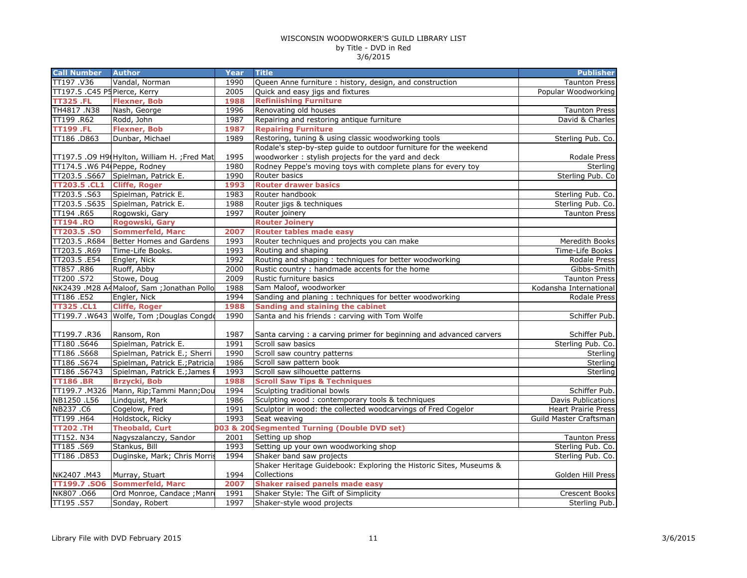| <b>Call Number</b>            | <b>Author</b>                                | <b>Year</b> | <b>Title</b>                                                       | <b>Publisher</b>           |
|-------------------------------|----------------------------------------------|-------------|--------------------------------------------------------------------|----------------------------|
| TT197.V36                     | Vandal, Norman                               | 1990        | Queen Anne furniture: history, design, and construction            | <b>Taunton Press</b>       |
| TT197.5 .C45 P5 Pierce, Kerry |                                              | 2005        | Quick and easy jigs and fixtures                                   | Popular Woodworking        |
| <b>TT325.FL</b>               | <b>Flexner, Bob</b>                          | 1988        | <b>Refiniishing Furniture</b>                                      |                            |
| TH4817 .N38                   | Nash, George                                 | 1996        | Renovating old houses                                              | <b>Taunton Press</b>       |
| TT199 .R62                    | Rodd, John                                   | 1987        | Repairing and restoring antique furniture                          | David & Charles            |
| <b>TT199.FL</b>               | <b>Flexner, Bob</b>                          | 1987        | <b>Repairing Furniture</b>                                         |                            |
| TT186.D863                    | Dunbar, Michael                              | 1989        | Restoring, tuning & using classic woodworking tools                | Sterling Pub. Co.          |
|                               |                                              |             | Rodale's step-by-step quide to outdoor furniture for the weekend   |                            |
|                               | TT197.5 .09 H9(Hylton, William H. ; Fred Mat | 1995        | woodworker: stylish projects for the yard and deck                 | Rodale Press               |
| TT174.5 .W6 P4 Peppe, Rodney  |                                              | 1980        | Rodney Peppe's moving toys with complete plans for every toy       | Sterling                   |
|                               | TT203.5 .S667 Spielman, Patrick E.           | 1990        | Router basics                                                      | Sterling Pub. Co           |
| <b>TT203.5 .CL1</b>           | <b>Cliffe, Roger</b>                         | 1993        | <b>Router drawer basics</b>                                        |                            |
| TT203.5.S63                   | Spielman, Patrick E.                         | 1983        | Router handbook                                                    | Sterling Pub. Co.          |
|                               | TT203.5 .S635 Spielman, Patrick E.           | 1988        | Router jigs & techniques                                           | Sterling Pub. Co.          |
| TT194 .R65                    | Rogowski, Gary                               | 1997        | Router joinery                                                     | <b>Taunton Press</b>       |
| <b>TT194.RO</b>               | Rogowski, Gary                               |             | <b>Router Joinery</b>                                              |                            |
| <b>TT203.5 .SO</b>            | <b>Sommerfeld, Marc</b>                      | 2007        | <b>Router tables made easy</b>                                     |                            |
| TT203.5 .R684                 | Better Homes and Gardens                     | 1993        | Router techniques and projects you can make                        | Meredith Books             |
| TT203.5 .R69                  | Time-Life Books.                             | 1993        | Routing and shaping                                                | Time-Life Books            |
| TT203.5 .E54                  | Engler, Nick                                 | 1992        | Routing and shaping: techniques for better woodworking             | Rodale Press               |
| TT857.R86                     | Ruoff, Abby                                  | 2000        | Rustic country: handmade accents for the home                      | Gibbs-Smith                |
| TT200.S72                     | Stowe, Doug                                  | 2009        | Rustic furniture basics                                            | <b>Taunton Press</b>       |
|                               | NK2439 .M28 A4Maloof, Sam ; Jonathan Pollo   | 1988        | Sam Maloof, woodworker                                             | Kodansha International     |
| TT186.E52                     | Engler, Nick                                 | 1994        | Sanding and planing: techniques for better woodworking             | Rodale Press               |
| <b>TT325.CL1</b>              | <b>Cliffe, Roger</b>                         | 1988        | Sanding and staining the cabinet                                   |                            |
|                               | TT199.7 .W643 Wolfe, Tom ; Douglas Congdo    | 1990        | Santa and his friends : carving with Tom Wolfe                     | Schiffer Pub.              |
|                               |                                              |             |                                                                    |                            |
| TT199.7 .R36                  | Ransom, Ron                                  | 1987        | Santa carving: a carving primer for beginning and advanced carvers | Schiffer Pub.              |
| TT180.S646                    | Spielman, Patrick E.                         | 1991        | Scroll saw basics                                                  | Sterling Pub. Co.          |
| TT186 .S668                   | Spielman, Patrick E.; Sherri                 | 1990        | Scroll saw country patterns                                        | Sterling                   |
| TT186 .S674                   | Spielman, Patrick E.; Patricia               | 1986        | Scroll saw pattern book                                            | Sterling                   |
| TT186.S6743                   | Spielman, Patrick E.; James F                | 1993        | Scroll saw silhouette patterns                                     | Sterling                   |
| <b>TT186.BR</b>               | <b>Brzycki, Bob</b>                          | 1988        | <b>Scroll Saw Tips &amp; Techniques</b>                            |                            |
| TT199.7 .M326                 | Mann, Rip; Tammi Mann; Dou                   | 1994        | Sculpting traditional bowls                                        | Schiffer Pub.              |
| NB1250.L56                    | Lindquist, Mark                              | 1986        | Sculpting wood: contemporary tools & techniques                    | <b>Davis Publications</b>  |
| NB237.C6                      | Cogelow, Fred                                | 1991        | Sculptor in wood: the collected woodcarvings of Fred Cogelor       | <b>Heart Prairie Press</b> |
| TT199 .H64                    | Holdstock, Ricky                             | 1993        | Seat weaving                                                       | Guild Master Craftsman     |
| <b>TT202.TH</b>               | <b>Theobald, Curt</b>                        | 003 & 20    | <b>CSegmented Turning (Double DVD set)</b>                         |                            |
| TT152. N34                    | Nagyszalanczy, Sandor                        | 2001        | Setting up shop                                                    | <b>Taunton Press</b>       |
| TT185.S69                     | Stankus, Bill                                | 1993        | Setting up your own woodworking shop                               | Sterling Pub. Co.          |
| TT186.D853                    | Duginske, Mark; Chris Morris                 | 1994        | Shaker band saw projects                                           | Sterling Pub. Co.          |
|                               |                                              |             | Shaker Heritage Guidebook: Exploring the Historic Sites, Museums & |                            |
| NK2407.M43                    | Murray, Stuart                               | 1994        | Collections                                                        | Golden Hill Press          |
| TT199.7 .SO6                  | <b>Sommerfeld, Marc</b>                      | 2007        | <b>Shaker raised panels made easy</b>                              |                            |
| NK807.066                     | Ord Monroe, Candace ; Manro                  | 1991        | Shaker Style: The Gift of Simplicity                               | Crescent Books             |
| TT195.S57                     | Sonday, Robert                               | 1997        | Shaker-style wood projects                                         | Sterling Pub.              |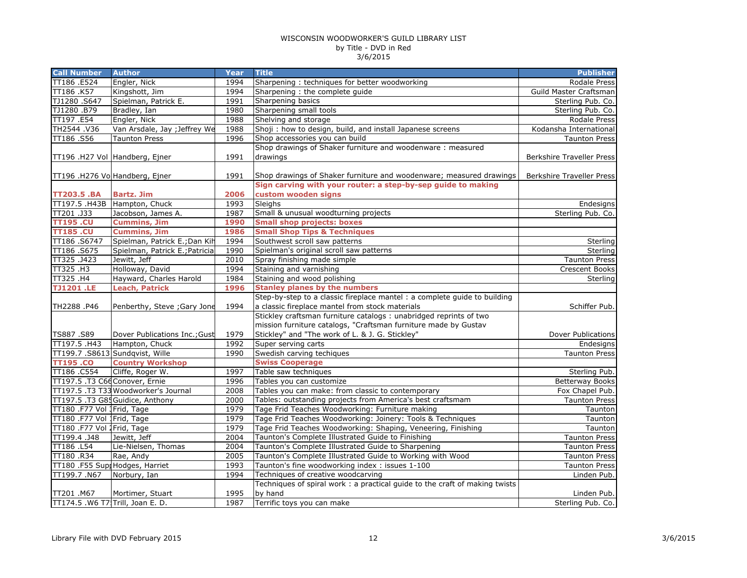| <b>Call Number</b>               | <b>Author</b>                        | <b>Year</b> | <b>Title</b>                                                                        | <b>Publisher</b>          |
|----------------------------------|--------------------------------------|-------------|-------------------------------------------------------------------------------------|---------------------------|
| TT186.E524                       | Engler, Nick                         | 1994        | Sharpening: techniques for better woodworking                                       | Rodale Press              |
| TT186 .K57                       | Kingshott, Jim                       | 1994        | Sharpening: the complete guide                                                      | Guild Master Craftsman    |
| TJ1280.S647                      | Spielman, Patrick E.                 | 1991        | Sharpening basics                                                                   | Sterling Pub. Co.         |
| TJ1280.B79                       | Bradley, Ian                         | 1980        | Sharpening small tools                                                              | Sterling Pub. Co.         |
| TT197.E54                        | Engler, Nick                         | 1988        | Shelving and storage                                                                | Rodale Press              |
| TH2544.V36                       | Van Arsdale, Jay ; Jeffrey We        | 1988        | Shoji : how to design, build, and install Japanese screens                          | Kodansha International    |
| TT186.S56                        | <b>Taunton Press</b>                 | 1996        | Shop accessories you can build                                                      | <b>Taunton Press</b>      |
|                                  |                                      |             | Shop drawings of Shaker furniture and woodenware: measured                          |                           |
|                                  | TT196 .H27 Vol Handberg, Ejner       | 1991        | drawings                                                                            | Berkshire Traveller Press |
|                                  | TT196 .H276 VolHandberg, Ejner       | 1991        | Shop drawings of Shaker furniture and woodenware; measured drawings                 | Berkshire Traveller Press |
| TT203.5 .BA                      | <b>Bartz. Jim</b>                    | 2006        | Sign carving with your router: a step-by-sep quide to making<br>custom wooden signs |                           |
| TT197.5 .H43B                    | Hampton, Chuck                       | 1993        | Sleighs                                                                             | Endesigns                 |
| TT201 .J33                       | Jacobson, James A.                   | 1987        | Small & unusual woodturning projects                                                | Sterling Pub. Co.         |
| <b>TT195.CU</b>                  | <b>Cummins, Jim</b>                  | 1990        | <b>Small shop projects: boxes</b>                                                   |                           |
| <b>TT185.CU</b>                  | <b>Cummins, Jim</b>                  | 1986        | <b>Small Shop Tips &amp; Techniques</b>                                             |                           |
| TT186.S6747                      | Spielman, Patrick E.; Dan Kih        | 1994        | Southwest scroll saw patterns                                                       | Sterling                  |
| TT186.S675                       | Spielman, Patrick E.; Patricia       | 1990        | Spielman's original scroll saw patterns                                             | Sterling                  |
| TT325.J423                       | Jewitt, Jeff                         | 2010        | Spray finishing made simple                                                         | <b>Taunton Press</b>      |
| TT325 .H3                        | Holloway, David                      | 1994        | Staining and varnishing                                                             | Crescent Books            |
| TT325.H4                         | Hayward, Charles Harold              | 1984        | Staining and wood polishing                                                         | Sterling                  |
| <b>TJ1201.LE</b>                 | <b>Leach, Patrick</b>                | 1996        | <b>Stanley planes by the numbers</b>                                                |                           |
|                                  |                                      |             | Step-by-step to a classic fireplace mantel : a complete guide to building           |                           |
| TH2288.P46                       | Penberthy, Steve ; Gary Jone         | 1994        | a classic fireplace mantel from stock materials                                     | Schiffer Pub.             |
|                                  |                                      |             | Stickley craftsman furniture catalogs: unabridged reprints of two                   |                           |
|                                  |                                      |             | mission furniture catalogs, "Craftsman furniture made by Gustav                     |                           |
| TS887.S89                        | Dover Publications Inc.; Gust        | 1979        | Stickley" and "The work of L. & J. G. Stickley"                                     | Dover Publications        |
| TT197.5 .H43                     | Hampton, Chuck                       | 1992        | Super serving carts                                                                 | <b>Endesigns</b>          |
|                                  | TT199.7 .S8613 Sundqvist, Wille      | 1990        | Swedish carving techiques                                                           | <b>Taunton Press</b>      |
| <b>TT195.CO</b>                  | <b>Country Workshop</b>              |             | <b>Swiss Cooperage</b>                                                              |                           |
| TT186.C554                       | Cliffe, Roger W.                     | 1997        | Table saw techniques                                                                | Sterling Pub.             |
| TT197.5 .T3 C66 Conover, Ernie   |                                      | 1996        | Tables you can customize                                                            | <b>Betterway Books</b>    |
|                                  | TT197.5 .T3 T33 Woodworker's Journal | 2008        | Tables you can make: from classic to contemporary                                   | Fox Chapel Pub.           |
|                                  | TT197.5 .T3 G85 Guidice, Anthony     | 2000        | Tables: outstanding projects from America's best craftsmam                          | <b>Taunton Press</b>      |
| TT180 .F77 Vol 1Frid, Tage       |                                      | 1979        | Tage Frid Teaches Woodworking: Furniture making                                     | Taunton                   |
| TT180 .F77 Vol 1Frid, Tage       |                                      | 1979        | Tage Frid Teaches Woodworking: Joinery: Tools & Techniques                          | Taunton                   |
| TT180 .F77 Vol 1Frid, Tage       |                                      | 1979        | Tage Frid Teaches Woodworking: Shaping, Veneering, Finishing                        | Taunton                   |
| TT199.4.J48                      | Jewitt, Jeff                         | 2004        | Taunton's Complete Illustrated Guide to Finishing                                   | <b>Taunton Press</b>      |
| TT186 .L54                       | Lie-Nielsen, Thomas                  | 2004        | Taunton's Complete Illustrated Guide to Sharpening                                  | <b>Taunton Press</b>      |
| TT180.R34                        | Rae, Andy                            | 2005        | Taunton's Complete Illustrated Guide to Working with Wood                           | <b>Taunton Press</b>      |
|                                  | TT180 .F55 Supp Hodges, Harriet      | 1993        | Taunton's fine woodworking index: issues 1-100                                      | <b>Taunton Press</b>      |
| TT199.7.N67                      | Norbury, Ian                         | 1994        | Techniques of creative woodcarving                                                  | Linden Pub.               |
|                                  |                                      |             | Techniques of spiral work : a practical guide to the craft of making twists         |                           |
| TT201.M67                        | Mortimer, Stuart                     | 1995        | by hand                                                                             | Linden Pub.               |
| TT174.5 .W6 T7 Trill, Joan E. D. |                                      | 1987        | Terrific toys you can make                                                          | Sterling Pub. Co.         |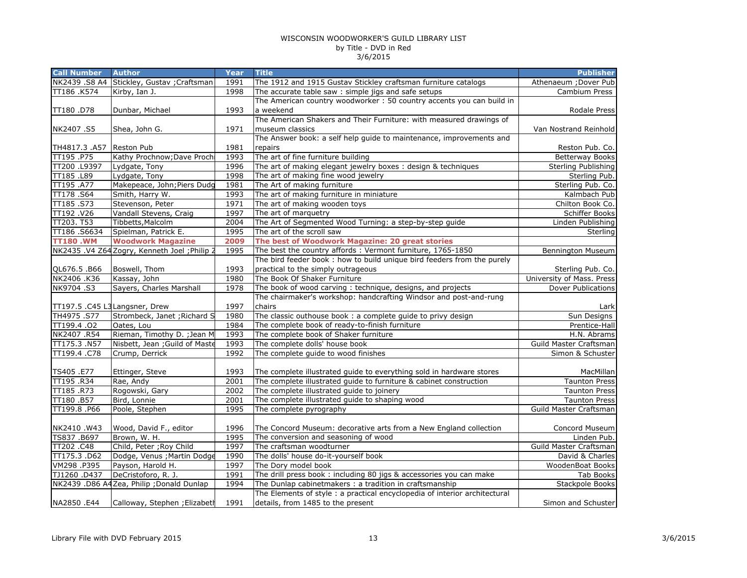| <b>Call Number</b>             | <b>Author</b>                                 | Year | <b>Title</b>                                                               | <b>Publisher</b>          |
|--------------------------------|-----------------------------------------------|------|----------------------------------------------------------------------------|---------------------------|
|                                | NK2439 .S8 A4 Stickley, Gustav ; Craftsman    | 1991 | The 1912 and 1915 Gustav Stickley craftsman furniture catalogs             | Athenaeum ; Dover Pub     |
| TT186 .K574                    | Kirby, Ian J.                                 | 1998 | The accurate table saw: simple jigs and safe setups                        | Cambium Press             |
|                                |                                               |      | The American country woodworker: 50 country accents you can build in       |                           |
| TT180.D78                      | Dunbar, Michael                               | 1993 | a weekend                                                                  | Rodale Press              |
|                                |                                               |      | The American Shakers and Their Furniture: with measured drawings of        |                           |
| NK2407.S5                      | Shea, John G.                                 | 1971 | museum classics                                                            | Van Nostrand Reinhold     |
|                                |                                               |      | The Answer book: a self help guide to maintenance, improvements and        |                           |
| TH4817.3 .A57 Reston Pub       |                                               | 1981 | repairs                                                                    | Reston Pub. Co.           |
| TT195.P75                      | Kathy Prochnow; Dave Proch                    | 1993 | The art of fine furniture building                                         | <b>Betterway Books</b>    |
| TT200 .L9397                   | Lydgate, Tony                                 | 1996 | The art of making elegant jewelry boxes : design & techniques              | Sterling Publishing       |
| TT185 .L89                     | Lydgate, Tony                                 | 1998 | The art of making fine wood jewelry                                        | Sterling Pub.             |
| TT195 .A77                     | Makepeace, John; Piers Dudg                   | 1981 | The Art of making furniture                                                | Sterling Pub. Co.         |
| TT178.S64                      | Smith, Harry W.                               | 1993 | The art of making furniture in miniature                                   | Kalmbach Pub              |
| TT185.S73                      | Stevenson, Peter                              | 1971 | The art of making wooden toys                                              | Chilton Book Co.          |
| TT192.V26                      | Vandall Stevens, Craig                        | 1997 | The art of marquetry                                                       | Schiffer Books            |
| TT203. T53                     | Tibbetts, Malcolm                             | 2004 | The Art of Segmented Wood Turning: a step-by-step guide                    | Linden Publishing         |
| TT186.S6634                    | Spielman, Patrick E.                          | 1995 | The art of the scroll saw                                                  | Sterling                  |
| <b>TT180.WM</b>                | <b>Woodwork Magazine</b>                      | 2009 | The best of Woodwork Magazine: 20 great stories                            |                           |
|                                | NK2435 .V4 Z64 Zogry, Kenneth Joel ; Philip 2 | 1995 | The best the country affords : Vermont furniture, 1765-1850                | <b>Bennington Museum</b>  |
|                                |                                               |      | The bird feeder book: how to build unique bird feeders from the purely     |                           |
| QL676.5.B66                    | Boswell, Thom                                 | 1993 | practical to the simply outrageous                                         | Sterling Pub. Co.         |
| NK2406 .K36                    | Kassay, John                                  | 1980 | The Book Of Shaker Furniture                                               | University of Mass. Press |
| NK9704.S3                      | Sayers, Charles Marshall                      | 1978 | The book of wood carving: technique, designs, and projects                 | <b>Dover Publications</b> |
|                                |                                               |      | The chairmaker's workshop: handcrafting Windsor and post-and-rung          |                           |
| TT197.5 .C45 L3 Langsner, Drew |                                               | 1997 | chairs                                                                     | Lark                      |
| TH4975.S77                     | Strombeck, Janet ; Richard S                  | 1980 | The classic outhouse book: a complete guide to privy design                | Sun Designs               |
| $\overline{1199.4.02}$         | Oates, Lou                                    | 1984 | The complete book of ready-to-finish furniture                             | Prentice-Hall             |
| NK2407.R54                     | Rieman, Timothy D. ; Jean M                   | 1993 | The complete book of Shaker furniture                                      | H.N. Abrams               |
| TT175.3 .N57                   | Nisbett, Jean ; Guild of Maste                | 1993 | The complete dolls' house book                                             | Guild Master Craftsman    |
| TT199.4 .C78                   | Crump, Derrick                                | 1992 | The complete quide to wood finishes                                        | Simon & Schuster          |
|                                |                                               |      |                                                                            |                           |
| TS405 .E77                     | Ettinger, Steve                               | 1993 | The complete illustrated guide to everything sold in hardware stores       | MacMillan                 |
| TT195.R34                      | Rae, Andy                                     | 2001 | The complete illustrated guide to furniture & cabinet construction         | <b>Taunton Press</b>      |
| TT185.R73                      | Rogowski, Gary                                | 2002 | The complete illustrated guide to joinery                                  | <b>Taunton Press</b>      |
| TT180.B57                      | Bird, Lonnie                                  | 2001 | The complete illustrated guide to shaping wood                             | <b>Taunton Press</b>      |
| TT199.8 .P66                   | Poole, Stephen                                | 1995 | The complete pyrography                                                    | Guild Master Craftsman    |
|                                |                                               |      |                                                                            |                           |
| NK2410.W43                     | Wood, David F., editor                        | 1996 | The Concord Museum: decorative arts from a New England collection          | Concord Museum            |
| TS837 .B697                    | Brown, W. H.                                  | 1995 | The conversion and seasoning of wood                                       | Linden Pub.               |
| TT202 .C48                     | Child, Peter ; Roy Child                      | 1997 | The craftsman woodturner                                                   | Guild Master Craftsman    |
| TT175.3.D62                    | Dodge, Venus ; Martin Dodge                   | 1990 | The dolls' house do-it-yourself book                                       | David & Charles           |
| VM298.P395                     | Payson, Harold H.                             | 1997 | The Dory model book                                                        | WoodenBoat Books          |
| TJ1260.D437                    | DeCristoforo, R. J.                           | 1991 | The drill press book : including 80 jigs & accessories you can make        | Tab Books                 |
|                                | NK2439 .D86 A4Zea, Philip ;Donald Dunlap      | 1994 | The Dunlap cabinetmakers : a tradition in craftsmanship                    | Stackpole Books           |
|                                |                                               |      | The Elements of style : a practical encyclopedia of interior architectural |                           |
| NA2850 .E44                    | Calloway, Stephen ; Elizabeth                 | 1991 | details, from 1485 to the present                                          | Simon and Schuster        |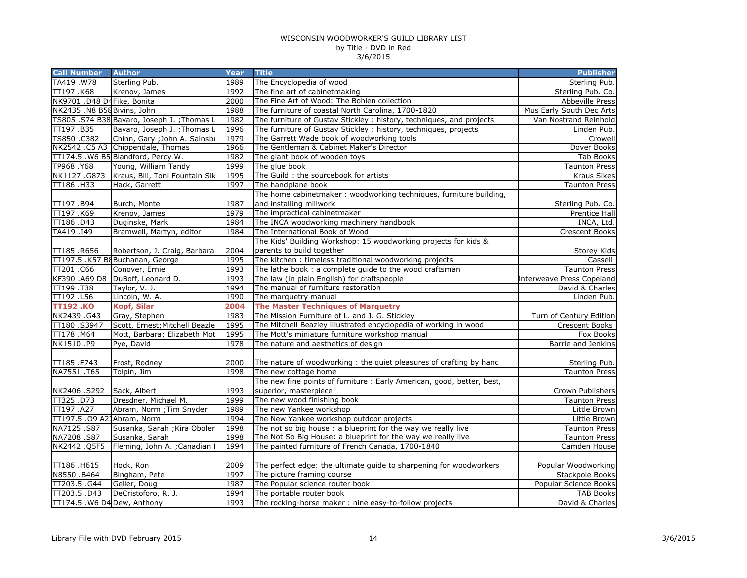| <b>Call Number</b>          | <b>Author</b>                               | Year | <b>Title</b>                                                           | <b>Publisher</b>                 |
|-----------------------------|---------------------------------------------|------|------------------------------------------------------------------------|----------------------------------|
| TA419.W78                   | Sterling Pub.                               | 1989 | The Encyclopedia of wood                                               | Sterling Pub.                    |
| TT197.K68                   | Krenov, James                               | 1992 | The fine art of cabinetmaking                                          | Sterling Pub. Co.                |
| NK9701 .D48 D4Fike, Bonita  |                                             | 2000 | The Fine Art of Wood: The Bohlen collection                            | Abbeville Press                  |
| NK2435 .N8 B58 Bivins, John |                                             | 1988 | The furniture of coastal North Carolina, 1700-1820                     | Mus Early South Dec Arts         |
|                             | TS805 .S74 B38 Bavaro, Joseph J. ; Thomas L | 1982 | The furniture of Gustav Stickley : history, techniques, and projects   | Van Nostrand Reinhold            |
| TT197.B35                   | Bavaro, Joseph J.; Thomas L                 | 1996 | The furniture of Gustav Stickley: history, techniques, projects        | Linden Pub.                      |
| TS850 .C382                 | Chinn, Gary ; John A. Sainsbi               | 1979 | The Garrett Wade book of woodworking tools                             | Crowell                          |
|                             | NK2542 .C5 A3 Chippendale, Thomas           | 1966 | The Gentleman & Cabinet Maker's Director                               | Dover Books                      |
|                             | TT174.5 .W6 B5 Blandford, Percy W.          | 1982 | The giant book of wooden toys                                          | Tab Books                        |
| TP968.Y68                   | Young, William Tandy                        | 1999 | The glue book                                                          | <b>Taunton Press</b>             |
| NK1127.G873                 | Kraus, Bill, Toni Fountain Sik              | 1995 | The Guild : the sourcebook for artists                                 | Kraus Sikes                      |
| TT186.H33                   | Hack, Garrett                               | 1997 | The handplane book                                                     | <b>Taunton Press</b>             |
|                             |                                             |      | The home cabinetmaker: woodworking techniques, furniture building,     |                                  |
| TT197.B94                   | Burch, Monte                                | 1987 | and installing millwork                                                | Sterling Pub. Co.                |
| TT197.K69                   | Krenov, James                               | 1979 | The impractical cabinetmaker                                           | Prentice Hall                    |
| TT186.D43                   | Duginske, Mark                              | 1984 | The INCA woodworking machinery handbook                                | INCA, Ltd.                       |
| TA419 .I49                  | Bramwell, Martyn, editor                    | 1984 | The International Book of Wood                                         | <b>Crescent Books</b>            |
|                             |                                             |      | The Kids' Building Workshop: 15 woodworking projects for kids &        |                                  |
| TT185.R656                  | Robertson, J. Craig, Barbara                | 2004 | parents to build together                                              | Storey Kids                      |
|                             | TT197.5 .K57 B8Buchanan, George             | 1995 | The kitchen: timeless traditional woodworking projects                 | Cassell                          |
| TT201.C66                   | Conover, Ernie                              | 1993 | The lathe book : a complete guide to the wood craftsman                | <b>Taunton Press</b>             |
| KF390 .A69 D8               | DuBoff, Leonard D.                          | 1993 | The law (in plain English) for craftspeople                            | <b>Interweave Press Copeland</b> |
| TT199.T38                   | Taylor, V. J.                               | 1994 | The manual of furniture restoration                                    | David & Charles                  |
| TT192 .L56                  | Lincoln, W. A.                              | 1990 | The marquetry manual                                                   | Linden Pub.                      |
| <b>TT192.KO</b>             | <b>Kopf, Silar</b>                          | 2004 | <b>The Master Techniques of Marquetry</b>                              |                                  |
| NK2439.G43                  | Gray, Stephen                               | 1983 | The Mission Furniture of L. and J. G. Stickley                         | Turn of Century Edition          |
| TT180.S3947                 | Scott, Ernest; Mitchell Beazle              | 1995 | The Mitchell Beazley illustrated encyclopedia of working in wood       | Crescent Books                   |
| TT178.M64                   | Mott, Barbara; Elizabeth Mot                | 1995 | The Mott's miniature furniture workshop manual                         | Fox Books                        |
| NK1510 .P9                  | Pye, David                                  | 1978 | The nature and aesthetics of design                                    | Barrie and Jenkins               |
|                             |                                             |      |                                                                        |                                  |
| TT185.F743                  | Frost, Rodney                               | 2000 | The nature of woodworking: the quiet pleasures of crafting by hand     | Sterling Pub.                    |
| NA7551.T65                  | Tolpin, Jim                                 | 1998 | The new cottage home                                                   | <b>Taunton Press</b>             |
|                             |                                             |      | The new fine points of furniture : Early American, good, better, best, |                                  |
| NK2406.S292                 | Sack, Albert                                | 1993 | superior, masterpiece                                                  | Crown Publishers                 |
| TT325.D73                   | Dresdner, Michael M.                        | 1999 | The new wood finishing book                                            | <b>Taunton Press</b>             |
| TT197 .A27                  | Abram, Norm ; Tim Snyder                    | 1989 | The new Yankee workshop                                                | Little Brown                     |
| TT197.5 .09 A27Abram, Norm  |                                             | 1994 | The New Yankee workshop outdoor projects                               | Little Brown                     |
| NA7125.S87                  | Susanka, Sarah ; Kira Oboler                | 1998 | The not so big house : a blueprint for the way we really live          | <b>Taunton Press</b>             |
| NA7208 .S87                 | Susanka, Sarah                              | 1998 | The Not So Big House: a blueprint for the way we really live           | <b>Taunton Press</b>             |
| NK2442.Q5F5                 | Fleming, John A. ; Canadian                 | 1994 | The painted furniture of French Canada, 1700-1840                      | Camden House                     |
|                             |                                             |      |                                                                        |                                  |
| TT186.H615                  | Hock, Ron                                   | 2009 | The perfect edge: the ultimate guide to sharpening for woodworkers     | Popular Woodworking              |
| N8550 .B464                 | Bingham, Pete                               | 1997 | The picture framing course                                             | Stackpole Books                  |
| TT203.5.G44                 | Geller, Doug                                | 1987 | The Popular science router book                                        | Popular Science Books            |
| TT203.5.D43                 | DeCristoforo, R. J.                         | 1994 | The portable router book                                               | <b>TAB Books</b>                 |
| TT174.5 .W6 D4 Dew, Anthony |                                             | 1993 | The rocking-horse maker: nine easy-to-follow projects                  | David & Charles                  |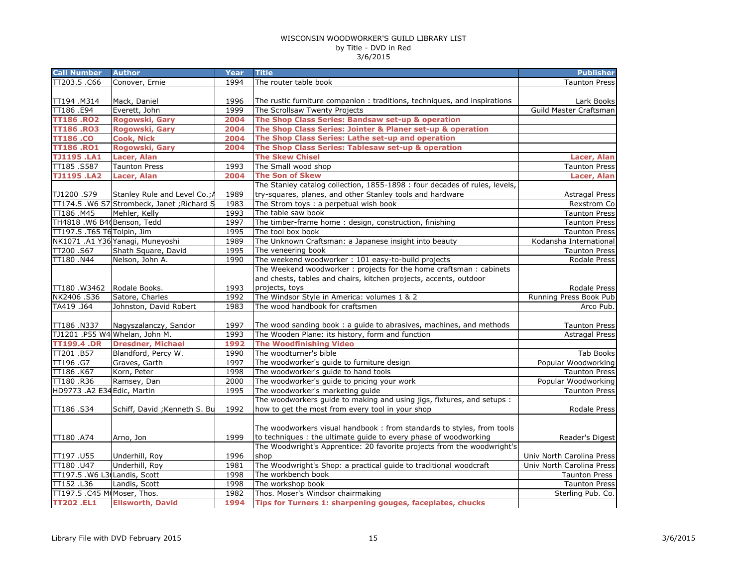| <b>Call Number</b>           | <b>Author</b>                               | Year | <b>Title</b>                                                               | <b>Publisher</b>          |
|------------------------------|---------------------------------------------|------|----------------------------------------------------------------------------|---------------------------|
| TT203.5 .C66                 | Conover, Ernie                              | 1994 | The router table book                                                      | <b>Taunton Press</b>      |
|                              |                                             |      |                                                                            |                           |
| TT194.M314                   | Mack, Daniel                                | 1996 | The rustic furniture companion: traditions, techniques, and inspirations   | Lark Books                |
| TT186 .E94                   | Everett, John                               | 1999 | The Scrollsaw Twenty Projects                                              | Guild Master Craftsman    |
| <b>TT186 .RO2</b>            | Rogowski, Gary                              | 2004 | The Shop Class Series: Bandsaw set-up & operation                          |                           |
| <b>TT186.RO3</b>             | Rogowski, Gary                              | 2004 | The Shop Class Series: Jointer & Planer set-up & operation                 |                           |
| <b>TT186.CO</b>              | <b>Cook, Nick</b>                           | 2004 | The Shop Class Series: Lathe set-up and operation                          |                           |
| <b>TT186.RO1</b>             | Rogowski, Gary                              | 2004 | The Shop Class Series: Tablesaw set-up & operation                         |                           |
| <b>TJ1195.LA1</b>            | Lacer, Alan                                 |      | <b>The Skew Chisel</b>                                                     | Lacer, Alan               |
| TT185.S587                   | <b>Taunton Press</b>                        | 1993 | The Small wood shop                                                        | <b>Taunton Press</b>      |
| <b>TJ1195.LA2</b>            | Lacer, Alan                                 | 2004 | <b>The Son of Skew</b>                                                     | Lacer, Alan               |
|                              |                                             |      | The Stanley catalog collection, 1855-1898 : four decades of rules, levels, |                           |
| TJ1200.S79                   | Stanley Rule and Level Co.; A               | 1989 | try-squares, planes, and other Stanley tools and hardware                  | <b>Astragal Press</b>     |
|                              | TT174.5 .W6 S7 Strombeck, Janet ; Richard S | 1983 | The Strom toys : a perpetual wish book                                     | Rexstrom Co               |
| TT186.M45                    | Mehler, Kelly                               | 1993 | The table saw book                                                         | <b>Taunton Press</b>      |
| TH4818 .W6 B46 Benson, Tedd  |                                             | 1997 | The timber-frame home: design, construction, finishing                     | <b>Taunton Press</b>      |
| TT197.5 .T65 T6 Tolpin, Jim  |                                             | 1995 | The tool box book                                                          | <b>Taunton Press</b>      |
|                              | NK1071 .A1 Y36 Yanagi, Muneyoshi            | 1989 | The Unknown Craftsman: a Japanese insight into beauty                      | Kodansha International    |
| TT200.S67                    | Shath Square, David                         | 1995 | The veneering book                                                         | <b>Taunton Press</b>      |
| TT180 .N44                   | Nelson, John A.                             | 1990 | The weekend woodworker: 101 easy-to-build projects                         | Rodale Press              |
|                              |                                             |      | The Weekend woodworker: projects for the home craftsman: cabinets          |                           |
|                              |                                             |      | and chests, tables and chairs, kitchen projects, accents, outdoor          |                           |
| TT180.W3462                  | Rodale Books.                               | 1993 | projects, toys                                                             | Rodale Press              |
| NK2406.S36                   | Satore, Charles                             | 1992 | The Windsor Style in America: volumes 1 & 2                                | Running Press Book Pub    |
| TA419 .J64                   | Johnston, David Robert                      | 1983 | The wood handbook for craftsmen                                            | Arco Pub.                 |
|                              |                                             |      |                                                                            |                           |
| TT186.N337                   | Nagyszalanczy, Sandor                       | 1997 | The wood sanding book: a guide to abrasives, machines, and methods         | <b>Taunton Press</b>      |
|                              | TJ1201 .P55 W4 Whelan, John M.              | 1993 | The Wooden Plane: its history, form and function                           | <b>Astragal Press</b>     |
| <b>TT199.4 .DR</b>           | <b>Dresdner, Michael</b>                    | 1992 | <b>The Woodfinishing Video</b>                                             |                           |
| TT201.B57                    | Blandford, Percy W.                         | 1990 | The woodturner's bible                                                     | <b>Tab Books</b>          |
| TT196.G7                     | Graves, Garth                               | 1997 | The woodworker's guide to furniture design                                 | Popular Woodworking       |
| TT186 .K67                   | Korn, Peter                                 | 1998 | The woodworker's guide to hand tools                                       | <b>Taunton Press</b>      |
| TT180.R36                    | Ramsey, Dan                                 | 2000 | The woodworker's guide to pricing your work                                | Popular Woodworking       |
| HD9773 .A2 E34 Edic, Martin  |                                             | 1995 | The woodworker's marketing guide                                           | <b>Taunton Press</b>      |
|                              |                                             |      | The woodworkers guide to making and using jigs, fixtures, and setups :     |                           |
| TT186.S34                    | Schiff, David ; Kenneth S. Bu               | 1992 | how to get the most from every tool in your shop                           | Rodale Press              |
|                              |                                             |      |                                                                            |                           |
|                              |                                             |      | The woodworkers visual handbook: from standards to styles, from tools      |                           |
| TT180 .A74                   | Arno, Jon                                   | 1999 | to techniques : the ultimate guide to every phase of woodworking           | Reader's Digest           |
|                              |                                             |      | The Woodwright's Apprentice: 20 favorite projects from the woodwright's    |                           |
| TT197.U55                    | Underhill, Roy                              | 1996 | shop                                                                       | Univ North Carolina Press |
| TT180.U47                    | Underhill, Roy                              | 1981 | The Woodwright's Shop: a practical guide to traditional woodcraft          | Univ North Carolina Press |
| TT197.5 .W6 L3(Landis, Scott |                                             | 1998 | The workbench book                                                         | <b>Taunton Press</b>      |
| TT152 .L36                   | Landis, Scott                               | 1998 | The workshop book                                                          | <b>Taunton Press</b>      |
| TT197.5 .C45 M(Moser, Thos.  |                                             | 1982 | Thos. Moser's Windsor chairmaking                                          | Sterling Pub. Co.         |
| <b>TT202.EL1</b>             | <b>Ellsworth, David</b>                     | 1994 | Tips for Turners 1: sharpening gouges, faceplates, chucks                  |                           |
|                              |                                             |      |                                                                            |                           |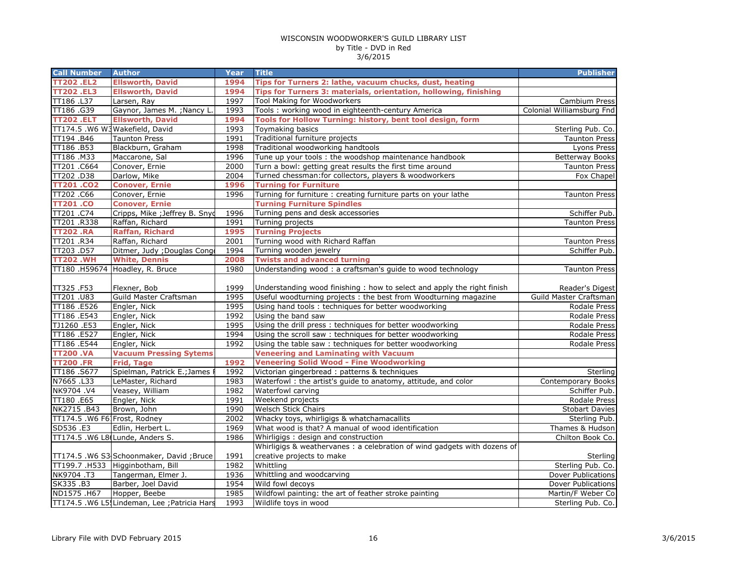| <b>Call Number</b>           | <b>Author</b>                                 | Year | <b>Title</b>                                                                                         | <b>Publisher</b>          |
|------------------------------|-----------------------------------------------|------|------------------------------------------------------------------------------------------------------|---------------------------|
| <b>TT202.EL2</b>             | <b>Ellsworth, David</b>                       | 1994 | Tips for Turners 2: lathe, vacuum chucks, dust, heating                                              |                           |
| <b>TT202.EL3</b>             | <b>Ellsworth, David</b>                       | 1994 | Tips for Turners 3: materials, orientation, hollowing, finishing                                     |                           |
| TT186 .L37                   | Larsen, Ray                                   | 1997 | Tool Making for Woodworkers                                                                          | Cambium Press             |
| TT186.G39                    | Gaynor, James M. ; Nancy L.                   | 1993 | Tools : working wood in eighteenth-century America                                                   | Colonial Williamsburg Fnd |
| <b>TT202.ELT</b>             | <b>Ellsworth, David</b>                       | 1994 | Tools for Hollow Turning: history, bent tool design, form                                            |                           |
|                              | TT174.5 .W6 W3 Wakefield, David               | 1993 | Toymaking basics                                                                                     | Sterling Pub. Co.         |
| TT194.B46                    | <b>Taunton Press</b>                          | 1991 | Traditional furniture projects                                                                       | <b>Taunton Press</b>      |
| TT186.B53                    | Blackburn, Graham                             | 1998 | Traditional woodworking handtools                                                                    | Lyons Press               |
| TT186.M33                    | Maccarone, Sal                                | 1996 | Tune up your tools : the woodshop maintenance handbook                                               | <b>Betterway Books</b>    |
| TT201 .C664                  | Conover, Ernie                                | 2000 | Turn a bowl: getting great results the first time around                                             | <b>Taunton Press</b>      |
| TT202.D38                    | Darlow, Mike                                  | 2004 | Turned chessman: for collectors, players & woodworkers                                               | Fox Chapel                |
| <b>TT201.CO2</b>             | <b>Conover, Ernie</b>                         | 1996 | <b>Turning for Furniture</b>                                                                         |                           |
| TT202.C66                    | Conover, Ernie                                | 1996 | Turning for furniture : creating furniture parts on your lathe                                       | <b>Taunton Press</b>      |
| TT201 .CO                    | <b>Conover, Ernie</b>                         |      | <b>Turning Furniture Spindles</b>                                                                    |                           |
| TT201.C74                    | Cripps, Mike ; Jeffrey B. Snyd                | 1996 | Turning pens and desk accessories                                                                    | Schiffer Pub.             |
| TT201.R338                   | Raffan, Richard                               | 1991 | Turning projects                                                                                     | <b>Taunton Press</b>      |
| <b>TT202.RA</b>              | <b>Raffan, Richard</b>                        | 1995 | <b>Turning Projects</b>                                                                              |                           |
| TT201.R34                    | Raffan, Richard                               | 2001 | Turning wood with Richard Raffan                                                                     | <b>Taunton Press</b>      |
| TT203.D57                    | Ditmer, Judy ; Douglas Cong                   | 1994 | Turning wooden jewelry                                                                               | Schiffer Pub.             |
| <b>TT202.WH</b>              | <b>White, Dennis</b>                          | 2008 | <b>Twists and advanced turning</b>                                                                   |                           |
|                              | TT180 .H59674 Hoadley, R. Bruce               | 1980 | Understanding wood: a craftsman's guide to wood technology                                           | <b>Taunton Press</b>      |
| TT325.F53                    | Flexner, Bob                                  | 1999 | Understanding wood finishing : how to select and apply the right finish                              | Reader's Digest           |
| TT201 .U83                   | Guild Master Craftsman                        | 1995 | Useful woodturning projects : the best from Woodturning magazine                                     | Guild Master Craftsman    |
| TT186 .E526                  | Engler, Nick                                  | 1995 | Using hand tools: techniques for better woodworking                                                  | Rodale Press              |
| TT186 .E543                  | Engler, Nick                                  | 1992 | Using the band saw                                                                                   | Rodale Press              |
| TJ1260.E53                   | Engler, Nick                                  | 1995 | Using the drill press: techniques for better woodworking                                             | Rodale Press              |
| TT186 .E527                  | Engler, Nick                                  | 1994 | Using the scroll saw: techniques for better woodworking                                              | Rodale Press              |
| TT186 .E544                  | Engler, Nick                                  | 1992 | Using the table saw: techniques for better woodworking                                               | Rodale Press              |
| <b>TT200.VA</b>              | <b>Vacuum Pressing Sytems</b>                 |      | <b>Veneering and Laminating with Vacuum</b>                                                          |                           |
| <b>TT200 .FR</b>             | <b>Frid, Tage</b>                             | 1992 | <b>Veneering Solid Wood - Fine Woodworking</b>                                                       |                           |
| TT186.S677                   | Spielman, Patrick E.; James                   | 1992 | Victorian gingerbread : patterns & techniques                                                        | Sterling                  |
| N7665.L33                    | LeMaster, Richard                             | 1983 | Waterfowl: the artist's guide to anatomy, attitude, and color                                        | Contemporary Books        |
| NK9704.V4                    | Veasey, William                               | 1982 | Waterfowl carving                                                                                    | Schiffer Pub.             |
| TT180.E65                    | Engler, Nick                                  | 1991 | Weekend projects                                                                                     | Rodale Press              |
| NK2715.B43                   | Brown, John                                   | 1990 | <b>Welsch Stick Chairs</b>                                                                           | <b>Stobart Davies</b>     |
| TT174.5 .W6 F61Frost, Rodney |                                               | 2002 | Whacky toys, whirligigs & whatchamacallits                                                           | Sterling Pub.             |
| SD536 .E3                    | Edlin, Herbert L.                             | 1969 | What wood is that? A manual of wood identification                                                   | Thames & Hudson           |
|                              | TT174.5 .W6 L8(Lunde, Anders S.               | 1986 | Whirligigs: design and construction                                                                  | Chilton Book Co.          |
|                              | TT174.5 .W6 S3 Schoonmaker, David ; Bruce     | 1991 | Whirligigs & weathervanes: a celebration of wind gadgets with dozens of<br>creative projects to make | Sterling                  |
|                              | TT199.7 .H533 Higginbotham, Bill              | 1982 | Whittling                                                                                            | Sterling Pub. Co.         |
| NK9704.T3                    | Tangerman, Elmer J.                           | 1936 | Whittling and woodcarving                                                                            | Dover Publications        |
| SK335 .B3                    | Barber, Joel David                            | 1954 | Wild fowl decoys                                                                                     | Dover Publications        |
| ND1575.H67                   | Hopper, Beebe                                 | 1985 | Wildfowl painting: the art of feather stroke painting                                                | Martin/F Weber Co         |
|                              | TT174.5 .W6 L5! Lindeman, Lee ; Patricia Hars | 1993 | Wildlife toys in wood                                                                                | Sterling Pub. Co.         |
|                              |                                               |      |                                                                                                      |                           |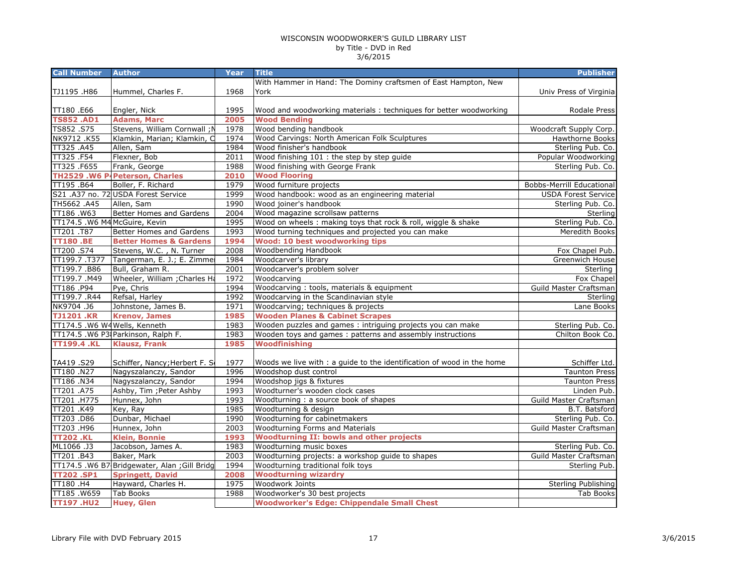| <b>Call Number</b>            | <b>Author</b>                                 | Year | <b>Title</b>                                                           | <b>Publisher</b>                 |
|-------------------------------|-----------------------------------------------|------|------------------------------------------------------------------------|----------------------------------|
|                               |                                               |      | With Hammer in Hand: The Dominy craftsmen of East Hampton, New         |                                  |
| TJ1195 .H86                   | Hummel, Charles F.                            | 1968 | York                                                                   | Univ Press of Virginia           |
|                               |                                               |      |                                                                        |                                  |
| TT180 .E66                    | Engler, Nick                                  | 1995 | Wood and woodworking materials : techniques for better woodworking     | Rodale Press                     |
| <b>TS852.AD1</b>              | <b>Adams, Marc</b>                            | 2005 | <b>Wood Bending</b>                                                    |                                  |
| TS852.S75                     | Stevens, William Cornwall; N                  | 1978 | Wood bending handbook                                                  | Woodcraft Supply Corp.           |
| NK9712.K55                    | Klamkin, Marian; Klamkin, C                   | 1974 | Wood Carvings: North American Folk Sculptures                          | Hawthorne Books                  |
| TT325 .A45                    | Allen, Sam                                    | 1984 | Wood finisher's handbook                                               | Sterling Pub. Co.                |
| TT325.F54                     | Flexner, Bob                                  | 2011 | Wood finishing 101 : the step by step guide                            | Popular Woodworking              |
| TT325 .F655                   | Frank, George                                 | 1988 | Wood finishing with George Frank                                       | Sterling Pub. Co.                |
|                               | TH2529 .W6 P-Peterson, Charles                | 2010 | <b>Wood Flooring</b>                                                   |                                  |
| TT195.B64                     | Boller, F. Richard                            | 1979 | Wood furniture projects                                                | <b>Bobbs-Merrill Educational</b> |
|                               | S21 .A37 no. 72 USDA Forest Service           | 1999 | Wood handbook: wood as an engineering material                         | <b>USDA Forest Service</b>       |
| TH5662.A45                    | Allen, Sam                                    | 1990 | Wood joiner's handbook                                                 | Sterling Pub. Co.                |
| TT186.W63                     | Better Homes and Gardens                      | 2004 | Wood magazine scrollsaw patterns                                       | Sterling                         |
| TT174.5 .W6 M4 McGuire, Kevin |                                               | 1995 | Wood on wheels : making toys that rock & roll, wiggle & shake          | Sterling Pub. Co.                |
| TT201.T87                     | Better Homes and Gardens                      | 1993 | Wood turning techniques and projected you can make                     | Meredith Books                   |
| <b>TT180.BE</b>               | <b>Better Homes &amp; Gardens</b>             | 1994 | <b>Wood: 10 best woodworking tips</b>                                  |                                  |
| TT200.S74                     | Stevens, W.C., N. Turner                      | 2008 | Woodbending Handbook                                                   | Fox Chapel Pub.                  |
| TT199.7.T377                  | Tangerman, E. J.; E. Zimme                    | 1984 | Woodcarver's library                                                   | Greenwich House                  |
| TT199.7.B86                   | Bull, Graham R.                               | 2001 | Woodcarver's problem solver                                            | Sterling                         |
| TT199.7.M49                   | Wheeler, William ; Charles Ha                 | 1972 | Woodcarving                                                            | Fox Chapel                       |
| TT186.P94                     | Pye, Chris                                    | 1994 | Woodcarving: tools, materials & equipment                              | Guild Master Craftsman           |
| TT199.7 .R44                  | Refsal, Harley                                | 1992 | Woodcarving in the Scandinavian style                                  | Sterling                         |
| NK9704.J6                     | Johnstone, James B.                           | 1971 | Woodcarving; techniques & projects                                     | Lane Books                       |
| <b>TJ1201.KR</b>              | <b>Krenov, James</b>                          | 1985 | <b>Wooden Planes &amp; Cabinet Scrapes</b>                             |                                  |
| TT174.5 .W6 W4 Wells, Kenneth |                                               | 1983 | Wooden puzzles and games : intriguing projects you can make            | Sterling Pub. Co.                |
|                               | TT174.5 .W6 P3 Parkinson, Ralph F.            | 1983 | Wooden toys and games: patterns and assembly instructions              | Chilton Book Co.                 |
| <b>TT199.4 .KL</b>            | <b>Klausz, Frank</b>                          | 1985 | <b>Woodfinishing</b>                                                   |                                  |
|                               |                                               |      |                                                                        |                                  |
| TA419.S29                     | Schiffer, Nancy; Herbert F. S                 | 1977 | Woods we live with : a guide to the identification of wood in the home | Schiffer Ltd.                    |
| TT180.N27                     | Nagyszalanczy, Sandor                         | 1996 | Woodshop dust control                                                  | <b>Taunton Press</b>             |
| TT186 .N34                    | Nagyszalanczy, Sandor                         | 1994 | Woodshop jigs & fixtures                                               | <b>Taunton Press</b>             |
| TT201 .A75                    | Ashby, Tim ; Peter Ashby                      | 1993 | Woodturner's wooden clock cases                                        | Linden Pub.                      |
| TT201 .H775                   | Hunnex, John                                  | 1993 | Woodturning: a source book of shapes                                   | Guild Master Craftsman           |
| TT201.K49                     | Key, Ray                                      | 1985 | Woodturning & design                                                   | <b>B.T. Batsford</b>             |
| TT203 .D86                    | Dunbar, Michael                               | 1990 | Woodturning for cabinetmakers                                          | Sterling Pub. Co.                |
| TT203.H96                     | Hunnex, John                                  | 2003 | Woodturning Forms and Materials                                        | Guild Master Craftsman           |
| <b>TT202.KL</b>               | <b>Klein, Bonnie</b>                          | 1993 | <b>Woodturning II: bowls and other projects</b>                        |                                  |
| ML1066.J3                     | Jacobson, James A.                            | 1983 | Woodturning music boxes                                                | Sterling Pub. Co.                |
| TT201.B43                     | Baker, Mark                                   | 2003 | Woodturning projects: a workshop guide to shapes                       | Guild Master Craftsman           |
|                               | TT174.5 .W6 B7 Bridgewater, Alan ; Gill Bridg | 1994 | Woodturning traditional folk toys                                      | Sterling Pub.                    |
| <b>TT202.SP1</b>              | <b>Springett, David</b>                       | 2008 | <b>Woodturning wizardry</b>                                            |                                  |
| TT180 .H4                     | Hayward, Charles H.                           | 1975 | Woodwork Joints                                                        | Sterling Publishing              |
| TT185.W659                    | <b>Tab Books</b>                              | 1988 | Woodworker's 30 best projects                                          | <b>Tab Books</b>                 |
| <b>TT197.HU2</b>              | <b>Huey, Glen</b>                             |      | <b>Woodworker's Edge: Chippendale Small Chest</b>                      |                                  |
|                               |                                               |      |                                                                        |                                  |